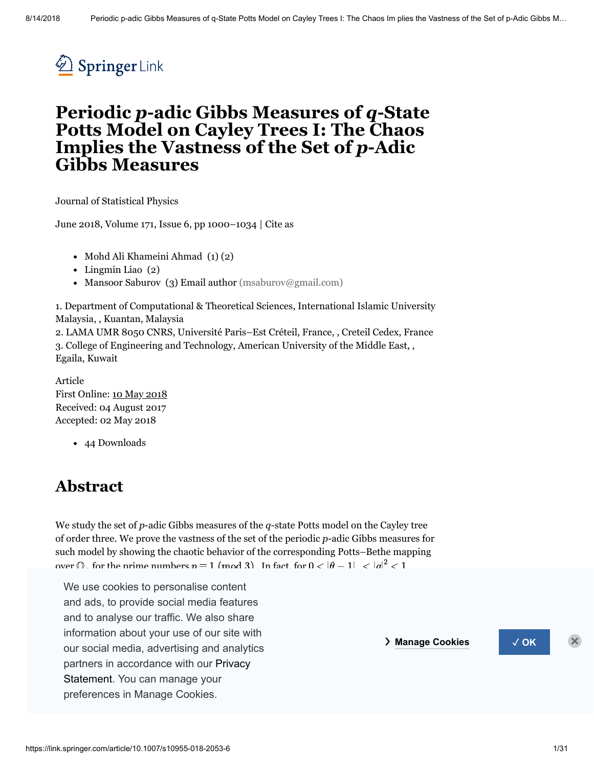

# **Periodic** *p***-adic Gibbs Measures of** *q***-State Potts Model on Cayley Trees I: The Chaos Implies the Vastness of the Set of** *p***-Adic Gibbs Measures**

Journal of [Statistical](https://link.springer.com/journal/10955) Physics

June 2018, Volume 171, [Issue](https://link.springer.com/journal/10955/171/6/page/1) 6, pp 1000–1034 | [Cite](#page-29-0) as

- Mohd Ali Khameini Ahmad  $(1)(2)$
- Lingmin Liao (2)
- Mansoor Saburov (3) Email author [\(msaburov@gmail.com\)](mailto:msaburov@gmail.com)

1. Department of Computational & Theoretical Sciences, International Islamic University Malaysia, , Kuantan, Malaysia

2. LAMA UMR 8050 CNRS, Université Paris–Est Créteil, France, , Creteil Cedex, France 3. College of Engineering and Technology, American University of the Middle East, , Egaila, Kuwait

<span id="page-0-0"></span>Article First Online: 10 May [2018](#page-0-0) Received: 04 August 2017 Accepted: 02 May 2018

44 Downloads

## **Abstract**

We study the set of *p*-adic Gibbs measures of the *q*-state Potts model on the Cayley tree of order three. We prove the vastness of the set of the periodic *p*-adic Gibbs measures for such model by showing the chaotic behavior of the corresponding Potts–Bethe mapping over  $\cap$  for the prime numbers  $n = 1 \pmod{3}$  In fact, for  $0 < |\theta - 1| < |a|^2 < 1$ 

We use cookies to personalise content isometrically conjugate to the full shift on three symbols. Meanwhile, for  $\frac{1}{2}$ , there exists a substitution that is isometrically conjugate to the conjugate to  $\frac{1}{2}$ and to dinaryoo our *rights*. We did only symbols where  $\frac{1}{2}$ information about your use of our site with *particular shift on the particular symbols* our social media, advertising and analytics **and the corresponding our social media** partners in [accordance](https://link.springer.com/privacystatement) with our Privacy Statement. You can manage your and ads, to provide social media features<br>
and to analyse our traffic. We also share and to analyse our traffic. We also share preferences in Manage Cookies.

❯ **Manage Cookies** ✓ **OK**

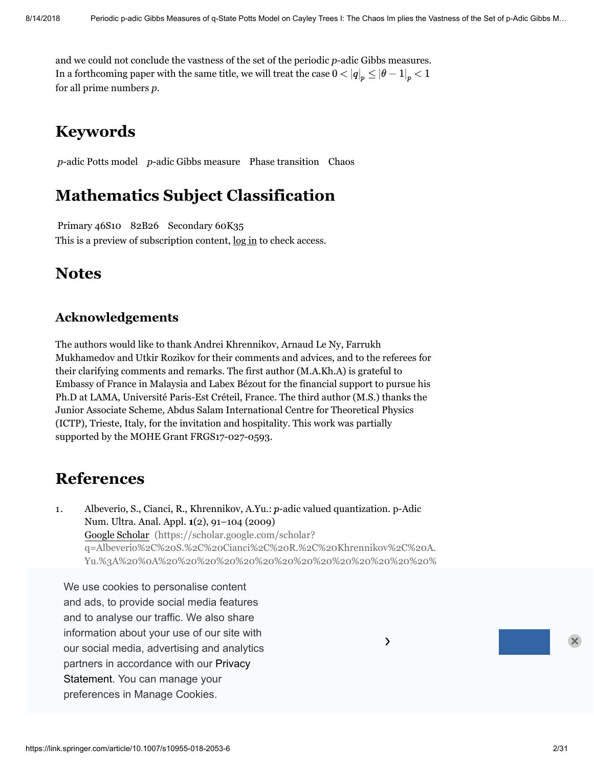and we could not conclude the vastness of the set of the periodic *p*-adic Gibbs measures. In a forthcoming paper with the same title, we will treat the case  $0 < |q|_p \leq |\theta - 1|_p < 1$ for all prime numbers *p*.

## **Keywords**

*p*-adic Potts model *p*-adic Gibbs measure Phase transition Chaos

## **Mathematics Subject Classification**

Primary 46S10 82B26 Secondary 60K35 This is a preview of subscription content,  $log in$  $log in$  to check access.

## **Notes**

### **Acknowledgements**

The authors would like to thank Andrei Khrennikov, Arnaud Le Ny, Farrukh Mukhamedov and Utkir Rozikov for their comments and advices, and to the referees for their clarifying comments and remarks. The first author (M.A.Kh.A) is grateful to Embassy of France in Malaysia and Labex Bézout for the financial support to pursue his Ph.D at LAMA, Université Paris-Est Créteil, France. The third author (M.S.) thanks the Junior Associate Scheme, Abdus Salam International Centre for Theoretical Physics (ICTP), Trieste, Italy, for the invitation and hospitality. This work was partially supported by the MOHE Grant FRGS17-027-0593.

## **References**

1. Albeverio, S., Cianci, R., Khrennikov, A.Yu.:  $p$ -adic valued quantization. p-Adic Num. Ultra. Anal. Appl. **1**(2), 91–104 (2009) Google Scholar (https://scholar.google.com/scholar? q=Albeverio%2C%20S.%2C%20Cianci%2C%20R.%2C%20Khrennikov%2C%20A. Yu.%3A%20%0A%20%20%20%20%20%20%20%20%20%20%20%20%20%20%

We use cookies to personalise content 20%20 20%20 20%20 20%20 20%20 20%20 20%20 20%20 20%20 20%20 20%20 20%20 and ads, to provide social media features 20%20 20%20 20%20 20%20 20%20 20%20 20%20 and to analyse our traffic. We also share information about your use of our site with  $\sim$  $\longrightarrow$ 0%20%20%20%20%20%20%20%20%20%20%0A%20%20%20%20%20%20%2 our social media, advertising and analytics partners in accordance with our Privacy 20%20 20%20 20%20 20%20 20%20 20%20 20%20 Statement. You can manage your 20%20 20%20 20%20 20%20 20%20 20%20 20%20 20%20 20%20 preferences in Manage Cookies. **Example 20%20** 20%20 20%20 20%20 20%20 20%20 20%20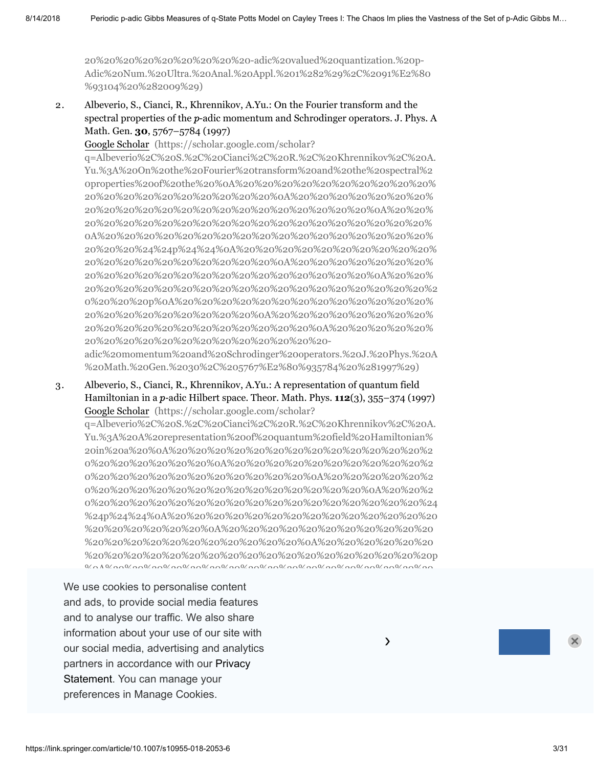20%20%20%20%20%20%20%20%20-adic%20valued%20quantization.%20p-[Adic%20Num.%20Ultra.%20Anal.%20Appl.%201%282%29%2C%2091%E2%80](https://scholar.google.com/scholar?q=Albeverio%2C%20S.%2C%20Cianci%2C%20R.%2C%20Khrennikov%2C%20A.Yu.%3A%20%0A%20%20%20%20%20%20%20%20%20%20%20%20%20%20%20%20%20%20%20%20%0A%20%20%20%20%20%20%20%20%20%20%20%20%20%20%20%20%20%20%20%20%20%20%0A%20%20%20%20%20%20%20%20%20%20%20%20%20%20%20%20%20%20%20%20%0A%20%20%20%20%20%20%20%20%20%20%20%20%20%20%20%20%20%20%20%20%24%24p%24%24%0A%20%20%20%20%20%20%20%20%20%20%20%20%20%20%20%20%20%20%20%20%0A%20%20%20%20%20%20%20%20%20%20%20%20%20%20%20%20%20%20%20%20%20%20%0A%20%20%20%20%20%20%20%20%20%20%20%20%20%20%20%20%20%20%20%20%20%20%20%20p%0A%20%20%20%20%20%20%20%20%20%20%20%20%20%20%20%20%20%20%20%20%20%20%0A%20%20%20%20%20%20%20%20%20%20%20%20%20%20%20%20%20%20%20%20%0A%20%20%20%20%20%20%20%20%20%20%20%20%20%20%20%20%20%20-adic%20valued%20quantization.%20p-Adic%20Num.%20Ultra.%20Anal.%20Appl.%201%282%29%2C%2091%E2%80%93104%20%282009%29) %93104%20%282009%29)

2. Albeverio, S., Cianci, R., Khrennikov, A.Yu.: On the Fourier transform and the spectral properties of the  $p$ -adic momentum and Schrodinger operators. J. Phys. A Math. Gen. **30**, 5767–5784 (1997)

Google Scholar (https://scholar.google.com/scholar?

q=Albeverio%2C%20S.%2C%20Cianci%2C%20R.%2C%20Khrennikov%2C%20A. Yu.%3A%20On%20the%20Fourier%20transform%20and%20the%20spectral%2 0properties%20of%20the%20%0A%20%20%20%20%20%20%20%20%20%20% 20%20%20%20%20%20%20%20%20%20%0A%20%20%20%20%20%20%20% 20%20%20%20%20%20%20%20%20%20%20%20%20%20%20%0A%20%20% 20%20%20%20%20%20%20%20%20%20%20%20%20%20%20%20%20%20% 0A%20%20%20%20%20%20%20%20%20%20%20%20%20%20%20%20%20% 20%20%20%24%24p%24%24%0A%20%20%20%20%20%20%20%20%20%20% 20%20%20%20%20%20%20%20%20%20%0A%20%20%20%20%20%20%20% 20%20%20%20%20%20%20%20%20%20%20%20%20%20%20%0A%20%20% [20%20%20%20%20%20%20%20%20%20%20%20%20%20%20%20%20%20%2](https://scholar.google.com/scholar?q=Albeverio%2C%20S.%2C%20Cianci%2C%20R.%2C%20Khrennikov%2C%20A.Yu.%3A%20On%20the%20Fourier%20transform%20and%20the%20spectral%20properties%20of%20the%20%0A%20%20%20%20%20%20%20%20%20%20%20%20%20%20%20%20%20%20%20%20%0A%20%20%20%20%20%20%20%20%20%20%20%20%20%20%20%20%20%20%20%20%20%20%0A%20%20%20%20%20%20%20%20%20%20%20%20%20%20%20%20%20%20%20%20%0A%20%20%20%20%20%20%20%20%20%20%20%20%20%20%20%20%20%20%20%20%24%24p%24%24%0A%20%20%20%20%20%20%20%20%20%20%20%20%20%20%20%20%20%20%20%20%0A%20%20%20%20%20%20%20%20%20%20%20%20%20%20%20%20%20%20%20%20%20%20%0A%20%20%20%20%20%20%20%20%20%20%20%20%20%20%20%20%20%20%20%20%20%20%20%20p%0A%20%20%20%20%20%20%20%20%20%20%20%20%20%20%20%20%20%20%20%20%20%20%0A%20%20%20%20%20%20%20%20%20%20%20%20%20%20%20%20%20%20%20%20%0A%20%20%20%20%20%20%20%20%20%20%20%20%20%20%20%20%20%20-adic%20momentum%20and%20Schrodinger%20operators.%20J.%20Phys.%20A%20Math.%20Gen.%2030%2C%205767%E2%80%935784%20%281997%29) 0%20%20%20p%0A%20%20%20%20%20%20%20%20%20%20%20%20%20% 20%20%20%20%20%20%20%20%20%0A%20%20%20%20%20%20%20%20% 20%20%20%20%20%20%20%20%20%20%20%20%0A%20%20%20%20%20% 20%20%20%20%20%20%20%20%20%20%20%20%20-

adic%20momentum%20and%20Schrodinger%20operators.%20J.%20Phys.%20A %20Math.%20Gen.%2030%2C%205767%E2%80%935784%20%281997%29)

3. Albeverio, S., Cianci, R., Khrennikov, A.Yu.: A representation of quantum field Hamiltonian in a *p*-adic Hilbert space. Theor. Math. Phys. **112**(3), 355–374 (1997) Google Scholar (https://scholar.google.com/scholar?

q=Albeverio%2C%20S.%2C%20Cianci%2C%20R.%2C%20Khrennikov%2C%20A. Yu.%3A%20A%20representation%20of%20quantum%20field%20Hamiltonian% 20in%20a%20%0A%20%20%20%20%20%20%20%20%20%20%20%20%20%2 0%20%20%20%20%20%20%0A%20%20%20%20%20%20%20%20%20%20%2 0%20%20%20%20%20%20%20%20%20%20%20%0A%20%20%20%20%20%2 0%20%20%20%20%20%20%20%20%20%20%20%20%20%20%0A%20%20%2 [0%20%20%20%20%20%20%20%20%20%20%20%20%20%20%20%20%20%24](https://scholar.google.com/scholar?q=Albeverio%2C%20S.%2C%20Cianci%2C%20R.%2C%20Khrennikov%2C%20A.Yu.%3A%20A%20representation%20of%20quantum%20field%20Hamiltonian%20in%20a%20%0A%20%20%20%20%20%20%20%20%20%20%20%20%20%20%20%20%20%20%20%20%0A%20%20%20%20%20%20%20%20%20%20%20%20%20%20%20%20%20%20%20%20%20%20%0A%20%20%20%20%20%20%20%20%20%20%20%20%20%20%20%20%20%20%20%20%0A%20%20%20%20%20%20%20%20%20%20%20%20%20%20%20%20%20%20%20%20%24%24p%24%24%0A%20%20%20%20%20%20%20%20%20%20%20%20%20%20%20%20%20%20%20%20%0A%20%20%20%20%20%20%20%20%20%20%20%20%20%20%20%20%20%20%20%20%20%20%0A%20%20%20%20%20%20%20%20%20%20%20%20%20%20%20%20%20%20%20%20%20%20%20%20p%0A%20%20%20%20%20%20%20%20%20%20%20%20%20%20%20%20%20%20%20%20%20%20%0A%20%20%20%20%20%20%20%20%20%20%20%20%20%20%20%20%20%20%20%20%0A%20%20%20%20%20%20%20%20%20%20%20%20%20%20%20%20%20%20-adic%20Hilbert%20space.%20Theor.%20Math.%20Phys.%20112%283%29%2C%20355%E2%80%93374%20%281997%29) %24p%24%24%0A%20%20%20%20%20%20%20%20%20%20%20%20%20%20 %20%20%20%20%20%20%0A%20%20%20%20%20%20%20%20%20%20%20 %20%20%20%20%20%20%20%20%20%20%20%0A%20%20%20%20%20%20 %20%20%20%20%20%20%20%20%20%20%20%20%20%20%20%20%20%20p  $\alpha$ 

our social media, advertising and analytics **Alberta System of the System of the System** of the spectrum of the s We use cookies to personalise content %20%20%20%20%20%20%20%20%0A%20%20%20%20%20%20%20%20%20 and ads, to provide social media features and to analyse our traffic. We also share information about your use of our site with partners in accordance with our Privacy Statement. You can manage your preferences in Manage Cookies. 2C%20 R. 2C%20 R. 2C%20 R. 2C%20 R. 2C%20 R. 2C%20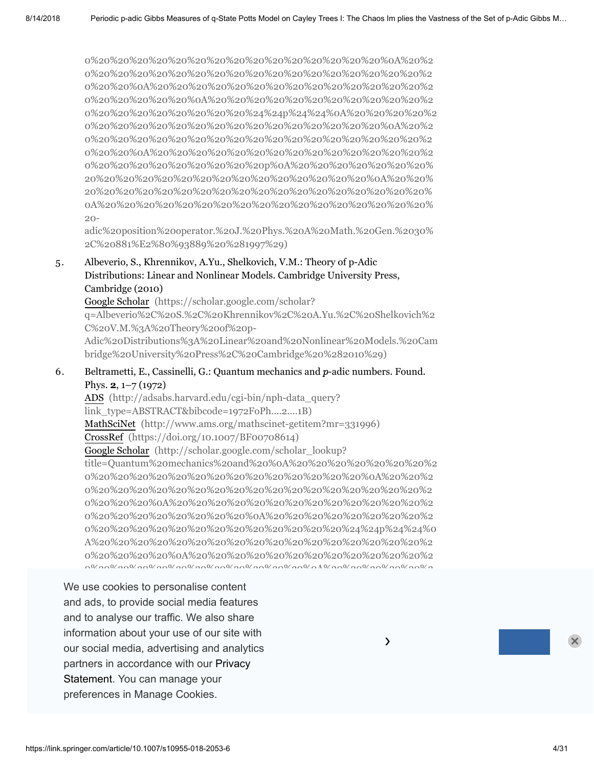0%20%20%20%20%20%20%20%20%20%20%20%20%20%20%20%0A%20%2 0%20%20%20%20%20%20%20%20%20%20%20%20%20%20%20%20%20%2 0%20%20%0A%20%20%20%20%20%20%20%20%20%20%20%20%20%20%2 0%20%20%20%20%20%0A%20%20%20%20%20%20%20%20%20%20%20%2 [0%20%20%20%20%20%20%20%20%24%24p%24%24%0A%20%20%20%20%2](https://scholar.google.com/scholar?q=Albeverio%2C%20S.%2C%20Cianci%2C%20R.%2C%20Khrennikov%2C%20A.Yu.%3A%20On%20the%20spectrum%20of%20the%20%0A%20%20%20%20%20%20%20%20%20%20%20%20%20%20%20%20%20%20%20%20%0A%20%20%20%20%20%20%20%20%20%20%20%20%20%20%20%20%20%20%20%20%20%20%0A%20%20%20%20%20%20%20%20%20%20%20%20%20%20%20%20%20%20%20%20%0A%20%20%20%20%20%20%20%20%20%20%20%20%20%20%20%20%20%20%20%20%24%24p%24%24%0A%20%20%20%20%20%20%20%20%20%20%20%20%20%20%20%20%20%20%20%20%0A%20%20%20%20%20%20%20%20%20%20%20%20%20%20%20%20%20%20%20%20%20%20%0A%20%20%20%20%20%20%20%20%20%20%20%20%20%20%20%20%20%20%20%20%20%20%20%20p%0A%20%20%20%20%20%20%20%20%20%20%20%20%20%20%20%20%20%20%20%20%20%20%0A%20%20%20%20%20%20%20%20%20%20%20%20%20%20%20%20%20%20%20%20%0A%20%20%20%20%20%20%20%20%20%20%20%20%20%20%20%20%20%20-adic%20position%20operator.%20J.%20Phys.%20A%20Math.%20Gen.%2030%2C%20881%E2%80%93889%20%281997%29) 0%20%20%20%20%20%20%20%20%20%20%20%20%20%20%20%0A%20%2 0%20%20%20%20%20%20%20%20%20%20%20%20%20%20%20%20%20%2 0%20%20%0A%20%20%20%20%20%20%20%20%20%20%20%20%20%20%2 0%20%20%20%20%20%20%20%20%20p%0A%20%20%20%20%20%20%20% 20%20%20%20%20%20%20%20%20%20%20%20%20%20%20%0A%20%20% 20%20%20%20%20%20%20%20%20%20%20%20%20%20%20%20%20%20% 0A%20%20%20%20%20%20%20%20%20%20%20%20%20%20%20%20%20% 20-

adic%20position%20operator.%20J.%20Phys.%20A%20Math.%20Gen.%2030% 2C%20881%E2%80%93889%20%281997%29)

5. Albeverio, S., Khrennikov, A.Yu., Shelkovich, V.M.: Theory of p-Adic Distributions: Linear and Nonlinear Models. Cambridge University Press, Cambridge (2010)

Google Scholar (https://scholar.google.com/scholar? q=Albeverio%2C%20S.%2C%20Khrennikov%2C%20A.Yu.%2C%20Shelkovich%2 C%20V.M.%3A%20Theory%20of%20p-[Adic%20Distributions%3A%20Linear%20and%20Nonlinear%20Models.%20Cam](https://scholar.google.com/scholar?q=Albeverio%2C%20S.%2C%20Khrennikov%2C%20A.Yu.%2C%20Shelkovich%2C%20V.M.%3A%20Theory%20of%20p-Adic%20Distributions%3A%20Linear%20and%20Nonlinear%20Models.%20Cambridge%20University%20Press%2C%20Cambridge%20%282010%29) bridge%20University%20Press%2C%20Cambridge%20%282010%29)

6. Beltrametti, E., Cassinelli, G.: Quantum mechanics and  $p$ -adic numbers. Found. Phys. **2**, 1–7 (1972)

ADS [\(http://adsabs.harvard.edu/cgi-bin/nph-data\\_query?](http://adsabs.harvard.edu/cgi-bin/nph-data_query?link_type=ABSTRACT&bibcode=1972FoPh....2....1B) link\_type=ABSTRACT&bibcode=1972FoPh....2....1B) MathSciNet [\(http://www.ams.org/mathscinet-getitem?mr=331996\)](http://www.ams.org/mathscinet-getitem?mr=331996) CrossRef [\(https://doi.org/10.1007/BF00708614\)](https://doi.org/10.1007/BF00708614) Google Scholar (http://scholar.google.com/scholar\_lookup? [title=Quantum%20mechanics%20and%20%0A%20%20%20%20%20%20%20%2](http://scholar.google.com/scholar_lookup?title=Quantum%20mechanics%20and%20%0A%20%20%20%20%20%20%20%20%20%20%20%20%20%20%20%20%20%20%20%20%20%20%0A%20%20%20%20%20%20%20%20%20%20%20%20%20%20%20%20%20%20%20%20%20%20%20%20%0A%20%20%20%20%20%20%20%20%20%20%20%20%20%20%20%20%20%20%20%20%20%20%0A%20%20%20%20%20%20%20%20%20%20%20%20%20%20%20%20%20%20%20%20%20%20%24%24p%24%24%0A%20%20%20%20%20%20%20%20%20%20%20%20%20%20%20%20%20%20%20%20%20%20%0A%20%20%20%20%20%20%20%20%20%20%20%20%20%20%20%20%20%20%20%20%20%20%20%20%0A%20%20%20%20%20%20%20%20%20%20%20%20%20%20%20%20%20%20%20%20%20%20%20%20%20%20p%0A%20%20%20%20%20%20%20%20%20%20%20%20%20%20%20%20%20%20%20%20%20%20%20%20%0A%20%20%20%20%20%20%20%20%20%20%20%20%20%20%20%20%20%20%20%20%20%20%0A%20%20%20%20%20%20%20%20%20%20%20%20%20%20%20%20%20%20%20%20-adic%20numbers&author=E.%20Beltrametti&author=G.%20Cassinelli&journal=Found.%20Phys.&volume=2&pages=1-7&publication_year=1972) 0%20%20%20%20%20%20%20%20%20%20%20%20%20%20%0A%20%20%2 0%20%20%20%20%20%20%20%20%20%20%20%20%20%20%20%20%20%2 0%20%20%20%0A%20%20%20%20%20%20%20%20%20%20%20%20%20%2 0%20%20%20%20%20%20%20%20%0A%20%20%20%20%20%20%20%20%2 0%20%20%20%20%20%20%20%20%20%20%20%20%20%24%24p%24%24%0 A%20%20%20%20%20%20%20%20%20%20%20%20%20%20%20%20%20%2 0%20%20%20%20%0A%20%20%20%20%20%20%20%20%20%20%20%20%2 0%20%20%20%20%20%20%20%20%20%20%20%0A%20%20%20%20%20%2

Statement. You can manage your measured the statement. You can manage your We use cookies to personalise content 0%20%20p%0A%20%20%20%20%20%20%20%20%20%20%20%20%20%20% and ads, to provide social media features and to analyse our traffic. We also share information about your use of our site with  $\sim$ our social media, advertising and analytics exactles the control of the control of the control of the control o partners in accordance with our Privacy preferences in Manage Cookies.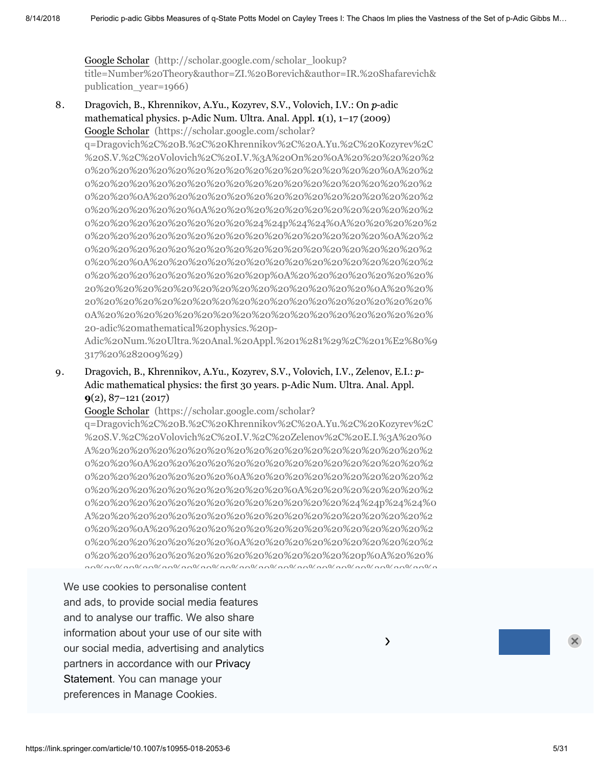Google Scholar (http://scholar.google.com/scholar\_lookup? [title=Number%20Theory&author=ZI.%20Borevich&author=IR.%20Shafarevich&](http://scholar.google.com/scholar_lookup?title=Number%20Theory&author=ZI.%20Borevich&author=IR.%20Shafarevich&publication_year=1966) publication\_year=1966)

8. Dragovich, B., Khrennikov, A.Yu., Kozyrev, S.V., Volovich, I.V.: On  $p$ -adic mathematical physics. p-Adic Num. Ultra. Anal. Appl. **1**(1), 1–17 (2009) Google Scholar (https://scholar.google.com/scholar?

q=Dragovich%2C%20B.%2C%20Khrennikov%2C%20A.Yu.%2C%20Kozyrev%2C %20S.V.%2C%20Volovich%2C%20I.V.%3A%20On%20%0A%20%20%20%20%2 0%20%20%20%20%20%20%20%20%20%20%20%20%20%20%20%0A%20%2 0%20%20%20%20%20%20%20%20%20%20%20%20%20%20%20%20%20%2 0%20%20%0A%20%20%20%20%20%20%20%20%20%20%20%20%20%20%2 0%20%20%20%20%20%0A%20%20%20%20%20%20%20%20%20%20%20%2 0%20%20%20%20%20%20%20%20%24%24p%24%24%0A%20%20%20%20%2 0%20%20%20%20%20%20%20%20%20%20%20%20%20%20%20%0A%20%2 0%20%20%20%20%20%20%20%20%20%20%20%20%20%20%20%20%20%2 0%20%20%0A%20%20%20%20%20%20%20%20%20%20%20%20%20%20%2 0%20%20%20%20%20%20%20%20%20p%0A%20%20%20%20%20%20%20% 20%20%20%20%20%20%20%20%20%20%20%20%20%20%20%0A%20%20% 20%20%20%20%20%20%20%20%20%20%20%20%20%20%20%20%20%20% 0A%20%20%20%20%20%20%20%20%20%20%20%20%20%20%20%20%20% 20-adic%20mathematical%20physics.%20p-

[Adic%20Num.%20Ultra.%20Anal.%20Appl.%201%281%29%2C%201%E2%80%9](https://scholar.google.com/scholar?q=Dragovich%2C%20B.%2C%20Khrennikov%2C%20A.Yu.%2C%20Kozyrev%2C%20S.V.%2C%20Volovich%2C%20I.V.%3A%20On%20%0A%20%20%20%20%20%20%20%20%20%20%20%20%20%20%20%20%20%20%20%20%0A%20%20%20%20%20%20%20%20%20%20%20%20%20%20%20%20%20%20%20%20%20%20%0A%20%20%20%20%20%20%20%20%20%20%20%20%20%20%20%20%20%20%20%20%0A%20%20%20%20%20%20%20%20%20%20%20%20%20%20%20%20%20%20%20%20%24%24p%24%24%0A%20%20%20%20%20%20%20%20%20%20%20%20%20%20%20%20%20%20%20%20%0A%20%20%20%20%20%20%20%20%20%20%20%20%20%20%20%20%20%20%20%20%20%20%0A%20%20%20%20%20%20%20%20%20%20%20%20%20%20%20%20%20%20%20%20%20%20%20%20p%0A%20%20%20%20%20%20%20%20%20%20%20%20%20%20%20%20%20%20%20%20%20%20%0A%20%20%20%20%20%20%20%20%20%20%20%20%20%20%20%20%20%20%20%20%0A%20%20%20%20%20%20%20%20%20%20%20%20%20%20%20%20%20%20-adic%20mathematical%20physics.%20p-Adic%20Num.%20Ultra.%20Anal.%20Appl.%201%281%29%2C%201%E2%80%9317%20%282009%29) 317%20%282009%29)

9. Dragovich, B., Khrennikov, A.Yu., Kozyrev, S.V., Volovich, I.V., Zelenov, E.I.:  $p$ -Adic mathematical physics: the first 30 years. p-Adic Num. Ultra. Anal. Appl. **9**(2), 87–121 (2017)

Google Scholar (https://scholar.google.com/scholar?

q=Dragovich%2C%20B.%2C%20Khrennikov%2C%20A.Yu.%2C%20Kozyrev%2C %20S.V.%2C%20Volovich%2C%20I.V.%2C%20Zelenov%2C%20E.I.%3A%20%0 A%20%20%20%20%20%20%20%20%20%20%20%20%20%20%20%20%20%2 0%20%20%0A%20%20%20%20%20%20%20%20%20%20%20%20%20%20%2 0%20%20%20%20%20%20%20%0A%20%20%20%20%20%20%20%20%20%2 0%20%20%20%20%20%20%20%20%20%20%0A%20%20%20%20%20%20%2 0%20%20%20%20%20%20%20%20%20%20%20%20%20%24%24p%24%24%0 A%20%20%20%20%20%20%20%20%20%20%20%20%20%20%20%20%20%2 0%20%20%0A%20%20%20%20%20%20%20%20%20%20%20%20%20%20%2 0%20%20%20%20%20%20%20%0A%20%20%20%20%20%20%20%20%20%2 0%20%20%20%20%20%20%20%20%20%20%20%20%20%20p%0A%20%20% [20%20%20%20%20%20%20%20%20%20%20%20%20%20%20%20%20%20%2](https://scholar.google.com/scholar?q=Dragovich%2C%20B.%2C%20Khrennikov%2C%20A.Yu.%2C%20Kozyrev%2C%20S.V.%2C%20Volovich%2C%20I.V.%2C%20Zelenov%2C%20E.I.%3A%20%0A%20%20%20%20%20%20%20%20%20%20%20%20%20%20%20%20%20%20%20%20%0A%20%20%20%20%20%20%20%20%20%20%20%20%20%20%20%20%20%20%20%20%20%20%0A%20%20%20%20%20%20%20%20%20%20%20%20%20%20%20%20%20%20%20%20%0A%20%20%20%20%20%20%20%20%20%20%20%20%20%20%20%20%20%20%20%20%24%24p%24%24%0A%20%20%20%20%20%20%20%20%20%20%20%20%20%20%20%20%20%20%20%20%0A%20%20%20%20%20%20%20%20%20%20%20%20%20%20%20%20%20%20%20%20%20%20%0A%20%20%20%20%20%20%20%20%20%20%20%20%20%20%20%20%20%20%20%20%20%20%20%20p%0A%20%20%20%20%20%20%20%20%20%20%20%20%20%20%20%20%20%20%20%20%20%20%0A%20%20%20%20%20%20%20%20%20%20%20%20%20%20%20%20%20%20%20%20%0A%20%20%20%20%20%20%20%20%20%20%20%20%20%20%20%20%20%20-Adic%20mathematical%20physics%3A%20the%20first%2030%20years.%20p-Adic%20Num.%20Ultra.%20Anal.%20Appl.%209%282%29%2C%2087%E2%80%93121%20%282017%29)

partners in accordance with our Privacy states: the free Islamin model is a free I We use cookies to personalise content 0%20%20%20%20%0A%20%20%20%20%20%20%20%20%20%20%20%20%2 and ads, to provide social media features and to analyse our traffic. We also share information about your use of our site with  $\sim$ our social media, advertising and analytics Statement. You can manage your manage of the statement. You can manage your preferences in Manage Cookies.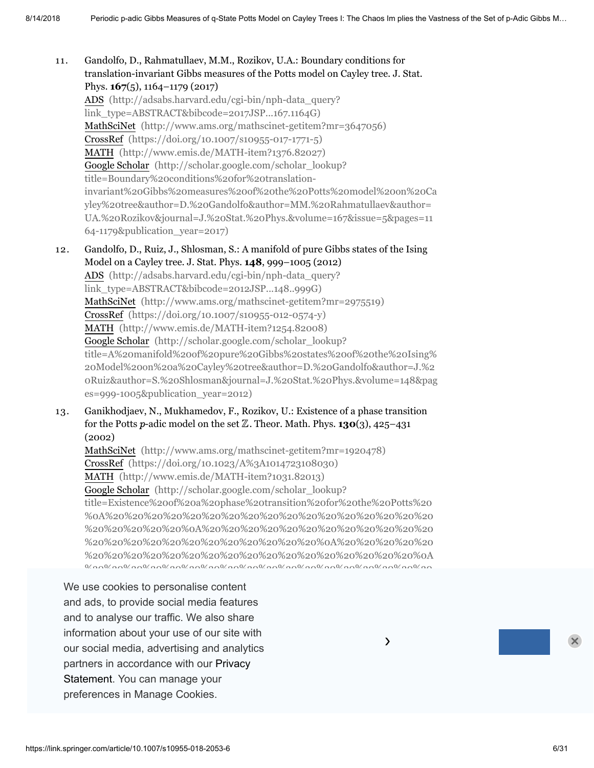11. Gandolfo, D., Rahmatullaev, M.M., Rozikov, U.A.: Boundary conditions for translation-invariant Gibbs measures of the Potts model on Cayley tree. J. Stat. Phys. **167**(5), 1164–1179 (2017) ADS (http://adsabs.harvard.edu/cgi-bin/nph-data\_query?

[link\\_type=ABSTRACT&bibcode=2017JSP...167.1164G\)](http://adsabs.harvard.edu/cgi-bin/nph-data_query?link_type=ABSTRACT&bibcode=2017JSP...167.1164G) MathSciNet [\(http://www.ams.org/mathscinet-getitem?mr=3647056\)](http://www.ams.org/mathscinet-getitem?mr=3647056) CrossRef [\(https://doi.org/10.1007/s10955-017-1771-5\)](https://doi.org/10.1007/s10955-017-1771-5) MATH [\(http://www.emis.de/MATH-item?1376.82027\)](http://www.emis.de/MATH-item?1376.82027) Google Scholar (http://scholar.google.com/scholar\_lookup? title=Boundary%20conditions%20for%20translation[invariant%20Gibbs%20measures%20of%20the%20Potts%20model%20on%20Ca](http://scholar.google.com/scholar_lookup?title=Boundary%20conditions%20for%20translation-invariant%20Gibbs%20measures%20of%20the%20Potts%20model%20on%20Cayley%20tree&author=D.%20Gandolfo&author=MM.%20Rahmatullaev&author=UA.%20Rozikov&journal=J.%20Stat.%20Phys.&volume=167&issue=5&pages=1164-1179&publication_year=2017) yley%20tree&author=D.%20Gandolfo&author=MM.%20Rahmatullaev&author= UA.%20Rozikov&journal=J.%20Stat.%20Phys.&volume=167&issue=5&pages=11 64-1179&publication\_year=2017)

- 12. Gandolfo, D., Ruiz, J., Shlosman, S.: A manifold of pure Gibbs states of the Ising Model on a Cayley tree. J. Stat. Phys. **148**, 999–1005 (2012) ADS (http://adsabs.harvard.edu/cgi-bin/nph-data\_query? [link\\_type=ABSTRACT&bibcode=2012JSP...148..999G\)](http://adsabs.harvard.edu/cgi-bin/nph-data_query?link_type=ABSTRACT&bibcode=2012JSP...148..999G) MathSciNet [\(http://www.ams.org/mathscinet-getitem?mr=2975519\)](http://www.ams.org/mathscinet-getitem?mr=2975519) CrossRef [\(https://doi.org/10.1007/s10955-012-0574-y\)](https://doi.org/10.1007/s10955-012-0574-y) MATH [\(http://www.emis.de/MATH-item?1254.82008\)](http://www.emis.de/MATH-item?1254.82008) Google Scholar (http://scholar.google.com/scholar\_lookup? title=A%20manifold%20of%20pure%20Gibbs%20states%20of%20the%20Ising% 20Model%20on%20a%20Cayley%20tree&author=D.%20Gandolfo&author=J.%2 [0Ruiz&author=S.%20Shlosman&journal=J.%20Stat.%20Phys.&volume=148&pag](http://scholar.google.com/scholar_lookup?title=A%20manifold%20of%20pure%20Gibbs%20states%20of%20the%20Ising%20Model%20on%20a%20Cayley%20tree&author=D.%20Gandolfo&author=J.%20Ruiz&author=S.%20Shlosman&journal=J.%20Stat.%20Phys.&volume=148&pages=999-1005&publication_year=2012) es=999-1005&publication\_year=2012)
- 13. Ganikhodjaev, N., Mukhamedov, F., Rozikov, U.: Existence of a phase transition for the Potts p-adic model on the set  $\mathbb{Z}.$  Theor. Math. Phys. **130**(3), 425–431 (2002)

MathSciNet [\(http://www.ams.org/mathscinet-getitem?mr=1920478\)](http://www.ams.org/mathscinet-getitem?mr=1920478) CrossRef [\(https://doi.org/10.1023/A%3A1014723108030\)](https://doi.org/10.1023/A%3A1014723108030) MATH [\(http://www.emis.de/MATH-item?1031.82013\)](http://www.emis.de/MATH-item?1031.82013) Google Scholar (http://scholar.google.com/scholar\_lookup? title=Existence%20of%20a%20phase%20transition%20for%20the%20Potts%20 %0A%20%20%20%20%20%20%20%20%20%20%20%20%20%20%20%20%20 %20%20%20%20%20%0A%20%20%20%20%20%20%20%20%20%20%20%20 %20%20%20%20%20%20%20%20%20%20%20%20%0A%20%20%20%20%20 %20%20%20%20%20%20%20%20%20%20%20%20%20%20%20%20%20%0A  $\frac{1}{20}$ 

We use cookies to personalise content %20%20%20%20%20%20%20%20%20%20%20%20%20%0A%20%20%20%20 %20%20%20%20%20%20%20%20%20%20%20%20%20%20%20%20%20%20 and ads, to provide social media features and to analyse our traffic. We also share information about your use of our site with  $\sim$ our social media, advertising and analytics **Exercise 20 and 20 analytics** partners in accordance with our Privacy 20%20 20%20 20%20 20%20 20%20 20%20 20%20 .<br>Statement. You can manage your 0%20%20%20%20%20%20%20%20 preferences in Manage Cookies.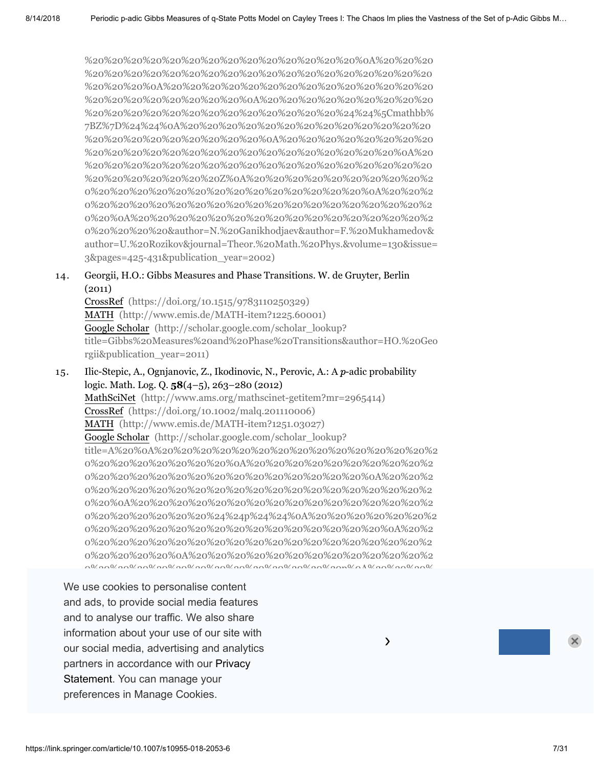%20%20%20%20%20%20%20%20%20%20%20%20%20%20%0A%20%20%20 %20%20%20%20%20%20%20%20%20%20%20%20%20%20%20%20%20%20 %20%20%20%0A%20%20%20%20%20%20%20%20%20%20%20%20%20%20 %20%20%20%20%20%20%20%20%0A%20%20%20%20%20%20%20%20%20 %20%20%20%20%20%20%20%20%20%20%20%20%20%24%24%5Cmathbb% 7BZ%7D%24%24%0A%20%20%20%20%20%20%20%20%20%20%20%20%20 %20%20%20%20%20%20%20%20%20%0A%20%20%20%20%20%20%20%20 %20%20%20%20%20%20%20%20%20%20%20%20%20%20%20%20%0A%20 %20%20%20%20%20%20%20%20%20%20%20%20%20%20%20%20%20%20 %20%20%20%20%20%20%20Z%0A%20%20%20%20%20%20%20%20%20%2 0%20%20%20%20%20%20%20%20%20%20%20%20%20%20%0A%20%20%2 0%20%20%20%20%20%20%20%20%20%20%20%20%20%20%20%20%20%2 0%20%0A%20%20%20%20%20%20%20%20%20%20%20%20%20%20%20%2 0%20%20%20%20&author=N.%20Ganikhodjaev&author=F.%20Mukhamedov& [author=U.%20Rozikov&journal=Theor.%20Math.%20Phys.&volume=130&issue=](http://scholar.google.com/scholar_lookup?title=Existence%20of%20a%20phase%20transition%20for%20the%20Potts%20%0A%20%20%20%20%20%20%20%20%20%20%20%20%20%20%20%20%20%20%20%20%20%20%0A%20%20%20%20%20%20%20%20%20%20%20%20%20%20%20%20%20%20%20%20%20%20%20%20%0A%20%20%20%20%20%20%20%20%20%20%20%20%20%20%20%20%20%20%20%20%20%20%0A%20%20%20%20%20%20%20%20%20%20%20%20%20%20%20%20%20%20%20%20%20%20%24%24p%24%24%0A%20%20%20%20%20%20%20%20%20%20%20%20%20%20%20%20%20%20%20%20%20%20%0A%20%20%20%20%20%20%20%20%20%20%20%20%20%20%20%20%20%20%20%20%20%20%20%20%0A%20%20%20%20%20%20%20%20%20%20%20%20%20%20%20%20%20%20%20%20%20%20%20%20%20%20p%0A%20%20%20%20%20%20%20%20%20%20%20%20%20%20%20%20%20%20%20%20%20%20%20%20%0A%20%20%20%20%20%20%20%20%20%20%20%20%20%20%20%20%20%20%20%20%20%20%0A%20%20%20%20%20%20%20%20%20%20%20%20%20%20%20%20%20%20%20%20-adic%20model%20on%20the%20set%20%0A%20%20%20%20%20%20%20%20%20%20%20%20%20%20%20%20%20%20%20%20%20%20%0A%20%20%20%20%20%20%20%20%20%20%20%20%20%20%20%20%20%20%20%20%20%20%20%20%0A%20%20%20%20%20%20%20%20%20%20%20%20%20%20%20%20%20%20%20%20%20%20%0A%20%20%20%20%20%20%20%20%20%20%20%20%20%20%20%20%20%20%20%20%20%20%24%24%5Cmathbb%7BZ%7D%24%24%0A%20%20%20%20%20%20%20%20%20%20%20%20%20%20%20%20%20%20%20%20%20%20%0A%20%20%20%20%20%20%20%20%20%20%20%20%20%20%20%20%20%20%20%20%20%20%20%20%0A%20%20%20%20%20%20%20%20%20%20%20%20%20%20%20%20%20%20%20%20%20%20%20%20%20%20Z%0A%20%20%20%20%20%20%20%20%20%20%20%20%20%20%20%20%20%20%20%20%20%20%20%20%0A%20%20%20%20%20%20%20%20%20%20%20%20%20%20%20%20%20%20%20%20%20%20%0A%20%20%20%20%20%20%20%20%20%20%20%20%20%20%20%20%20%20%20%20&author=N.%20Ganikhodjaev&author=F.%20Mukhamedov&author=U.%20Rozikov&journal=Theor.%20Math.%20Phys.&volume=130&issue=3&pages=425-431&publication_year=2002) 3&pages=425-431&publication\_year=2002)

14. Georgii, H.O.: Gibbs Measures and Phase Transitions. W. de Gruyter, Berlin (2011)

CrossRef [\(https://doi.org/10.1515/9783110250329\)](https://doi.org/10.1515/9783110250329) MATH [\(http://www.emis.de/MATH-item?1225.60001\)](http://www.emis.de/MATH-item?1225.60001) Google Scholar (http://scholar.google.com/scholar\_lookup? [title=Gibbs%20Measures%20and%20Phase%20Transitions&author=HO.%20Geo](http://scholar.google.com/scholar_lookup?title=Gibbs%20Measures%20and%20Phase%20Transitions&author=HO.%20Georgii&publication_year=2011) rgii&publication\_year=2011)

15. Ilic-Stepic, A., Ognjanovic, Z., Ikodinovic, N., Perovic, A.: A  $p$ -adic probability logic. Math. Log. Q. **58**(4–5), 263–280 (2012) MathSciNet [\(http://www.ams.org/mathscinet-getitem?mr=2965414\)](http://www.ams.org/mathscinet-getitem?mr=2965414) CrossRef [\(https://doi.org/10.1002/malq.201110006\)](https://doi.org/10.1002/malq.201110006) MATH [\(http://www.emis.de/MATH-item?1251.03027\)](http://www.emis.de/MATH-item?1251.03027) Google Scholar (http://scholar.google.com/scholar\_lookup? [title=A%20%0A%20%20%20%20%20%20%20%20%20%20%20%20%20%20%2](http://scholar.google.com/scholar_lookup?title=A%20%0A%20%20%20%20%20%20%20%20%20%20%20%20%20%20%20%20%20%20%20%20%20%20%0A%20%20%20%20%20%20%20%20%20%20%20%20%20%20%20%20%20%20%20%20%20%20%20%20%0A%20%20%20%20%20%20%20%20%20%20%20%20%20%20%20%20%20%20%20%20%20%20%0A%20%20%20%20%20%20%20%20%20%20%20%20%20%20%20%20%20%20%20%20%20%20%24%24p%24%24%0A%20%20%20%20%20%20%20%20%20%20%20%20%20%20%20%20%20%20%20%20%20%20%0A%20%20%20%20%20%20%20%20%20%20%20%20%20%20%20%20%20%20%20%20%20%20%20%20%0A%20%20%20%20%20%20%20%20%20%20%20%20%20%20%20%20%20%20%20%20%20%20%20%20%20%20p%0A%20%20%20%20%20%20%20%20%20%20%20%20%20%20%20%20%20%20%20%20%20%20%20%20%0A%20%20%20%20%20%20%20%20%20%20%20%20%20%20%20%20%20%20%20%20%20%20%0A%20%20%20%20%20%20%20%20%20%20%20%20%20%20%20%20%20%20%20%20-adic%20probability%20logic&author=A.%20Ilic-Stepic&author=Z.%20Ognjanovic&author=N.%20Ikodinovic&author=A.%20Perovic&journal=Math.%20Log.%20Q.&volume=58&issue=4%E2%80%935&pages=263-280&publication_year=2012) 0%20%20%20%20%20%20%20%0A%20%20%20%20%20%20%20%20%20%2 0%20%20%20%20%20%20%20%20%20%20%20%20%20%20%0A%20%20%2 0%20%20%20%20%20%20%20%20%20%20%20%20%20%20%20%20%20%2 0%20%0A%20%20%20%20%20%20%20%20%20%20%20%20%20%20%20%2 0%20%20%20%20%20%20%24%24p%24%24%0A%20%20%20%20%20%20%2 0%20%20%20%20%20%20%20%20%20%20%20%20%20%20%20%0A%20%2 0%20%20%20%20%20%20%20%20%20%20%20%20%20%20%20%20%20%2 0%20%20%20%20%0A%20%20%20%20%20%20%20%20%20%20%20%20%2 0%20%20%20%20%20%20%20%20%20%20%20%20%20p%0A%20%20%20%

preferences in Manage Cookies. The conditional order of the probability logic. 20%20%20%20%20%20%20%20%20%20%20%20%20%20%20%20%20%20%2 We use cookies to personalise content 0%20%20%0A%20%20%20%20%20%20%20%20%20%20%20%20%20%20%2 and ads, to provide social media features and to analyse our traffic. We also share information about your use of our site with Stepic&author=Z.%20Ognjanovic&author=N.%20Ikodinovic&author=A.%20Pero our social media, advertising and analytics partners in accordance with our Privacy and the state state of the state of the state of the state of the state .<br>Statement. You can manage your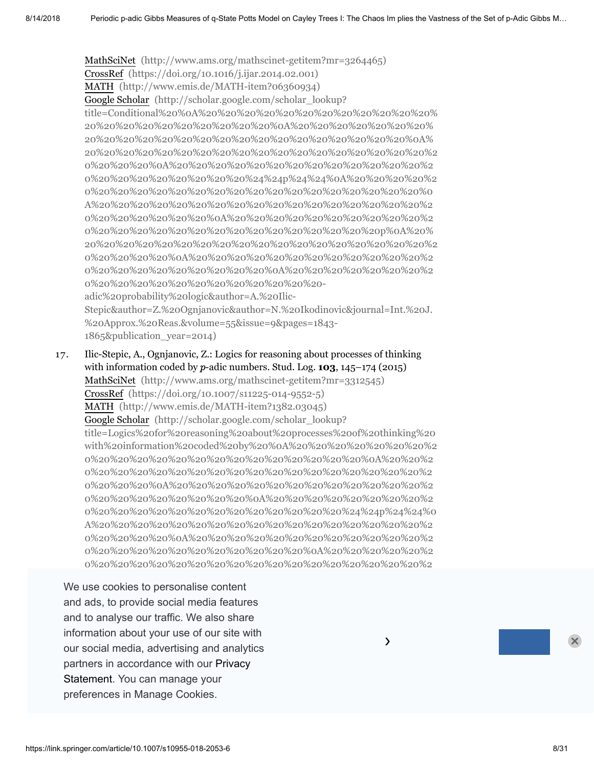MathSciNet [\(http://www.ams.org/mathscinet-getitem?mr=3264465\)](http://www.ams.org/mathscinet-getitem?mr=3264465) CrossRef [\(https://doi.org/10.1016/j.ijar.2014.02.001\)](https://doi.org/10.1016/j.ijar.2014.02.001) MATH [\(http://www.emis.de/MATH-item?06360934\)](http://www.emis.de/MATH-item?06360934) Google Scholar (http://scholar.google.com/scholar\_lookup? [title=Conditional%20%0A%20%20%20%20%20%20%20%20%20%20%20%20%](http://scholar.google.com/scholar_lookup?title=Conditional%20%0A%20%20%20%20%20%20%20%20%20%20%20%20%20%20%20%20%20%20%20%20%20%20%0A%20%20%20%20%20%20%20%20%20%20%20%20%20%20%20%20%20%20%20%20%20%20%20%20%0A%20%20%20%20%20%20%20%20%20%20%20%20%20%20%20%20%20%20%20%20%20%20%0A%20%20%20%20%20%20%20%20%20%20%20%20%20%20%20%20%20%20%20%20%20%20%24%24p%24%24%0A%20%20%20%20%20%20%20%20%20%20%20%20%20%20%20%20%20%20%20%20%20%20%0A%20%20%20%20%20%20%20%20%20%20%20%20%20%20%20%20%20%20%20%20%20%20%20%20%0A%20%20%20%20%20%20%20%20%20%20%20%20%20%20%20%20%20%20%20%20%20%20%20%20%20%20p%0A%20%20%20%20%20%20%20%20%20%20%20%20%20%20%20%20%20%20%20%20%20%20%20%20%0A%20%20%20%20%20%20%20%20%20%20%20%20%20%20%20%20%20%20%20%20%20%20%0A%20%20%20%20%20%20%20%20%20%20%20%20%20%20%20%20%20%20%20%20-adic%20probability%20logic&author=A.%20Ilic-Stepic&author=Z.%20Ognjanovic&author=N.%20Ikodinovic&journal=Int.%20J.%20Approx.%20Reas.&volume=55&issue=9&pages=1843-1865&publication_year=2014) 20%20%20%20%20%20%20%20%20%20%0A%20%20%20%20%20%20%20% 20%20%20%20%20%20%20%20%20%20%20%20%20%20%20%20%20%0A% 20%20%20%20%20%20%20%20%20%20%20%20%20%20%20%20%20%20%2 0%20%20%20%0A%20%20%20%20%20%20%20%20%20%20%20%20%20%2 0%20%20%20%20%20%20%20%20%24%24p%24%24%0A%20%20%20%20%2 0%20%20%20%20%20%20%20%20%20%20%20%20%20%20%20%20%20%0 A%20%20%20%20%20%20%20%20%20%20%20%20%20%20%20%20%20%2 0%20%20%20%20%20%20%0A%20%20%20%20%20%20%20%20%20%20%2 0%20%20%20%20%20%20%20%20%20%20%20%20%20%20%20p%0A%20% 20%20%20%20%20%20%20%20%20%20%20%20%20%20%20%20%20%20%2 0%20%20%20%20%0A%20%20%20%20%20%20%20%20%20%20%20%20%2 0%20%20%20%20%20%20%20%20%20%0A%20%20%20%20%20%20%20%2 0%20%20%20%20%20%20%20%20%20%20%20%20 adic%20probability%20logic&author=A.%20Ilic-Stepic&author=Z.%20Ognjanovic&author=N.%20Ikodinovic&journal=Int.%20J. %20Approx.%20Reas.&volume=55&issue=9&pages=1843-

1865&publication\_year=2014)

17. Ilic-Stepic, A., Ognjanovic, Z.: Logics for reasoning about processes of thinking with information coded by p-adic numbers. Stud. Log. **103**, 145–174 (2015) MathSciNet [\(http://www.ams.org/mathscinet-getitem?mr=3312545\)](http://www.ams.org/mathscinet-getitem?mr=3312545) CrossRef [\(https://doi.org/10.1007/s11225-014-9552-5\)](https://doi.org/10.1007/s11225-014-9552-5) MATH [\(http://www.emis.de/MATH-item?1382.03045\)](http://www.emis.de/MATH-item?1382.03045) Google Scholar (http://scholar.google.com/scholar\_lookup? title=Logics%20for%20reasoning%20about%20processes%20of%20thinking%20 [with%20information%20coded%20by%20%0A%20%20%20%20%20%20%20%2](http://scholar.google.com/scholar_lookup?title=Logics%20for%20reasoning%20about%20processes%20of%20thinking%20with%20information%20coded%20by%20%0A%20%20%20%20%20%20%20%20%20%20%20%20%20%20%20%20%20%20%20%20%20%20%0A%20%20%20%20%20%20%20%20%20%20%20%20%20%20%20%20%20%20%20%20%20%20%20%20%0A%20%20%20%20%20%20%20%20%20%20%20%20%20%20%20%20%20%20%20%20%20%20%0A%20%20%20%20%20%20%20%20%20%20%20%20%20%20%20%20%20%20%20%20%20%20%24%24p%24%24%0A%20%20%20%20%20%20%20%20%20%20%20%20%20%20%20%20%20%20%20%20%20%20%0A%20%20%20%20%20%20%20%20%20%20%20%20%20%20%20%20%20%20%20%20%20%20%20%20%0A%20%20%20%20%20%20%20%20%20%20%20%20%20%20%20%20%20%20%20%20%20%20%20%20%20%20p%0A%20%20%20%20%20%20%20%20%20%20%20%20%20%20%20%20%20%20%20%20%20%20%20%20%0A%20%20%20%20%20%20%20%20%20%20%20%20%20%20%20%20%20%20%20%20%20%20%0A%20%20%20%20%20%20%20%20%20%20%20%20%20%20%20%20%20%20%20%20-adic%20numbers&author=A.%20Ilic-Stepic&author=Z.%20Ognjanovic&journal=Stud.%20Log.&volume=103&pages=145-174&publication_year=2015) 0%20%20%20%20%20%20%20%20%20%20%20%20%20%20%0A%20%20%2 0%20%20%20%20%20%20%20%20%20%20%20%20%20%20%20%20%20%2 0%20%20%20%0A%20%20%20%20%20%20%20%20%20%20%20%20%20%2 0%20%20%20%20%20%20%20%20%0A%20%20%20%20%20%20%20%20%2 0%20%20%20%20%20%20%20%20%20%20%20%20%20%24%24p%24%24%0 A%20%20%20%20%20%20%20%20%20%20%20%20%20%20%20%20%20%2 0%20%20%20%20%0A%20%20%20%20%20%20%20%20%20%20%20%20%2 0%20%20%20%20%20%20%20%20%20%20%20%0A%20%20%20%20%20%2 0%20%20%20%20%20%20%20%20%20%20%20%20%20%20%20%20%20%2

**Statement**. You can manage your We use cookies to personalise content and ads, to provide social media features and to analyse our traffic. We also share  $\overline{\phantom{a}}$ information about your use of our site with our social media, advertising and analytics  $\overline{\phantom{a}}$ partners in [accordance](https://link.springer.com/privacystatement) with our Privacy p-Adic Num. Ultra. Anal. Appl. **8**(3), 177–203 (2016) preferences in Manage Cookies.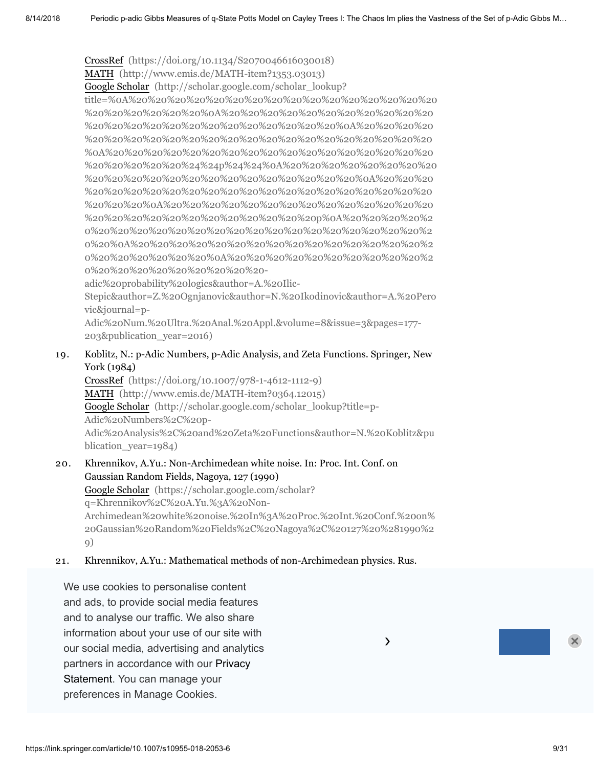CrossRef [\(https://doi.org/10.1134/S2070046616030018\)](https://doi.org/10.1134/S2070046616030018) MATH [\(http://www.emis.de/MATH-item?1353.03013\)](http://www.emis.de/MATH-item?1353.03013) Google Scholar (http://scholar.google.com/scholar\_lookup? [title=%0A%20%20%20%20%20%20%20%20%20%20%20%20%20%20%20%20](http://scholar.google.com/scholar_lookup?title=%0A%20%20%20%20%20%20%20%20%20%20%20%20%20%20%20%20%20%20%20%20%20%20%0A%20%20%20%20%20%20%20%20%20%20%20%20%20%20%20%20%20%20%20%20%20%20%20%20%0A%20%20%20%20%20%20%20%20%20%20%20%20%20%20%20%20%20%20%20%20%20%20%0A%20%20%20%20%20%20%20%20%20%20%20%20%20%20%20%20%20%20%20%20%20%20%24%24p%24%24%0A%20%20%20%20%20%20%20%20%20%20%20%20%20%20%20%20%20%20%20%20%20%20%0A%20%20%20%20%20%20%20%20%20%20%20%20%20%20%20%20%20%20%20%20%20%20%20%20%0A%20%20%20%20%20%20%20%20%20%20%20%20%20%20%20%20%20%20%20%20%20%20%20%20%20%20p%0A%20%20%20%20%20%20%20%20%20%20%20%20%20%20%20%20%20%20%20%20%20%20%20%20%0A%20%20%20%20%20%20%20%20%20%20%20%20%20%20%20%20%20%20%20%20%20%20%0A%20%20%20%20%20%20%20%20%20%20%20%20%20%20%20%20%20%20%20%20-adic%20probability%20logics&author=A.%20Ilic-Stepic&author=Z.%20Ognjanovic&author=N.%20Ikodinovic&author=A.%20Perovic&journal=p-Adic%20Num.%20Ultra.%20Anal.%20Appl.&volume=8&issue=3&pages=177-203&publication_year=2016) %20%20%20%20%20%20%0A%20%20%20%20%20%20%20%20%20%20%20 %20%20%20%20%20%20%20%20%20%20%20%20%20%0A%20%20%20%20 %20%20%20%20%20%20%20%20%20%20%20%20%20%20%20%20%20%20 %0A%20%20%20%20%20%20%20%20%20%20%20%20%20%20%20%20%20 %20%20%20%20%20%24%24p%24%24%0A%20%20%20%20%20%20%20%20 %20%20%20%20%20%20%20%20%20%20%20%20%20%20%0A%20%20%20 %20%20%20%20%20%20%20%20%20%20%20%20%20%20%20%20%20%20 %20%20%20%0A%20%20%20%20%20%20%20%20%20%20%20%20%20%20 %20%20%20%20%20%20%20%20%20%20%20%20p%0A%20%20%20%20%2 0%20%20%20%20%20%20%20%20%20%20%20%20%20%20%20%20%20%2 0%20%0A%20%20%20%20%20%20%20%20%20%20%20%20%20%20%20%2 0%20%20%20%20%20%20%0A%20%20%20%20%20%20%20%20%20%20%2 0%20%20%20%20%20%20%20%20%20 adic%20probability%20logics&author=A.%20Ilic-

Stepic&author=Z.%20Ognjanovic&author=N.%20Ikodinovic&author=A.%20Pero vic&journal=p-

Adic%20Num.%20Ultra.%20Anal.%20Appl.&volume=8&issue=3&pages=177- 203&publication\_year=2016)

19. Koblitz, N.: p-Adic Numbers, p-Adic Analysis, and Zeta Functions. Springer, New York (1984)

CrossRef [\(https://doi.org/10.1007/978-1-4612-1112-9\)](https://doi.org/10.1007/978-1-4612-1112-9) MATH [\(http://www.emis.de/MATH-item?0364.12015\)](http://www.emis.de/MATH-item?0364.12015) Google Scholar (http://scholar.google.com/scholar\_lookup?title=p-Adic%20Numbers%2C%20p-[Adic%20Analysis%2C%20and%20Zeta%20Functions&author=N.%20Koblitz&pu](http://scholar.google.com/scholar_lookup?title=p-Adic%20Numbers%2C%20p-Adic%20Analysis%2C%20and%20Zeta%20Functions&author=N.%20Koblitz&publication_year=1984) blication vear=1984)

20. Khrennikov, A.Yu.: Non-Archimedean white noise. In: Proc. Int. Conf. on Gaussian Random Fields, Nagoya, 127 (1990) Google Scholar (https://scholar.google.com/scholar? q=Khrennikov%2C%20A.Yu.%3A%20Non-[Archimedean%20white%20noise.%20In%3A%20Proc.%20Int.%20Conf.%20on%](https://scholar.google.com/scholar?q=Khrennikov%2C%20A.Yu.%3A%20Non-Archimedean%20white%20noise.%20In%3A%20Proc.%20Int.%20Conf.%20on%20Gaussian%20Random%20Fields%2C%20Nagoya%2C%20127%20%281990%29) 20Gaussian%20Random%20Fields%2C%20Nagoya%2C%20127%20%281990%2 9)

21. Khrennikov, A.Yu.: Mathematical methods of non-Archimedean physics. Rus.

our social media, advertising and analytics **but allow the control of the control of the control of the control o** We use cookies to personalise content and ads, to provide social media features and to analyse our traffic. We also share information about your use of our site with J. Math. Phys. **32**, 932–937 (1991) partners in accordance with our Privacy<br>... Statement. You can manage your 20 A.V. 20 A.V. 20 A.V. 20 A.V. 20 A.V. 20 A.V. 20 A.V. 20 A.V. 20 A.V. 20 A.V. preferences in Manage Cookies.  $\overline{\phantom{a}}$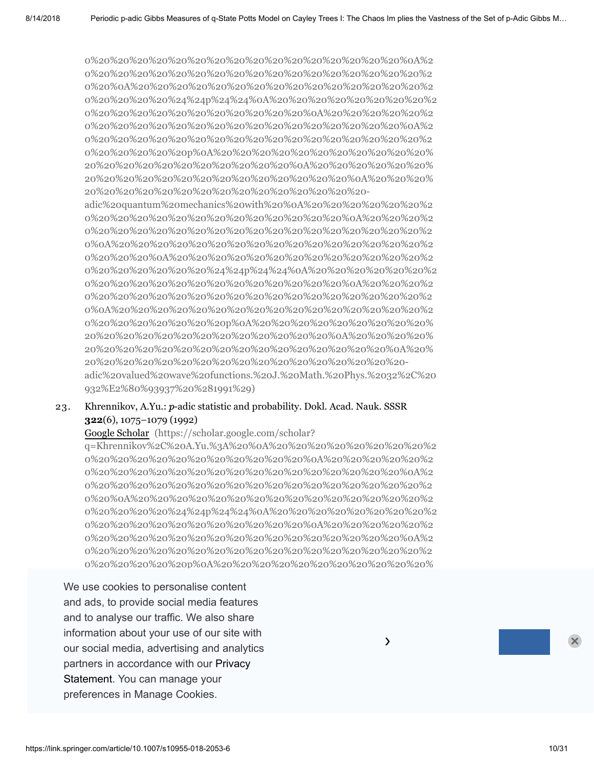0%20%20%20%20%20%20%20%20%20%20%20%20%20%20%20%20%0A%2 0%20%20%20%20%20%20%20%20%20%20%20%20%20%20%20%20%20%2 0%20%0A%20%20%20%20%20%20%20%20%20%20%20%20%20%20%20%2 0%20%20%20%20%24%24p%24%24%0A%20%20%20%20%20%20%20%20%2 0%20%20%20%20%20%20%20%20%20%20%20%0A%20%20%20%20%20%2 0%20%20%20%20%20%20%20%20%20%20%20%20%20%20%20%20%0A%2 0%20%20%20%20%20%20%20%20%20%20%20%20%20%20%20%20%20%2 0%20%20%20%20%20p%0A%20%20%20%20%20%20%20%20%20%20%20% 20%20%20%20%20%20%20%20%20%20%20%0A%20%20%20%20%20%20% 20%20%20%20%20%20%20%20%20%20%20%20%20%20%0A%20%20%20% 20%20%20%20%20%20%20%20%20%20%20%20%20%20%20 adic%20quantum%20mechanics%20with%20%0A%20%20%20%20%20%20%2

0%20%20%20%20%20%20%20%20%20%20%20%20%20%0A%20%20%20%2 0%20%20%20%20%20%20%20%20%20%20%20%20%20%20%20%20%20%2 0%0A%20%20%20%20%20%20%20%20%20%20%20%20%20%20%20%20%2 0%20%20%20%0A%20%20%20%20%20%20%20%20%20%20%20%20%20%2 [0%20%20%20%20%20%20%24%24p%24%24%0A%20%20%20%20%20%20%2](https://scholar.google.com/scholar?q=Khrennikov%2C%20A.Yu.%3A%20%0A%20%20%20%20%20%20%20%20%20%20%20%20%20%20%20%20%20%20%20%20%0A%20%20%20%20%20%20%20%20%20%20%20%20%20%20%20%20%20%20%20%20%20%20%0A%20%20%20%20%20%20%20%20%20%20%20%20%20%20%20%20%20%20%20%20%0A%20%20%20%20%20%20%20%20%20%20%20%20%20%20%20%20%20%20%20%20%24%24p%24%24%0A%20%20%20%20%20%20%20%20%20%20%20%20%20%20%20%20%20%20%20%20%0A%20%20%20%20%20%20%20%20%20%20%20%20%20%20%20%20%20%20%20%20%20%20%0A%20%20%20%20%20%20%20%20%20%20%20%20%20%20%20%20%20%20%20%20%20%20%20%20p%0A%20%20%20%20%20%20%20%20%20%20%20%20%20%20%20%20%20%20%20%20%20%20%0A%20%20%20%20%20%20%20%20%20%20%20%20%20%20%20%20%20%20%20%20%0A%20%20%20%20%20%20%20%20%20%20%20%20%20%20%20%20%20%20-adic%20quantum%20mechanics%20with%20%0A%20%20%20%20%20%20%20%20%20%20%20%20%20%20%20%20%20%20%20%20%0A%20%20%20%20%20%20%20%20%20%20%20%20%20%20%20%20%20%20%20%20%20%20%0A%20%20%20%20%20%20%20%20%20%20%20%20%20%20%20%20%20%20%20%20%0A%20%20%20%20%20%20%20%20%20%20%20%20%20%20%20%20%20%20%20%20%24%24p%24%24%0A%20%20%20%20%20%20%20%20%20%20%20%20%20%20%20%20%20%20%20%20%0A%20%20%20%20%20%20%20%20%20%20%20%20%20%20%20%20%20%20%20%20%20%20%0A%20%20%20%20%20%20%20%20%20%20%20%20%20%20%20%20%20%20%20%20%20%20%20%20p%0A%20%20%20%20%20%20%20%20%20%20%20%20%20%20%20%20%20%20%20%20%20%20%0A%20%20%20%20%20%20%20%20%20%20%20%20%20%20%20%20%20%20%20%20%0A%20%20%20%20%20%20%20%20%20%20%20%20%20%20%20%20%20%20-adic%20valued%20wave%20functions.%20J.%20Math.%20Phys.%2032%2C%20932%E2%80%93937%20%281991%29) 0%20%20%20%20%20%20%20%20%20%20%20%20%20%0A%20%20%20%2 0%20%20%20%20%20%20%20%20%20%20%20%20%20%20%20%20%20%2 0%0A%20%20%20%20%20%20%20%20%20%20%20%20%20%20%20%20%2 0%20%20%20%20%20%20%20p%0A%20%20%20%20%20%20%20%20%20% 20%20%20%20%20%20%20%20%20%20%20%20%20%0A%20%20%20%20% 20%20%20%20%20%20%20%20%20%20%20%20%20%20%20%20%0A%20% 20%20%20%20%20%20%20%20%20%20%20%20%20%20%20%20%20 adic%20valued%20wave%20functions.%20J.%20Math.%20Phys.%2032%2C%20 932%E2%80%93937%20%281991%29)

#### 23. Khrennikov, A.Yu.:  $p$ -adic statistic and probability. Dokl. Acad. Nauk. SSSR **322**(6), 1075–1079 (1992)

Google Scholar (https://scholar.google.com/scholar?

q=Khrennikov%2C%20A.Yu.%3A%20%0A%20%20%20%20%20%20%20%20%2 0%20%20%20%20%20%20%20%20%20%20%20%0A%20%20%20%20%20%2 0%20%20%20%20%20%20%20%20%20%20%20%20%20%20%20%20%0A%2 0%20%20%20%20%20%20%20%20%20%20%20%20%20%20%20%20%20%2 0%20%0A%20%20%20%20%20%20%20%20%20%20%20%20%20%20%20%2 [0%20%20%20%20%24%24p%24%24%0A%20%20%20%20%20%20%20%20%2](https://scholar.google.com/scholar?q=Khrennikov%2C%20A.Yu.%3A%20%0A%20%20%20%20%20%20%20%20%20%20%20%20%20%20%20%20%20%20%20%20%0A%20%20%20%20%20%20%20%20%20%20%20%20%20%20%20%20%20%20%20%20%20%20%0A%20%20%20%20%20%20%20%20%20%20%20%20%20%20%20%20%20%20%20%20%0A%20%20%20%20%20%20%20%20%20%20%20%20%20%20%20%20%20%20%20%20%24%24p%24%24%0A%20%20%20%20%20%20%20%20%20%20%20%20%20%20%20%20%20%20%20%20%0A%20%20%20%20%20%20%20%20%20%20%20%20%20%20%20%20%20%20%20%20%20%20%0A%20%20%20%20%20%20%20%20%20%20%20%20%20%20%20%20%20%20%20%20%20%20%20%20p%0A%20%20%20%20%20%20%20%20%20%20%20%20%20%20%20%20%20%20%20%20%20%20%0A%20%20%20%20%20%20%20%20%20%20%20%20%20%20%20%20%20%20%20%20%0A%20%20%20%20%20%20%20%20%20%20%20%20%20%20%20%20%20%20-adic%20statistic%20and%20probability.%20Dokl.%20Acad.%20Nauk.%20SSSR%20322%286%29%2C%201075%E2%80%931079%20%281992%29) 0%20%20%20%20%20%20%20%20%20%20%20%0A%20%20%20%20%20%2 0%20%20%20%20%20%20%20%20%20%20%20%20%20%20%20%20%0A%2 0%20%20%20%20%20%20%20%20%20%20%20%20%20%20%20%20%20%2 0%20%20%20%20%20p%0A%20%20%20%20%20%20%20%20%20%20%20%

our social media, advertising and analytics. The social media, and analytics of probabilities of the social media We use cookies to personalise content and ads, to provide social media features and to analyse our traffic. We also share.  $\blacksquare$ information about your use of our site with partners in accordance with our Privacy .<br>Statement. You can manage your [q=Khrennikov%2C%20A.Yu.%3A%20Axiomatics%20of%20the%20%0A%20%20](https://scholar.google.com/scholar?q=Khrennikov%2C%20A.Yu.%3A%20Axiomatics%20of%20the%20%0A%20%20%20%20%20%20%20%20%20%20%20%20%20%20%20%20%20%20%20%20%0A%20%20%20%20%20%20%20%20%20%20%20%20%20%20%20%20%20%20%20%20%20%20%0A%20%20%20%20%20%20%20%20%20%20%20%20%20%20%20%20%20%20%20%20%0A%20%20%20%20%20%20%20%20%20%20%20%20%20%20%20%20%20%20%20%20%24%24p%24%24%0A%20%20%20%20%20%20%20%20%20%20%20%20%20%20%20%20%20%20%20%20%0A%20%20%20%20%20%20%20%20%20%20%20%20%20%20%20%20%20%20%20%20%20%20%0A%20%20%20%20%20%20%20%20%20%20%20%20%20%20%20%20%20%20%20%20%20%20%20%20p%0A%20%20%20%20%20%20%20%20%20%20%20%20%20%20%20%20%20%20%20%20%20%20%0A%20%20%20%20%20%20%20%20%20%20%20%20%20%20%20%20%20%20%20%20%0A%20%20%20%20%20%20%20%20%20%20%20%20%20%20%20%20%20%20-adic%20theory%20of%20probabilities.%20Dokl.%20Acad.%20Nauk.%20SSSR%20326%285%29%2C%201075%E2%80%931079%20%281992%29) preferences in Manage Cookies.  $\overline{a}$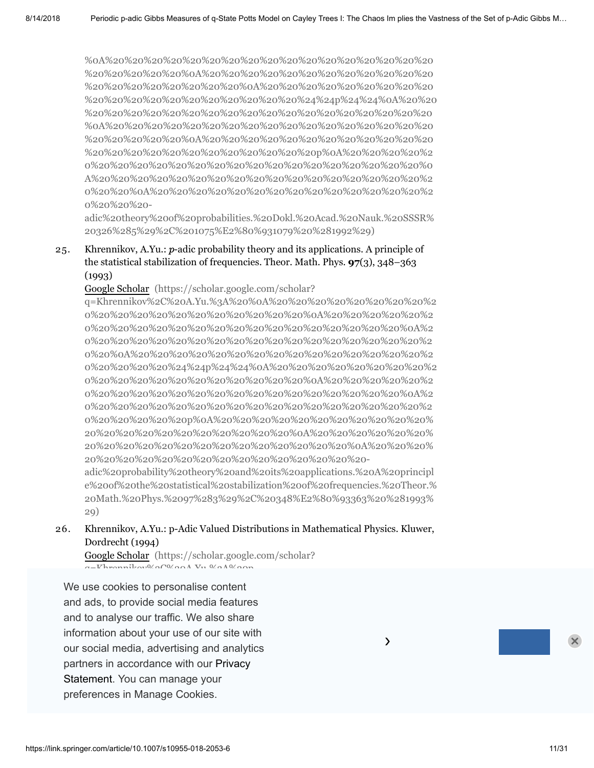%0A%20%20%20%20%20%20%20%20%20%20%20%20%20%20%20%20%20 %20%20%20%20%20%0A%20%20%20%20%20%20%20%20%20%20%20%20 %20%20%20%20%20%20%20%20%0A%20%20%20%20%20%20%20%20%20 [%20%20%20%20%20%20%20%20%20%20%20%24%24p%24%24%0A%20%20](https://scholar.google.com/scholar?q=Khrennikov%2C%20A.Yu.%3A%20Axiomatics%20of%20the%20%0A%20%20%20%20%20%20%20%20%20%20%20%20%20%20%20%20%20%20%20%20%0A%20%20%20%20%20%20%20%20%20%20%20%20%20%20%20%20%20%20%20%20%20%20%0A%20%20%20%20%20%20%20%20%20%20%20%20%20%20%20%20%20%20%20%20%0A%20%20%20%20%20%20%20%20%20%20%20%20%20%20%20%20%20%20%20%20%24%24p%24%24%0A%20%20%20%20%20%20%20%20%20%20%20%20%20%20%20%20%20%20%20%20%0A%20%20%20%20%20%20%20%20%20%20%20%20%20%20%20%20%20%20%20%20%20%20%0A%20%20%20%20%20%20%20%20%20%20%20%20%20%20%20%20%20%20%20%20%20%20%20%20p%0A%20%20%20%20%20%20%20%20%20%20%20%20%20%20%20%20%20%20%20%20%20%20%0A%20%20%20%20%20%20%20%20%20%20%20%20%20%20%20%20%20%20%20%20%0A%20%20%20%20%20%20%20%20%20%20%20%20%20%20%20%20%20%20-adic%20theory%20of%20probabilities.%20Dokl.%20Acad.%20Nauk.%20SSSR%20326%285%29%2C%201075%E2%80%931079%20%281992%29) %20%20%20%20%20%20%20%20%20%20%20%20%20%20%20%20%20%20 %0A%20%20%20%20%20%20%20%20%20%20%20%20%20%20%20%20%20 %20%20%20%20%20%0A%20%20%20%20%20%20%20%20%20%20%20%20 %20%20%20%20%20%20%20%20%20%20%20%20p%0A%20%20%20%20%2 0%20%20%20%20%20%20%20%20%20%20%20%20%20%20%20%20%20%0 A%20%20%20%20%20%20%20%20%20%20%20%20%20%20%20%20%20%2 0%20%20%0A%20%20%20%20%20%20%20%20%20%20%20%20%20%20%2 0%20%20%20-

adic%20theory%20of%20probabilities.%20Dokl.%20Acad.%20Nauk.%20SSSR% 20326%285%29%2C%201075%E2%80%931079%20%281992%29)

25. Khrennikov, A.Yu.:  $p$ -adic probability theory and its applications. A principle of the statistical stabilization of frequencies. Theor. Math. Phys. **97**(3), 348–363 (1993)

Google Scholar (https://scholar.google.com/scholar?

q=Khrennikov%2C%20A.Yu.%3A%20%0A%20%20%20%20%20%20%20%20%2 0%20%20%20%20%20%20%20%20%20%20%20%0A%20%20%20%20%20%2 0%20%20%20%20%20%20%20%20%20%20%20%20%20%20%20%20%0A%2 0%20%20%20%20%20%20%20%20%20%20%20%20%20%20%20%20%20%2 0%20%0A%20%20%20%20%20%20%20%20%20%20%20%20%20%20%20%2 [0%20%20%20%20%24%24p%24%24%0A%20%20%20%20%20%20%20%20%2](https://scholar.google.com/scholar?q=Khrennikov%2C%20A.Yu.%3A%20%0A%20%20%20%20%20%20%20%20%20%20%20%20%20%20%20%20%20%20%20%20%0A%20%20%20%20%20%20%20%20%20%20%20%20%20%20%20%20%20%20%20%20%20%20%0A%20%20%20%20%20%20%20%20%20%20%20%20%20%20%20%20%20%20%20%20%0A%20%20%20%20%20%20%20%20%20%20%20%20%20%20%20%20%20%20%20%20%24%24p%24%24%0A%20%20%20%20%20%20%20%20%20%20%20%20%20%20%20%20%20%20%20%20%0A%20%20%20%20%20%20%20%20%20%20%20%20%20%20%20%20%20%20%20%20%20%20%0A%20%20%20%20%20%20%20%20%20%20%20%20%20%20%20%20%20%20%20%20%20%20%20%20p%0A%20%20%20%20%20%20%20%20%20%20%20%20%20%20%20%20%20%20%20%20%20%20%0A%20%20%20%20%20%20%20%20%20%20%20%20%20%20%20%20%20%20%20%20%0A%20%20%20%20%20%20%20%20%20%20%20%20%20%20%20%20%20%20-adic%20probability%20theory%20and%20its%20applications.%20A%20principle%20of%20the%20statistical%20stabilization%20of%20frequencies.%20Theor.%20Math.%20Phys.%2097%283%29%2C%20348%E2%80%93363%20%281993%29) 0%20%20%20%20%20%20%20%20%20%20%20%0A%20%20%20%20%20%2 0%20%20%20%20%20%20%20%20%20%20%20%20%20%20%20%20%0A%2 0%20%20%20%20%20%20%20%20%20%20%20%20%20%20%20%20%20%2 0%20%20%20%20%20p%0A%20%20%20%20%20%20%20%20%20%20%20% 20%20%20%20%20%20%20%20%20%20%20%0A%20%20%20%20%20%20% 20%20%20%20%20%20%20%20%20%20%20%20%20%20%0A%20%20%20% 20%20%20%20%20%20%20%20%20%20%20%20%20%20%20-

adic%20probability%20theory%20and%20its%20applications.%20A%20principl e%20of%20the%20statistical%20stabilization%20of%20frequencies.%20Theor.% 20Math.%20Phys.%2097%283%29%2C%20348%E2%80%93363%20%281993% 29)

26. Khrennikov, A.Yu.: p-Adic Valued Distributions in Mathematical Physics. Kluwer, Dordrecht (1994)

Google Scholar (https://scholar.google.com/scholar?  $q=V$ hrennikov $\theta$ /00/00 $\lambda$  Vu.  $\theta$ /0 $\lambda$ 0/00

and to analyse our traffic. We also share We use cookies to personalise content and ads, to provide social media features axiomatic theories. Acta Math. Appl. Sin. **12**(1), 78–92 (1996) information about your use of our site with our social media, advertising and analytics partners in accordance with our Privacy  $\;$ matic%20theories.%20Acta%20Math.%20Appl.%20Sin.%2012%281%29%2C%20 Statement. You can manage your preferences in Manage Cookies.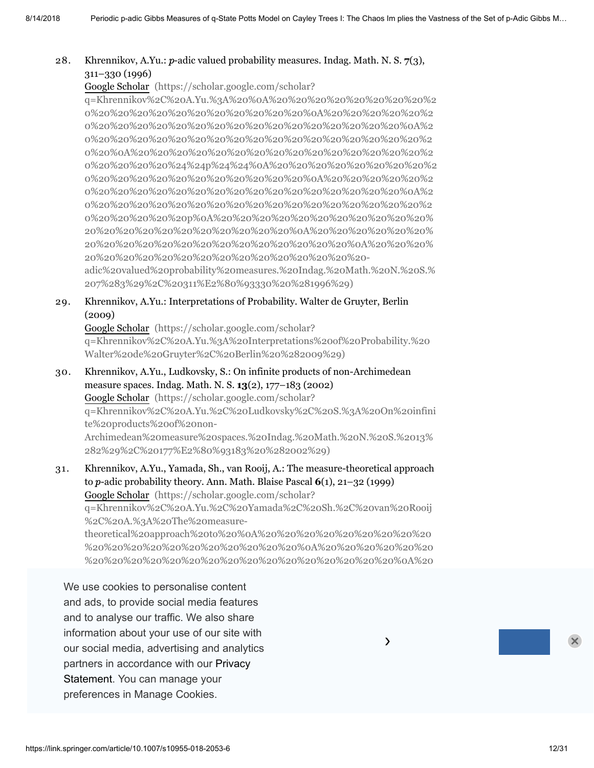#### 28. Khrennikov, A.Yu.:  $p$ -adic valued probability measures. Indag. Math. N. S.  $7(3)$ , 311–330 (1996)

Google Scholar (https://scholar.google.com/scholar?

q=Khrennikov%2C%20A.Yu.%3A%20%0A%20%20%20%20%20%20%20%20%2 0%20%20%20%20%20%20%20%20%20%20%20%0A%20%20%20%20%20%2 0%20%20%20%20%20%20%20%20%20%20%20%20%20%20%20%20%0A%2 0%20%20%20%20%20%20%20%20%20%20%20%20%20%20%20%20%20%2 0%20%0A%20%20%20%20%20%20%20%20%20%20%20%20%20%20%20%2 [0%20%20%20%20%24%24p%24%24%0A%20%20%20%20%20%20%20%20%2](https://scholar.google.com/scholar?q=Khrennikov%2C%20A.Yu.%3A%20%0A%20%20%20%20%20%20%20%20%20%20%20%20%20%20%20%20%20%20%20%20%0A%20%20%20%20%20%20%20%20%20%20%20%20%20%20%20%20%20%20%20%20%20%20%0A%20%20%20%20%20%20%20%20%20%20%20%20%20%20%20%20%20%20%20%20%0A%20%20%20%20%20%20%20%20%20%20%20%20%20%20%20%20%20%20%20%20%24%24p%24%24%0A%20%20%20%20%20%20%20%20%20%20%20%20%20%20%20%20%20%20%20%20%0A%20%20%20%20%20%20%20%20%20%20%20%20%20%20%20%20%20%20%20%20%20%20%0A%20%20%20%20%20%20%20%20%20%20%20%20%20%20%20%20%20%20%20%20%20%20%20%20p%0A%20%20%20%20%20%20%20%20%20%20%20%20%20%20%20%20%20%20%20%20%20%20%0A%20%20%20%20%20%20%20%20%20%20%20%20%20%20%20%20%20%20%20%20%0A%20%20%20%20%20%20%20%20%20%20%20%20%20%20%20%20%20%20-adic%20valued%20probability%20measures.%20Indag.%20Math.%20N.%20S.%207%283%29%2C%20311%E2%80%93330%20%281996%29) 0%20%20%20%20%20%20%20%20%20%20%20%0A%20%20%20%20%20%2 0%20%20%20%20%20%20%20%20%20%20%20%20%20%20%20%20%0A%2 0%20%20%20%20%20%20%20%20%20%20%20%20%20%20%20%20%20%2 0%20%20%20%20%20p%0A%20%20%20%20%20%20%20%20%20%20%20% 20%20%20%20%20%20%20%20%20%20%20%0A%20%20%20%20%20%20% 20%20%20%20%20%20%20%20%20%20%20%20%20%20%0A%20%20%20% 20%20%20%20%20%20%20%20%20%20%20%20%20%20%20 adic%20valued%20probability%20measures.%20Indag.%20Math.%20N.%20S.% 207%283%29%2C%20311%E2%80%93330%20%281996%29)

29. Khrennikov, A.Yu.: Interpretations of Probability. Walter de Gruyter, Berlin (2009)

Google Scholar (https://scholar.google.com/scholar? [q=Khrennikov%2C%20A.Yu.%3A%20Interpretations%20of%20Probability.%20](https://scholar.google.com/scholar?q=Khrennikov%2C%20A.Yu.%3A%20Interpretations%20of%20Probability.%20Walter%20de%20Gruyter%2C%20Berlin%20%282009%29) Walter%20de%20Gruyter%2C%20Berlin%20%282009%29)

- 30. Khrennikov, A.Yu., Ludkovsky, S.: On infinite products of non-Archimedean measure spaces. Indag. Math. N. S. **13**(2), 177–183 (2002) Google Scholar (https://scholar.google.com/scholar? [q=Khrennikov%2C%20A.Yu.%2C%20Ludkovsky%2C%20S.%3A%20On%20infini](https://scholar.google.com/scholar?q=Khrennikov%2C%20A.Yu.%2C%20Ludkovsky%2C%20S.%3A%20On%20infinite%20products%20of%20non-Archimedean%20measure%20spaces.%20Indag.%20Math.%20N.%20S.%2013%282%29%2C%20177%E2%80%93183%20%282002%29) te%20products%20of%20non-Archimedean%20measure%20spaces.%20Indag.%20Math.%20N.%20S.%2013% 282%29%2C%20177%E2%80%93183%20%282002%29)
- 31. Khrennikov, A.Yu., Yamada, Sh., van Rooij, A.: The measure-theoretical approach to p-adic probability theory. Ann. Math. Blaise Pascal **6**(1), 21–32 (1999) Google Scholar (https://scholar.google.com/scholar? q=Khrennikov%2C%20A.Yu.%2C%20Yamada%2C%20Sh.%2C%20van%20Rooij %2C%20A.%3A%20The%20measuretheoretical%20approach%20to%20%0A%20%20%20%20%20%20%20%20%20 %20%20%20%20%20%20%20%20%20%20%20%0A%20%20%20%20%20%20

%20%20%20%20%20%20%20%20%20%20%20%20%20%20%20%20%0A%20

We use cookies to personalise content 20%20 20%20 20%20 20%20 20%20 20%20 20%20 20%20 20%20 20%20 20%20 20%20 and ads, to provide social media features and to analyse our traffic. We also share %20%20%20%20%20%20%20%20%20%20%20%20%20%20%20%20%0A%20  $\mathop{\mathsf{information}}\nolimits$  about your use of our site with  $\qquad\qquad\qquad\qquad\qquad\qquad\qquad\qquad$ %20%20%20%20%20p%0A%20%20%20%20%20%20%20%20%20%20%20%2 our social media, advertising and analytics partners in accordance with our Privacy 20%20 20%20 20%20 20%20 20%20 20%20 20%20 Statement. You can manage your 20%20 20%20 20%20 20%20 20%20 20%20 20%20 20%20 20%20 0%20%20%20%20%20%20%20%20%20%20%20%20%20%20- preferences in Manage Cookies.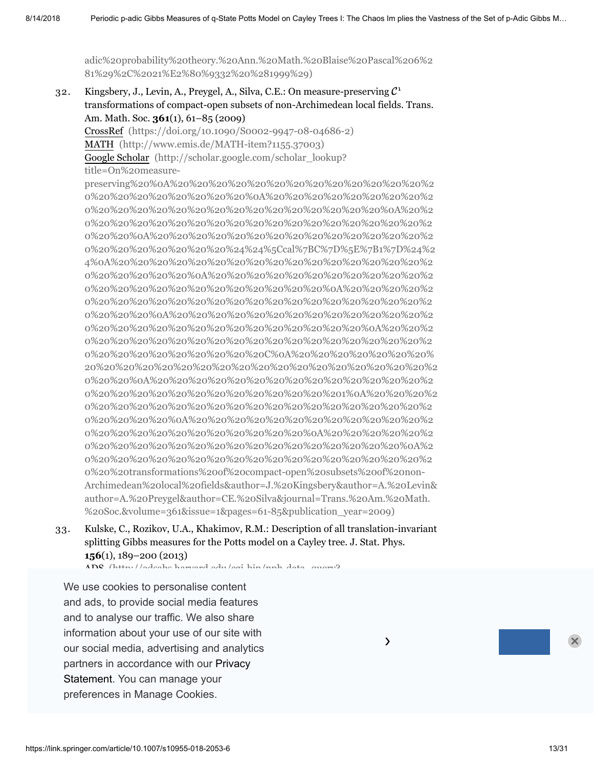[adic%20probability%20theory.%20Ann.%20Math.%20Blaise%20Pascal%206%2](https://scholar.google.com/scholar?q=Khrennikov%2C%20A.Yu.%2C%20Yamada%2C%20Sh.%2C%20van%20Rooij%2C%20A.%3A%20The%20measure-theoretical%20approach%20to%20%0A%20%20%20%20%20%20%20%20%20%20%20%20%20%20%20%20%20%20%20%20%0A%20%20%20%20%20%20%20%20%20%20%20%20%20%20%20%20%20%20%20%20%20%20%0A%20%20%20%20%20%20%20%20%20%20%20%20%20%20%20%20%20%20%20%20%0A%20%20%20%20%20%20%20%20%20%20%20%20%20%20%20%20%20%20%20%20%24%24p%24%24%0A%20%20%20%20%20%20%20%20%20%20%20%20%20%20%20%20%20%20%20%20%0A%20%20%20%20%20%20%20%20%20%20%20%20%20%20%20%20%20%20%20%20%20%20%0A%20%20%20%20%20%20%20%20%20%20%20%20%20%20%20%20%20%20%20%20%20%20%20%20p%0A%20%20%20%20%20%20%20%20%20%20%20%20%20%20%20%20%20%20%20%20%20%20%0A%20%20%20%20%20%20%20%20%20%20%20%20%20%20%20%20%20%20%20%20%0A%20%20%20%20%20%20%20%20%20%20%20%20%20%20%20%20%20%20-adic%20probability%20theory.%20Ann.%20Math.%20Blaise%20Pascal%206%281%29%2C%2021%E2%80%9332%20%281999%29) 81%29%2C%2021%E2%80%9332%20%281999%29)

32. Kingsbery, J., Levin, A., Preygel, A., Silva, C.E.: On measure-preserving  $C^1$ transformations of compact-open subsets of non-Archimedean local fields. Trans. Am. Math. Soc. **361**(1), 61–85 (2009) CrossRef [\(https://doi.org/10.1090/S0002-9947-08-04686-2\)](https://doi.org/10.1090/S0002-9947-08-04686-2) MATH [\(http://www.emis.de/MATH-item?1155.37003\)](http://www.emis.de/MATH-item?1155.37003)

Google Scholar (http://scholar.google.com/scholar\_lookup?

title=On%20measure-

preserving%20%0A%20%20%20%20%20%20%20%20%20%20%20%20%20%2 0%20%20%20%20%20%20%20%20%0A%20%20%20%20%20%20%20%20%2 0%20%20%20%20%20%20%20%20%20%20%20%20%20%20%20%0A%20%2 0%20%20%20%20%20%20%20%20%20%20%20%20%20%20%20%20%20%2 0%20%20%0A%20%20%20%20%20%20%20%20%20%20%20%20%20%20%2 0%20%20%20%20%20%20%20%24%24%5Ccal%7BC%7D%5E%7B1%7D%24%2 4%0A%20%20%20%20%20%20%20%20%20%20%20%20%20%20%20%20%2 0%20%20%20%20%20%0A%20%20%20%20%20%20%20%20%20%20%20%2 0%20%20%20%20%20%20%20%20%20%20%20%20%0A%20%20%20%20%2 0%20%20%20%20%20%20%20%20%20%20%20%20%20%20%20%20%20%2 0%20%20%20%0A%20%20%20%20%20%20%20%20%20%20%20%20%20%2 0%20%20%20%20%20%20%20%20%20%20%20%20%20%20%0A%20%20%2 0%20%20%20%20%20%20%20%20%20%20%20%20%20%20%20%20%20%2 0%20%20%20%20%20%20%20%20%20C%0A%20%20%20%20%20%20%20% [20%20%20%20%20%20%20%20%20%20%20%20%20%20%20%20%20%20%2](http://scholar.google.com/scholar_lookup?title=On%20measure-preserving%20%0A%20%20%20%20%20%20%20%20%20%20%20%20%20%20%20%20%20%20%20%20%20%20%0A%20%20%20%20%20%20%20%20%20%20%20%20%20%20%20%20%20%20%20%20%20%20%20%20%0A%20%20%20%20%20%20%20%20%20%20%20%20%20%20%20%20%20%20%20%20%20%20%0A%20%20%20%20%20%20%20%20%20%20%20%20%20%20%20%20%20%20%20%20%20%20%24%24%5Ccal%7BC%7D%5E%7B1%7D%24%24%0A%20%20%20%20%20%20%20%20%20%20%20%20%20%20%20%20%20%20%20%20%20%20%0A%20%20%20%20%20%20%20%20%20%20%20%20%20%20%20%20%20%20%20%20%20%20%20%20%0A%20%20%20%20%20%20%20%20%20%20%20%20%20%20%20%20%20%20%20%20%20%20%20%20%20%20%0A%20%20%20%20%20%20%20%20%20%20%20%20%20%20%20%20%20%20%20%20%20%20%20%20%20%20%20%20%0A%20%20%20%20%20%20%20%20%20%20%20%20%20%20%20%20%20%20%20%20%20%20%20%20%20%20%20%20%20%20C%0A%20%20%20%20%20%20%20%20%20%20%20%20%20%20%20%20%20%20%20%20%20%20%20%20%20%20%20%20%0A%20%20%20%20%20%20%20%20%20%20%20%20%20%20%20%20%20%20%20%20%20%20%20%20%20%20%20%201%0A%20%20%20%20%20%20%20%20%20%20%20%20%20%20%20%20%20%20%20%20%20%20%20%20%20%20%0A%20%20%20%20%20%20%20%20%20%20%20%20%20%20%20%20%20%20%20%20%20%20%20%20%0A%20%20%20%20%20%20%20%20%20%20%20%20%20%20%20%20%20%20%20%20%20%20%0A%20%20%20%20%20%20%20%20%20%20%20%20%20%20%20%20%20%20%20%20%20transformations%20of%20compact-open%20subsets%20of%20non-Archimedean%20local%20fields&author=J.%20Kingsbery&author=A.%20Levin&author=A.%20Preygel&author=CE.%20Silva&journal=Trans.%20Am.%20Math.%20Soc.&volume=361&issue=1&pages=61-85&publication_year=2009) 0%20%20%0A%20%20%20%20%20%20%20%20%20%20%20%20%20%20%2 0%20%20%20%20%20%20%20%20%20%20%20%20%201%0A%20%20%20%2 0%20%20%20%20%20%20%20%20%20%20%20%20%20%20%20%20%20%2 0%20%20%20%20%0A%20%20%20%20%20%20%20%20%20%20%20%20%2 0%20%20%20%20%20%20%20%20%20%20%20%0A%20%20%20%20%20%2 0%20%20%20%20%20%20%20%20%20%20%20%20%20%20%20%20%0A%2 0%20%20%20%20%20%20%20%20%20%20%20%20%20%20%20%20%20%2 0%20%20transformations%20of%20compact-open%20subsets%20of%20non-Archimedean%20local%20fields&author=J.%20Kingsbery&author=A.%20Levin& author=A.%20Preygel&author=CE.%20Silva&journal=Trans.%20Am.%20Math. %20Soc.&volume=361&issue=1&pages=61-85&publication\_year=2009)

33. Kulske, C., Rozikov, U.A., Khakimov, R.M.: Description of all translation-invariant splitting Gibbs measures for the Potts model on a Cayley tree. J. Stat. Phys. **156**(1), 189–200 (2013)

ADS (http://adsabs.harvard.edu/cgi-bin/nph-data\_query?

We use cookies to personalise content crossRef (https://doi.org/10.1007/s1095-014-0986-y). and ads, to provide social media features and to analyse our traffic. We also share information about your use of our site with our social media, advertising and analytics **2006** and 20 model in the 20the 20model in the 20the 20the 20the 20 partners in accordance with our Privacy extended and  $\sim$ .<br>Statement. You can manage your preferences in Manage Cookies.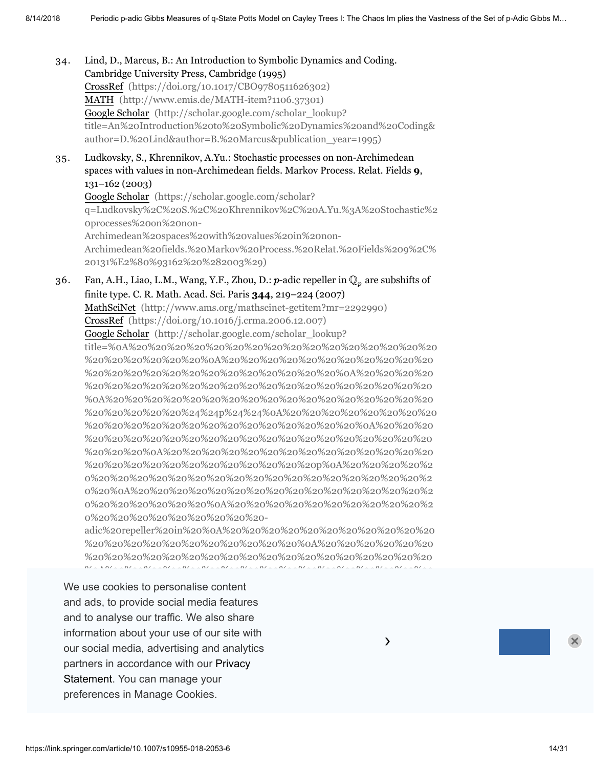34. 35. 36. Lind, D., Marcus, B.: An Introduction to Symbolic Dynamics and Coding. Cambridge University Press, Cambridge (1995) CrossRef [\(https://doi.org/10.1017/CBO9780511626302\)](https://doi.org/10.1017/CBO9780511626302) MATH [\(http://www.emis.de/MATH-item?1106.37301\)](http://www.emis.de/MATH-item?1106.37301) Google Scholar (http://scholar.google.com/scholar\_lookup? [title=An%20Introduction%20to%20Symbolic%20Dynamics%20and%20Coding&](http://scholar.google.com/scholar_lookup?title=An%20Introduction%20to%20Symbolic%20Dynamics%20and%20Coding&author=D.%20Lind&author=B.%20Marcus&publication_year=1995) author=D.%20Lind&author=B.%20Marcus&publication\_year=1995) Ludkovsky, S., Khrennikov, A.Yu.: Stochastic processes on non-Archimedean spaces with values in non-Archimedean fields. Markov Process. Relat. Fields **9**, 131–162 (2003) Google Scholar (https://scholar.google.com/scholar? [q=Ludkovsky%2C%20S.%2C%20Khrennikov%2C%20A.Yu.%3A%20Stochastic%2](https://scholar.google.com/scholar?q=Ludkovsky%2C%20S.%2C%20Khrennikov%2C%20A.Yu.%3A%20Stochastic%20processes%20on%20non-Archimedean%20spaces%20with%20values%20in%20non-Archimedean%20fields.%20Markov%20Process.%20Relat.%20Fields%209%2C%20131%E2%80%93162%20%282003%29) 0processes%20on%20non-Archimedean%20spaces%20with%20values%20in%20non-Archimedean%20fields.%20Markov%20Process.%20Relat.%20Fields%209%2C% 20131%E2%80%93162%20%282003%29) Fan, A.H., Liao, L.M., Wang, Y.F., Zhou, D.:  $p$ -adic repeller in  $\mathbb{Q}_p$  are subshifts of finite type. C. R. Math. Acad. Sci. Paris **344**, 219–224 (2007) MathSciNet [\(http://www.ams.org/mathscinet-getitem?mr=2292990\)](http://www.ams.org/mathscinet-getitem?mr=2292990) CrossRef [\(https://doi.org/10.1016/j.crma.2006.12.007\)](https://doi.org/10.1016/j.crma.2006.12.007) Google Scholar (http://scholar.google.com/scholar\_lookup? title=%0A%20%20%20%20%20%20%20%20%20%20%20%20%20%20%20%20 %20%20%20%20%20%20%0A%20%20%20%20%20%20%20%20%20%20%20 %20%20%20%20%20%20%20%20%20%20%20%20%20%0A%20%20%20%20 %20%20%20%20%20%20%20%20%20%20%20%20%20%20%20%20%20%20 %0A%20%20%20%20%20%20%20%20%20%20%20%20%20%20%20%20%20 %20%20%20%20%20%24%24p%24%24%0A%20%20%20%20%20%20%20%20 %20%20%20%20%20%20%20%20%20%20%20%20%20%20%0A%20%20%20 %20%20%20%20%20%20%20%20%20%20%20%20%20%20%20%20%20%20 %20%20%20%0A%20%20%20%20%20%20%20%20%20%20%20%20%20%20 %20%20%20%20%20%20%20%20%20%20%20%20p%0A%20%20%20%20%2 0%20%20%20%20%20%20%20%20%20%20%20%20%20%20%20%20%20%2 0%20%0A%20%20%20%20%20%20%20%20%20%20%20%20%20%20%20%2 0%20%20%20%20%20%20%0A%20%20%20%20%20%20%20%20%20%20%2 0%20%20%20%20%20%20%20%20%20 adic%20repeller%20in%20%0A%20%20%20%20%20%20%20%20%20%20%20 %20%20%20%20%20%20%20%20%20%20%20%0A%20%20%20%20%20%20 %20%20%20%20%20%20%20%20%20%20%20%20%20%20%20%20%20%20 %0A%20%20%20%20%20%20%20%20%20%20%20%20%20%20%20%20%20 We use cookies to personalise content and ads, to provide social media features

 $24.24$   $24.24$   $24.24$   $24.24$   $24.24$   $24.24$   $24.24$   $25.24$   $26.24$   $27.24$   $28.24$   $29.24$   $20.24$   $20.24$   $20.24$   $20.24$   $20.24$   $20.24$   $20.24$   $20.24$   $20.24$   $20.24$   $20.24$   $20.24$   $20.24$   $20.24$   $20.24$   $20.2$ and to analyse our traffic. We also share information about your use of our site with  $\sim$ our social media, advertising and analytics **Example 20%20** 20%20 20%20 20%20 20%20 partners in accordance with our Privacy 20%20 20%20 20%20 20%20 20%20 20%20 20%20 Statement. You can manage your 20%20 20%20 20%20 20%20 20%20 20%20 preferences in Manage Cookies.  $\overline{\phantom{a}}$ 0%20%20%20%20%20%20%20%20p%0A%20%20%20%20%20%20%20%20%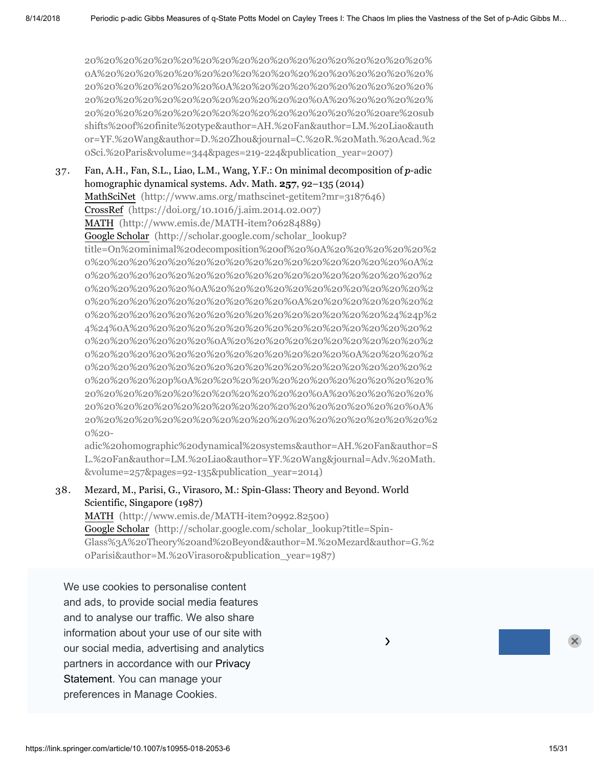20%20%20%20%20%20%20%20%20%20%20%20%20%20%20%20%20%20% 0A%20%20%20%20%20%20%20%20%20%20%20%20%20%20%20%20%20% 20%20%20%20%20%20%20%0A%20%20%20%20%20%20%20%20%20%20% 20%20%20%20%20%20%20%20%20%20%20%20%0A%20%20%20%20%20% 20%20%20%20%20%20%20%20%20%20%20%20%20%20%20%20are%20sub shifts%20of%20finite%20type&author=AH.%20Fan&author=LM.%20Liao&auth [or=YF.%20Wang&author=D.%20Zhou&journal=C.%20R.%20Math.%20Acad.%2](http://scholar.google.com/scholar_lookup?title=%0A%20%20%20%20%20%20%20%20%20%20%20%20%20%20%20%20%20%20%20%20%20%20%0A%20%20%20%20%20%20%20%20%20%20%20%20%20%20%20%20%20%20%20%20%20%20%20%20%0A%20%20%20%20%20%20%20%20%20%20%20%20%20%20%20%20%20%20%20%20%20%20%0A%20%20%20%20%20%20%20%20%20%20%20%20%20%20%20%20%20%20%20%20%20%20%24%24p%24%24%0A%20%20%20%20%20%20%20%20%20%20%20%20%20%20%20%20%20%20%20%20%20%20%0A%20%20%20%20%20%20%20%20%20%20%20%20%20%20%20%20%20%20%20%20%20%20%20%20%0A%20%20%20%20%20%20%20%20%20%20%20%20%20%20%20%20%20%20%20%20%20%20%20%20%20%20p%0A%20%20%20%20%20%20%20%20%20%20%20%20%20%20%20%20%20%20%20%20%20%20%20%20%0A%20%20%20%20%20%20%20%20%20%20%20%20%20%20%20%20%20%20%20%20%20%20%0A%20%20%20%20%20%20%20%20%20%20%20%20%20%20%20%20%20%20%20%20-adic%20repeller%20in%20%0A%20%20%20%20%20%20%20%20%20%20%20%20%20%20%20%20%20%20%20%20%20%20%0A%20%20%20%20%20%20%20%20%20%20%20%20%20%20%20%20%20%20%20%20%20%20%20%20%0A%20%20%20%20%20%20%20%20%20%20%20%20%20%20%20%20%20%20%20%20%20%20%0A%20%20%20%20%20%20%20%20%20%20%20%20%20%20%20%20%20%20%20%20%20%20%24%24%5Cmathbb%7BQ%7D_p%24%24%0A%20%20%20%20%20%20%20%20%20%20%20%20%20%20%20%20%20%20%20%20%20%20%0A%20%20%20%20%20%20%20%20%20%20%20%20%20%20%20%20%20%20%20%20%20%20%20%20%0A%20%20%20%20%20%20%20%20%20%20%20%20%20%20%20%20%20%20%20%20%20%20%20%20%20%20%0A%20%20%20%20%20%20%20%20%20%20%20%20%20%20%20%20%20%20%20%20%20%20%20%20%20%20%20%20Q%0A%20%20%20%20%20%20%20%20%20%20%20%20%20%20%20%20%20%20%20%20%20%20%20%20%20%20%20%20p%0A%20%20%20%20%20%20%20%20%20%20%20%20%20%20%20%20%20%20%20%20%20%20%20%20%20%20%0A%20%20%20%20%20%20%20%20%20%20%20%20%20%20%20%20%20%20%20%20%20%20%20%20%0A%20%20%20%20%20%20%20%20%20%20%20%20%20%20%20%20%20%20%20%20%20%20%0A%20%20%20%20%20%20%20%20%20%20%20%20%20%20%20%20%20%20%20%20%20are%20subshifts%20of%20finite%20type&author=AH.%20Fan&author=LM.%20Liao&author=YF.%20Wang&author=D.%20Zhou&journal=C.%20R.%20Math.%20Acad.%20Sci.%20Paris&volume=344&pages=219-224&publication_year=2007) 0Sci.%20Paris&volume=344&pages=219-224&publication\_year=2007)

37. Fan, A.H., Fan, S.L., Liao, L.M., Wang, Y.F.: On minimal decomposition of  $p$ -adic homographic dynamical systems. Adv. Math. **257**, 92–135 (2014) MathSciNet [\(http://www.ams.org/mathscinet-getitem?mr=3187646\)](http://www.ams.org/mathscinet-getitem?mr=3187646) CrossRef [\(https://doi.org/10.1016/j.aim.2014.02.007\)](https://doi.org/10.1016/j.aim.2014.02.007) MATH [\(http://www.emis.de/MATH-item?06284889\)](http://www.emis.de/MATH-item?06284889) Google Scholar (http://scholar.google.com/scholar\_lookup? title=On%20minimal%20decomposition%20of%20%0A%20%20%20%20%20%2 0%20%20%20%20%20%20%20%20%20%20%20%20%20%20%20%20%0A%2 0%20%20%20%20%20%20%20%20%20%20%20%20%20%20%20%20%20%2 0%20%20%20%20%20%0A%20%20%20%20%20%20%20%20%20%20%20%2 0%20%20%20%20%20%20%20%20%20%20%0A%20%20%20%20%20%20%2 0%20%20%20%20%20%20%20%20%20%20%20%20%20%20%20%24%24p%2 4%24%0A%20%20%20%20%20%20%20%20%20%20%20%20%20%20%20%2 0%20%20%20%20%20%20%0A%20%20%20%20%20%20%20%20%20%20%2 0%20%20%20%20%20%20%20%20%20%20%20%20%20%0A%20%20%20%2 0%20%20%20%20%20%20%20%20%20%20%20%20%20%20%20%20%20%2 0%20%20%20%20p%0A%20%20%20%20%20%20%20%20%20%20%20%20% 20%20%20%20%20%20%20%20%20%20%20%20%0A%20%20%20%20%20% 20%20%20%20%20%20%20%20%20%20%20%20%20%20%20%20%20%0A% [20%20%20%20%20%20%20%20%20%20%20%20%20%20%20%20%20%20%2](http://scholar.google.com/scholar_lookup?title=On%20minimal%20decomposition%20of%20%0A%20%20%20%20%20%20%20%20%20%20%20%20%20%20%20%20%20%20%20%20%20%20%0A%20%20%20%20%20%20%20%20%20%20%20%20%20%20%20%20%20%20%20%20%20%20%20%20%0A%20%20%20%20%20%20%20%20%20%20%20%20%20%20%20%20%20%20%20%20%20%20%0A%20%20%20%20%20%20%20%20%20%20%20%20%20%20%20%20%20%20%20%20%20%20%24%24p%24%24%0A%20%20%20%20%20%20%20%20%20%20%20%20%20%20%20%20%20%20%20%20%20%20%0A%20%20%20%20%20%20%20%20%20%20%20%20%20%20%20%20%20%20%20%20%20%20%20%20%0A%20%20%20%20%20%20%20%20%20%20%20%20%20%20%20%20%20%20%20%20%20%20%20%20%20%20p%0A%20%20%20%20%20%20%20%20%20%20%20%20%20%20%20%20%20%20%20%20%20%20%20%20%0A%20%20%20%20%20%20%20%20%20%20%20%20%20%20%20%20%20%20%20%20%20%20%0A%20%20%20%20%20%20%20%20%20%20%20%20%20%20%20%20%20%20%20%20-adic%20homographic%20dynamical%20systems&author=AH.%20Fan&author=SL.%20Fan&author=LM.%20Liao&author=YF.%20Wang&journal=Adv.%20Math.&volume=257&pages=92-135&publication_year=2014) 0%20-

adic%20homographic%20dynamical%20systems&author=AH.%20Fan&author=S L.%20Fan&author=LM.%20Liao&author=YF.%20Wang&journal=Adv.%20Math. &volume=257&pages=92-135&publication\_year=2014)

#### 38. Mezard, M., Parisi, G., Virasoro, M.: Spin-Glass: Theory and Beyond. World Scientific, Singapore (1987)

MATH [\(http://www.emis.de/MATH-item?0992.82500\)](http://www.emis.de/MATH-item?0992.82500) Google Scholar (http://scholar.google.com/scholar\_lookup?title=Spin-[Glass%3A%20Theory%20and%20Beyond&author=M.%20Mezard&author=G.%2](http://scholar.google.com/scholar_lookup?title=Spin-Glass%3A%20Theory%20and%20Beyond&author=M.%20Mezard&author=G.%20Parisi&author=M.%20Virasoro&publication_year=1987) 0Parisi&author=M.%20Virasoro&publication\_year=1987)

We use cookies to personalise content. Anal.  $\alpha$ and ads, to provide social media features and to analyse our traffic. We also share MATH [\(http://www.emis.de/MATH-item?1280.46047\)](http://www.emis.de/MATH-item?1280.46047) information about your use of our site with our social media, advertising and analytics **2006 2006** partners in accordance with our Privacy 20 and 20%20 20%20 20%20 20%20 20%20 20%20 Statement. You can manage your 20%20 20%20 20%20 20%20 20%20 20%20 20%20 20%20 20%20 %20%20%20%20%20%20%20%20%20%20%20%20%0A%20%20%20%20%20 preferences in Manage Cookies.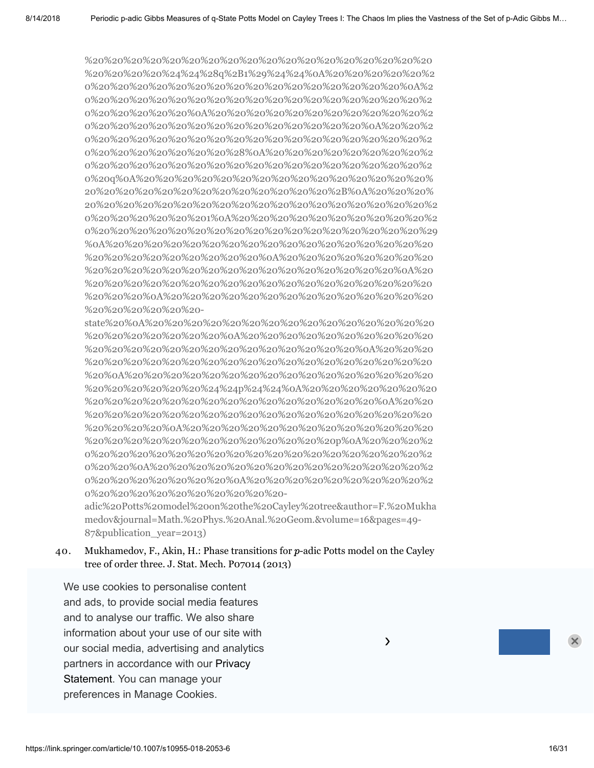%20%20%20%20%20%20%20%20%20%20%20%20%20%20%20%20%20%20 %20%20%20%20%24%24%28q%2B1%29%24%24%0A%20%20%20%20%20%2 0%20%20%20%20%20%20%20%20%20%20%20%20%20%20%20%20%0A%2 0%20%20%20%20%20%20%20%20%20%20%20%20%20%20%20%20%20%2 0%20%20%20%20%20%0A%20%20%20%20%20%20%20%20%20%20%20%2 0%20%20%20%20%20%20%20%20%20%20%20%20%20%20%0A%20%20%2 0%20%20%20%20%20%20%20%20%20%20%20%20%20%20%20%20%20%2 0%20%20%20%20%20%20%20%28%0A%20%20%20%20%20%20%20%20%2 0%20%20%20%20%20%20%20%20%20%20%20%20%20%20%20%20%20%2 0%20q%0A%20%20%20%20%20%20%20%20%20%20%20%20%20%20%20% 20%20%20%20%20%20%20%20%20%20%20%20%20%2B%0A%20%20%20% [20%20%20%20%20%20%20%20%20%20%20%20%20%20%20%20%20%20%2](http://scholar.google.com/scholar_lookup?title=On%20dynamical%20systems%20and%20phase%20transitions%20for%20%0A%20%20%20%20%20%20%20%20%20%20%20%20%20%20%20%20%20%20%20%20%20%20%0A%20%20%20%20%20%20%20%20%20%20%20%20%20%20%20%20%20%20%20%20%20%20%20%20%0A%20%20%20%20%20%20%20%20%20%20%20%20%20%20%20%20%20%20%20%20%20%20%0A%20%20%20%20%20%20%20%20%20%20%20%20%20%20%20%20%20%20%20%20%20%20%24%24%28q%2B1%29%24%24%0A%20%20%20%20%20%20%20%20%20%20%20%20%20%20%20%20%20%20%20%20%20%20%0A%20%20%20%20%20%20%20%20%20%20%20%20%20%20%20%20%20%20%20%20%20%20%20%20%0A%20%20%20%20%20%20%20%20%20%20%20%20%20%20%20%20%20%20%20%20%20%20%20%20%20%20%0A%20%20%20%20%20%20%20%20%20%20%20%20%20%20%20%20%20%20%20%20%20%20%20%20%20%20%20%20%28%0A%20%20%20%20%20%20%20%20%20%20%20%20%20%20%20%20%20%20%20%20%20%20%20%20%20%20%20%20q%0A%20%20%20%20%20%20%20%20%20%20%20%20%20%20%20%20%20%20%20%20%20%20%20%20%20%20%20%20%2B%0A%20%20%20%20%20%20%20%20%20%20%20%20%20%20%20%20%20%20%20%20%20%20%20%20%20%20%20%201%0A%20%20%20%20%20%20%20%20%20%20%20%20%20%20%20%20%20%20%20%20%20%20%20%20%20%20%20%20%29%0A%20%20%20%20%20%20%20%20%20%20%20%20%20%20%20%20%20%20%20%20%20%20%20%20%20%20%0A%20%20%20%20%20%20%20%20%20%20%20%20%20%20%20%20%20%20%20%20%20%20%20%20%0A%20%20%20%20%20%20%20%20%20%20%20%20%20%20%20%20%20%20%20%20%20%20%0A%20%20%20%20%20%20%20%20%20%20%20%20%20%20%20%20%20%20%20%20-state%20%0A%20%20%20%20%20%20%20%20%20%20%20%20%20%20%20%20%20%20%20%20%20%20%0A%20%20%20%20%20%20%20%20%20%20%20%20%20%20%20%20%20%20%20%20%20%20%20%20%0A%20%20%20%20%20%20%20%20%20%20%20%20%20%20%20%20%20%20%20%20%20%20%0A%20%20%20%20%20%20%20%20%20%20%20%20%20%20%20%20%20%20%20%20%20%20%24%24p%24%24%0A%20%20%20%20%20%20%20%20%20%20%20%20%20%20%20%20%20%20%20%20%20%20%0A%20%20%20%20%20%20%20%20%20%20%20%20%20%20%20%20%20%20%20%20%20%20%20%20%0A%20%20%20%20%20%20%20%20%20%20%20%20%20%20%20%20%20%20%20%20%20%20%20%20%20%20p%0A%20%20%20%20%20%20%20%20%20%20%20%20%20%20%20%20%20%20%20%20%20%20%20%20%0A%20%20%20%20%20%20%20%20%20%20%20%20%20%20%20%20%20%20%20%20%20%20%0A%20%20%20%20%20%20%20%20%20%20%20%20%20%20%20%20%20%20%20%20-adic%20Potts%20model%20on%20the%20Cayley%20tree&author=F.%20Mukhamedov&journal=Math.%20Phys.%20Anal.%20Geom.&volume=16&pages=49-87&publication_year=2013) 0%20%20%20%20%20%201%0A%20%20%20%20%20%20%20%20%20%20%2 0%20%20%20%20%20%20%20%20%20%20%20%20%20%20%20%20%20%29 %0A%20%20%20%20%20%20%20%20%20%20%20%20%20%20%20%20%20 %20%20%20%20%20%20%20%20%20%0A%20%20%20%20%20%20%20%20 %20%20%20%20%20%20%20%20%20%20%20%20%20%20%20%20%0A%20 %20%20%20%20%20%20%20%20%20%20%20%20%20%20%20%20%20%20 %20%20%20%0A%20%20%20%20%20%20%20%20%20%20%20%20%20%20 %20%20%20%20%20%20-

state%20%0A%20%20%20%20%20%20%20%20%20%20%20%20%20%20%20 %20%20%20%20%20%20%20%0A%20%20%20%20%20%20%20%20%20%20 %20%20%20%20%20%20%20%20%20%20%20%20%20%20%0A%20%20%20 %20%20%20%20%20%20%20%20%20%20%20%20%20%20%20%20%20%20 %20%0A%20%20%20%20%20%20%20%20%20%20%20%20%20%20%20%20 %20%20%20%20%20%20%24%24p%24%24%0A%20%20%20%20%20%20%20 %20%20%20%20%20%20%20%20%20%20%20%20%20%20%20%0A%20%20 %20%20%20%20%20%20%20%20%20%20%20%20%20%20%20%20%20%20 %20%20%20%20%0A%20%20%20%20%20%20%20%20%20%20%20%20%20 %20%20%20%20%20%20%20%20%20%20%20%20%20p%0A%20%20%20%2 0%20%20%20%20%20%20%20%20%20%20%20%20%20%20%20%20%20%2 0%20%20%0A%20%20%20%20%20%20%20%20%20%20%20%20%20%20%2 0%20%20%20%20%20%20%20%0A%20%20%20%20%20%20%20%20%20%2 0%20%20%20%20%20%20%20%20%20%20-

adic%20Potts%20model%20on%20the%20Cayley%20tree&author=F.%20Mukha medov&journal=Math.%20Phys.%20Anal.%20Geom.&volume=16&pages=49- 87&publication\_year=2013)

#### 40. Mukhamedov, F., Akin, H.: Phase transitions for  $p$ -adic Potts model on the Cayley tree of order three. J. Stat. Mech. Pozo14 (2013)

We use cookies to personalise content and ads, to provide social media features and to analyse our traffic. We also share  $\overline{\phantom{a}}$ information about your use of our site with  $\sim$ our social media, advertising and analytics  $\overline{\phantom{a}}$ %20%20%20%20%20%20%20%20%20%20%20%20%20%20%20%20%20%24 partners in accordance with our Privacy Statement. You can manage your preferences in Manage Cookies.  $\overline{a}$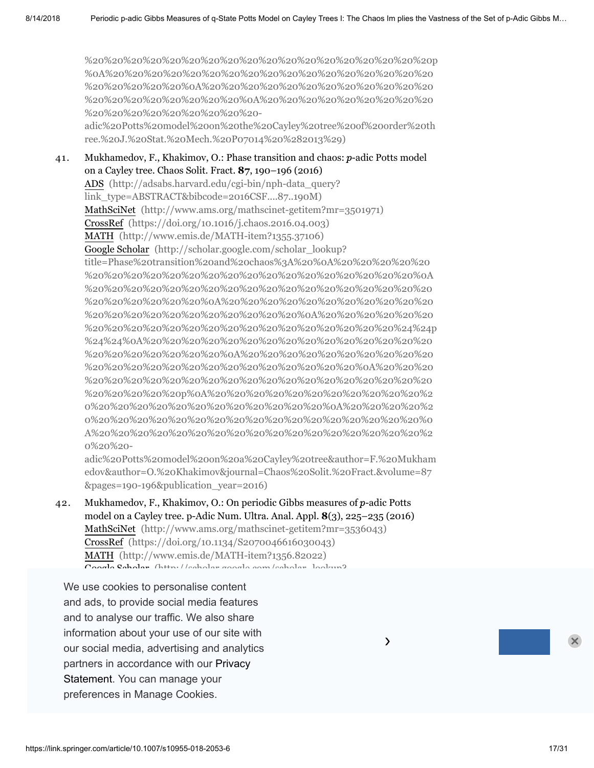[%20%20%20%20%20%20%20%20%20%20%20%20%20%20%20%20%20%20p](https://scholar.google.com/scholar?q=Mukhamedov%2C%20F.%2C%20Akin%2C%20H.%3A%20Phase%20transitions%20for%20%0A%20%20%20%20%20%20%20%20%20%20%20%20%20%20%20%20%20%20%20%20%0A%20%20%20%20%20%20%20%20%20%20%20%20%20%20%20%20%20%20%20%20%20%20%0A%20%20%20%20%20%20%20%20%20%20%20%20%20%20%20%20%20%20%20%20%0A%20%20%20%20%20%20%20%20%20%20%20%20%20%20%20%20%20%20%20%20%24%24p%24%24%0A%20%20%20%20%20%20%20%20%20%20%20%20%20%20%20%20%20%20%20%20%0A%20%20%20%20%20%20%20%20%20%20%20%20%20%20%20%20%20%20%20%20%20%20%0A%20%20%20%20%20%20%20%20%20%20%20%20%20%20%20%20%20%20%20%20%20%20%20%20p%0A%20%20%20%20%20%20%20%20%20%20%20%20%20%20%20%20%20%20%20%20%20%20%0A%20%20%20%20%20%20%20%20%20%20%20%20%20%20%20%20%20%20%20%20%0A%20%20%20%20%20%20%20%20%20%20%20%20%20%20%20%20%20%20-adic%20Potts%20model%20on%20the%20Cayley%20tree%20of%20order%20three.%20J.%20Stat.%20Mech.%20P07014%20%282013%29) %0A%20%20%20%20%20%20%20%20%20%20%20%20%20%20%20%20%20 %20%20%20%20%20%0A%20%20%20%20%20%20%20%20%20%20%20%20 %20%20%20%20%20%20%20%20%0A%20%20%20%20%20%20%20%20%20 %20%20%20%20%20%20%20%20%20-

adic%20Potts%20model%20on%20the%20Cayley%20tree%20of%20order%20th ree.%20J.%20Stat.%20Mech.%20P07014%20%282013%29)

41. Mukhamedov, F., Khakimov, O.: Phase transition and chaos:  $p$ -adic Potts model on a Cayley tree. Chaos Solit. Fract. **87**, 190–196 (2016) ADS (http://adsabs.harvard.edu/cgi-bin/nph-data\_query? [link\\_type=ABSTRACT&bibcode=2016CSF....87..190M\)](http://adsabs.harvard.edu/cgi-bin/nph-data_query?link_type=ABSTRACT&bibcode=2016CSF....87..190M) MathSciNet [\(http://www.ams.org/mathscinet-getitem?mr=3501971\)](http://www.ams.org/mathscinet-getitem?mr=3501971) CrossRef [\(https://doi.org/10.1016/j.chaos.2016.04.003\)](https://doi.org/10.1016/j.chaos.2016.04.003) MATH [\(http://www.emis.de/MATH-item?1355.37106\)](http://www.emis.de/MATH-item?1355.37106) Google Scholar (http://scholar.google.com/scholar\_lookup? title=Phase%20transition%20and%20chaos%3A%20%0A%20%20%20%20%20 %20%20%20%20%20%20%20%20%20%20%20%20%20%20%20%20%20%0A %20%20%20%20%20%20%20%20%20%20%20%20%20%20%20%20%20%20 %20%20%20%20%20%20%0A%20%20%20%20%20%20%20%20%20%20%20 %20%20%20%20%20%20%20%20%20%20%20%0A%20%20%20%20%20%20 [%20%20%20%20%20%20%20%20%20%20%20%20%20%20%20%20%24%24p](http://scholar.google.com/scholar_lookup?title=Phase%20transition%20and%20chaos%3A%20%0A%20%20%20%20%20%20%20%20%20%20%20%20%20%20%20%20%20%20%20%20%20%20%0A%20%20%20%20%20%20%20%20%20%20%20%20%20%20%20%20%20%20%20%20%20%20%20%20%0A%20%20%20%20%20%20%20%20%20%20%20%20%20%20%20%20%20%20%20%20%20%20%0A%20%20%20%20%20%20%20%20%20%20%20%20%20%20%20%20%20%20%20%20%20%20%24%24p%24%24%0A%20%20%20%20%20%20%20%20%20%20%20%20%20%20%20%20%20%20%20%20%20%20%0A%20%20%20%20%20%20%20%20%20%20%20%20%20%20%20%20%20%20%20%20%20%20%20%20%0A%20%20%20%20%20%20%20%20%20%20%20%20%20%20%20%20%20%20%20%20%20%20%20%20%20%20p%0A%20%20%20%20%20%20%20%20%20%20%20%20%20%20%20%20%20%20%20%20%20%20%20%20%0A%20%20%20%20%20%20%20%20%20%20%20%20%20%20%20%20%20%20%20%20%20%20%0A%20%20%20%20%20%20%20%20%20%20%20%20%20%20%20%20%20%20%20%20-adic%20Potts%20model%20on%20a%20Cayley%20tree&author=F.%20Mukhamedov&author=O.%20Khakimov&journal=Chaos%20Solit.%20Fract.&volume=87&pages=190-196&publication_year=2016) %24%24%0A%20%20%20%20%20%20%20%20%20%20%20%20%20%20%20 %20%20%20%20%20%20%20%0A%20%20%20%20%20%20%20%20%20%20 %20%20%20%20%20%20%20%20%20%20%20%20%20%20%0A%20%20%20 %20%20%20%20%20%20%20%20%20%20%20%20%20%20%20%20%20%20 %20%20%20%20%20p%0A%20%20%20%20%20%20%20%20%20%20%20%2 0%20%20%20%20%20%20%20%20%20%20%20%20%0A%20%20%20%20%2 0%20%20%20%20%20%20%20%20%20%20%20%20%20%20%20%20%20%0 A%20%20%20%20%20%20%20%20%20%20%20%20%20%20%20%20%20%2 0%20%20-

adic%20Potts%20model%20on%20a%20Cayley%20tree&author=F.%20Mukham edov&author=O.%20Khakimov&journal=Chaos%20Solit.%20Fract.&volume=87 &pages=190-196&publication\_year=2016)

42. Mukhamedov, F., Khakimov, O.: On periodic Gibbs measures of  $p$ -adic Potts model on a Cayley tree. p-Adic Num. Ultra. Anal. Appl. **8**(3), 225–235 (2016) MathSciNet [\(http://www.ams.org/mathscinet-getitem?mr=3536043\)](http://www.ams.org/mathscinet-getitem?mr=3536043) CrossRef [\(https://doi.org/10.1134/S2070046616030043\)](https://doi.org/10.1134/S2070046616030043) MATH [\(http://www.emis.de/MATH-item?1356.82022\)](http://www.emis.de/MATH-item?1356.82022) Google Cabalar (http://scholar.google.com/scholar\_lookup?

We use cookies to personalise content 0%20%20%20%20%20%20%20%20%20%20%20%20%20%20%20%20%20%0 and ads, to provide social media features and to analyse our traffic. We also share information about your use of our site with  $\sim$ our social media, advertising and analytics **Exercise 20 and 20 analytics** partners in accordance with our Privacy 20%20 20%20 20%20 20%20 20%20 20%20 20%20 .<br>Statement. You can manage your  $\frac{1}{2}$ preferences in Manage Cookies.  $\overline{a}$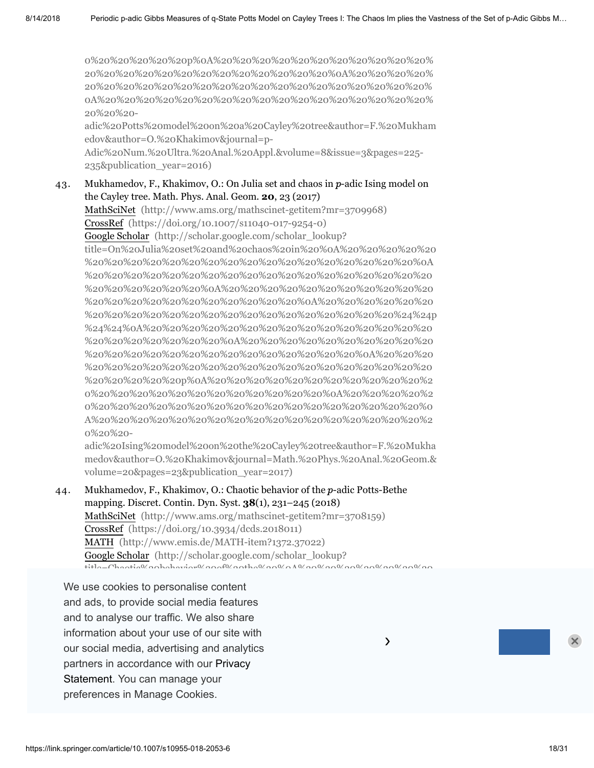0%20%20%20%20%20p%0A%20%20%20%20%20%20%20%20%20%20%20% 20%20%20%20%20%20%20%20%20%20%20%20%20%0A%20%20%20%20% 20%20%20%20%20%20%20%20%20%20%20%20%20%20%20%20%20%20% 0A%20%20%20%20%20%20%20%20%20%20%20%20%20%20%20%20%20% 20%20%20-

[adic%20Potts%20model%20on%20a%20Cayley%20tree&author=F.%20Mukham](http://scholar.google.com/scholar_lookup?title=On%20periodic%20Gibbs%20measures%20of%20%0A%20%20%20%20%20%20%20%20%20%20%20%20%20%20%20%20%20%20%20%20%20%20%0A%20%20%20%20%20%20%20%20%20%20%20%20%20%20%20%20%20%20%20%20%20%20%20%20%0A%20%20%20%20%20%20%20%20%20%20%20%20%20%20%20%20%20%20%20%20%20%20%0A%20%20%20%20%20%20%20%20%20%20%20%20%20%20%20%20%20%20%20%20%20%20%24%24p%24%24%0A%20%20%20%20%20%20%20%20%20%20%20%20%20%20%20%20%20%20%20%20%20%20%0A%20%20%20%20%20%20%20%20%20%20%20%20%20%20%20%20%20%20%20%20%20%20%20%20%0A%20%20%20%20%20%20%20%20%20%20%20%20%20%20%20%20%20%20%20%20%20%20%20%20%20%20p%0A%20%20%20%20%20%20%20%20%20%20%20%20%20%20%20%20%20%20%20%20%20%20%20%20%0A%20%20%20%20%20%20%20%20%20%20%20%20%20%20%20%20%20%20%20%20%20%20%0A%20%20%20%20%20%20%20%20%20%20%20%20%20%20%20%20%20%20%20%20-adic%20Potts%20model%20on%20a%20Cayley%20tree&author=F.%20Mukhamedov&author=O.%20Khakimov&journal=p-Adic%20Num.%20Ultra.%20Anal.%20Appl.&volume=8&issue=3&pages=225-235&publication_year=2016) edov&author=O.%20Khakimov&journal=p-

Adic%20Num.%20Ultra.%20Anal.%20Appl.&volume=8&issue=3&pages=225- 235&publication\_year=2016)

#### 43. Mukhamedov, F., Khakimov, O.: On Julia set and chaos in  $p$ -adic Ising model on the Cayley tree. Math. Phys. Anal. Geom. **20**, 23 (2017)

MathSciNet [\(http://www.ams.org/mathscinet-getitem?mr=3709968\)](http://www.ams.org/mathscinet-getitem?mr=3709968) CrossRef [\(https://doi.org/10.1007/s11040-017-9254-0\)](https://doi.org/10.1007/s11040-017-9254-0) Google Scholar (http://scholar.google.com/scholar\_lookup? title=On%20Julia%20set%20and%20chaos%20in%20%0A%20%20%20%20%20 %20%20%20%20%20%20%20%20%20%20%20%20%20%20%20%20%20%0A %20%20%20%20%20%20%20%20%20%20%20%20%20%20%20%20%20%20 %20%20%20%20%20%20%0A%20%20%20%20%20%20%20%20%20%20%20 %20%20%20%20%20%20%20%20%20%20%20%0A%20%20%20%20%20%20 [%20%20%20%20%20%20%20%20%20%20%20%20%20%20%20%20%24%24p](http://scholar.google.com/scholar_lookup?title=On%20Julia%20set%20and%20chaos%20in%20%0A%20%20%20%20%20%20%20%20%20%20%20%20%20%20%20%20%20%20%20%20%20%20%0A%20%20%20%20%20%20%20%20%20%20%20%20%20%20%20%20%20%20%20%20%20%20%20%20%0A%20%20%20%20%20%20%20%20%20%20%20%20%20%20%20%20%20%20%20%20%20%20%0A%20%20%20%20%20%20%20%20%20%20%20%20%20%20%20%20%20%20%20%20%20%20%24%24p%24%24%0A%20%20%20%20%20%20%20%20%20%20%20%20%20%20%20%20%20%20%20%20%20%20%0A%20%20%20%20%20%20%20%20%20%20%20%20%20%20%20%20%20%20%20%20%20%20%20%20%0A%20%20%20%20%20%20%20%20%20%20%20%20%20%20%20%20%20%20%20%20%20%20%20%20%20%20p%0A%20%20%20%20%20%20%20%20%20%20%20%20%20%20%20%20%20%20%20%20%20%20%20%20%0A%20%20%20%20%20%20%20%20%20%20%20%20%20%20%20%20%20%20%20%20%20%20%0A%20%20%20%20%20%20%20%20%20%20%20%20%20%20%20%20%20%20%20%20-adic%20Ising%20model%20on%20the%20Cayley%20tree&author=F.%20Mukhamedov&author=O.%20Khakimov&journal=Math.%20Phys.%20Anal.%20Geom.&volume=20&pages=23&publication_year=2017) %24%24%0A%20%20%20%20%20%20%20%20%20%20%20%20%20%20%20 %20%20%20%20%20%20%20%0A%20%20%20%20%20%20%20%20%20%20 %20%20%20%20%20%20%20%20%20%20%20%20%20%20%0A%20%20%20 %20%20%20%20%20%20%20%20%20%20%20%20%20%20%20%20%20%20 %20%20%20%20%20p%0A%20%20%20%20%20%20%20%20%20%20%20%2 0%20%20%20%20%20%20%20%20%20%20%20%20%0A%20%20%20%20%2 0%20%20%20%20%20%20%20%20%20%20%20%20%20%20%20%20%20%0 A%20%20%20%20%20%20%20%20%20%20%20%20%20%20%20%20%20%2 0%20%20-

adic%20Ising%20model%20on%20the%20Cayley%20tree&author=F.%20Mukha medov&author=O.%20Khakimov&journal=Math.%20Phys.%20Anal.%20Geom.& volume=20&pages=23&publication\_year=2017)

 $\lambda$ 

44. Mukhamedov, F., Khakimov, O.: Chaotic behavior of the  $p$ -adic Potts-Bethe mapping. Discret. Contin. Dyn. Syst. **38**(1), 231–245 (2018) MathSciNet [\(http://www.ams.org/mathscinet-getitem?mr=3708159\)](http://www.ams.org/mathscinet-getitem?mr=3708159) CrossRef [\(https://doi.org/10.3934/dcds.2018011\)](https://doi.org/10.3934/dcds.2018011) MATH [\(http://www.emis.de/MATH-item?1372.37022\)](http://www.emis.de/MATH-item?1372.37022) Google Scholar (http://scholar.google.com/scholar\_lookup?  $t_{\rm{tilc}}$ 

We use cookies to personalise content %20%20%20%20%20%20%20%20%20%20%20%20%20%20%20%20%20%20 %20%20%20%20%0A%20%20%20%20%20%20%20%20%20%20%20%20%20 and ads, to provide social media features and to analyse our traffic. We also share information about your use of our site with  $\sim$ our social media, advertising and analytics **Exercise 20 and 20 analytics** partners in accordance with our Privacy 20%20 20%20 20%20 20%20 20%20 20%20 20%20 .<br>Statement. You can manage your %20%20%20%20%20%20%20%20%20%20%20%20%20%20%20%20%20%20 preferences in Manage Cookies.  $\overline{a}$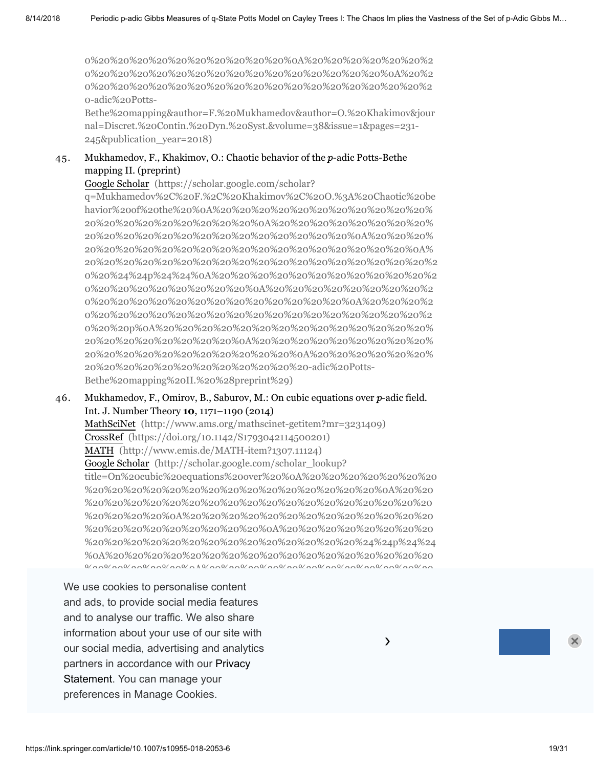0%20%20%20%20%20%20%20%20%20%20%0A%20%20%20%20%20%20%2 0%20%20%20%20%20%20%20%20%20%20%20%20%20%20%20%0A%20%2 0%20%20%20%20%20%20%20%20%20%20%20%20%20%20%20%20%20%2 0-adic%20Potts-

[Bethe%20mapping&author=F.%20Mukhamedov&author=O.%20Khakimov&jour](http://scholar.google.com/scholar_lookup?title=Chaotic%20behavior%20of%20the%20%0A%20%20%20%20%20%20%20%20%20%20%20%20%20%20%20%20%20%20%20%20%20%20%0A%20%20%20%20%20%20%20%20%20%20%20%20%20%20%20%20%20%20%20%20%20%20%20%20%0A%20%20%20%20%20%20%20%20%20%20%20%20%20%20%20%20%20%20%20%20%20%20%0A%20%20%20%20%20%20%20%20%20%20%20%20%20%20%20%20%20%20%20%20%20%20%24%24p%24%24%0A%20%20%20%20%20%20%20%20%20%20%20%20%20%20%20%20%20%20%20%20%20%20%0A%20%20%20%20%20%20%20%20%20%20%20%20%20%20%20%20%20%20%20%20%20%20%20%20%0A%20%20%20%20%20%20%20%20%20%20%20%20%20%20%20%20%20%20%20%20%20%20%20%20%20%20p%0A%20%20%20%20%20%20%20%20%20%20%20%20%20%20%20%20%20%20%20%20%20%20%20%20%0A%20%20%20%20%20%20%20%20%20%20%20%20%20%20%20%20%20%20%20%20%20%20%0A%20%20%20%20%20%20%20%20%20%20%20%20%20%20%20%20%20%20%20%20-adic%20Potts-Bethe%20mapping&author=F.%20Mukhamedov&author=O.%20Khakimov&journal=Discret.%20Contin.%20Dyn.%20Syst.&volume=38&issue=1&pages=231-245&publication_year=2018) nal=Discret.%20Contin.%20Dyn.%20Syst.&volume=38&issue=1&pages=231- 245&publication\_year=2018)

#### 45. Mukhamedov, F., Khakimov, O.: Chaotic behavior of the  $p$ -adic Potts-Bethe mapping II. (preprint)

Google Scholar (https://scholar.google.com/scholar?

q=Mukhamedov%2C%20F.%2C%20Khakimov%2C%20O.%3A%20Chaotic%20be havior%20of%20the%20%0A%20%20%20%20%20%20%20%20%20%20%20% 20%20%20%20%20%20%20%20%20%0A%20%20%20%20%20%20%20%20% 20%20%20%20%20%20%20%20%20%20%20%20%20%20%0A%20%20%20% 20%20%20%20%20%20%20%20%20%20%20%20%20%20%20%20%20%0A% [20%20%20%20%20%20%20%20%20%20%20%20%20%20%20%20%20%20%2](https://scholar.google.com/scholar?q=Mukhamedov%2C%20F.%2C%20Khakimov%2C%20O.%3A%20Chaotic%20behavior%20of%20the%20%0A%20%20%20%20%20%20%20%20%20%20%20%20%20%20%20%20%20%20%20%20%0A%20%20%20%20%20%20%20%20%20%20%20%20%20%20%20%20%20%20%20%20%20%20%0A%20%20%20%20%20%20%20%20%20%20%20%20%20%20%20%20%20%20%20%20%0A%20%20%20%20%20%20%20%20%20%20%20%20%20%20%20%20%20%20%20%20%24%24p%24%24%0A%20%20%20%20%20%20%20%20%20%20%20%20%20%20%20%20%20%20%20%20%0A%20%20%20%20%20%20%20%20%20%20%20%20%20%20%20%20%20%20%20%20%20%20%0A%20%20%20%20%20%20%20%20%20%20%20%20%20%20%20%20%20%20%20%20%20%20%20%20p%0A%20%20%20%20%20%20%20%20%20%20%20%20%20%20%20%20%20%20%20%20%20%20%0A%20%20%20%20%20%20%20%20%20%20%20%20%20%20%20%20%20%20%20%20%0A%20%20%20%20%20%20%20%20%20%20%20%20%20%20%20%20%20%20-adic%20Potts-Bethe%20mapping%20II.%20%28preprint%29) 0%20%24%24p%24%24%0A%20%20%20%20%20%20%20%20%20%20%20%2 0%20%20%20%20%20%20%20%20%0A%20%20%20%20%20%20%20%20%2 0%20%20%20%20%20%20%20%20%20%20%20%20%20%0A%20%20%20%2 0%20%20%20%20%20%20%20%20%20%20%20%20%20%20%20%20%20%2 0%20%20p%0A%20%20%20%20%20%20%20%20%20%20%20%20%20%20% 20%20%20%20%20%20%20%20%0A%20%20%20%20%20%20%20%20%20% 20%20%20%20%20%20%20%20%20%20%20%0A%20%20%20%20%20%20% 20%20%20%20%20%20%20%20%20%20%20%20-adic%20Potts-Bethe%20mapping%20II.%20%28preprint%29)

#### 46. Mukhamedov, F., Omirov, B., Saburov, M.: On cubic equations over  $p$ -adic field. Int. J. Number Theory **10**, 1171–1190 (2014)

MathSciNet [\(http://www.ams.org/mathscinet-getitem?mr=3231409\)](http://www.ams.org/mathscinet-getitem?mr=3231409) CrossRef [\(https://doi.org/10.1142/S1793042114500201\)](https://doi.org/10.1142/S1793042114500201) MATH [\(http://www.emis.de/MATH-item?1307.11124\)](http://www.emis.de/MATH-item?1307.11124) Google Scholar (http://scholar.google.com/scholar\_lookup? [title=On%20cubic%20equations%20over%20%0A%20%20%20%20%20%20%20](http://scholar.google.com/scholar_lookup?title=On%20cubic%20equations%20over%20%0A%20%20%20%20%20%20%20%20%20%20%20%20%20%20%20%20%20%20%20%20%20%20%0A%20%20%20%20%20%20%20%20%20%20%20%20%20%20%20%20%20%20%20%20%20%20%20%20%0A%20%20%20%20%20%20%20%20%20%20%20%20%20%20%20%20%20%20%20%20%20%20%0A%20%20%20%20%20%20%20%20%20%20%20%20%20%20%20%20%20%20%20%20%20%20%24%24p%24%24%0A%20%20%20%20%20%20%20%20%20%20%20%20%20%20%20%20%20%20%20%20%20%20%0A%20%20%20%20%20%20%20%20%20%20%20%20%20%20%20%20%20%20%20%20%20%20%20%20%0A%20%20%20%20%20%20%20%20%20%20%20%20%20%20%20%20%20%20%20%20%20%20%20%20%20%20p%0A%20%20%20%20%20%20%20%20%20%20%20%20%20%20%20%20%20%20%20%20%20%20%20%20%0A%20%20%20%20%20%20%20%20%20%20%20%20%20%20%20%20%20%20%20%20%20%20%0A%20%20%20%20%20%20%20%20%20%20%20%20%20%20%20%20%20%20%20%20-adic%20field&author=F.%20Mukhamedov&author=B.%20Omirov&author=M.%20Saburov&journal=Int.%20J.%20Number%20Theory&volume=10&pages=1171-1190&publication_year=2014) %20%20%20%20%20%20%20%20%20%20%20%20%20%20%20%0A%20%20 %20%20%20%20%20%20%20%20%20%20%20%20%20%20%20%20%20%20 %20%20%20%20%0A%20%20%20%20%20%20%20%20%20%20%20%20%20 %20%20%20%20%20%20%20%20%20%0A%20%20%20%20%20%20%20%20 %20%20%20%20%20%20%20%20%20%20%20%20%20%20%24%24p%24%24 %0A%20%20%20%20%20%20%20%20%20%20%20%20%20%20%20%20%20  $\frac{10}{20}$ 

We use cookies to personalise content %20%20%20%20%20%20%20%20%20%20%20%20%20%20%20%20%20%20 %20%20%20p%0A%20%20%20%20%20%20%20%20%20%20%20%20%20%2 and ads, to provide social media features and to analyse our traffic. We also share information about your use of our site with  $\sim$ our social media, advertising and analytics **Exercise 20 and 20 analytics** partners in accordance with our Privacy .<br>Statement. You can manage your  $\frac{1}{2}$ preferences in Manage Cookies.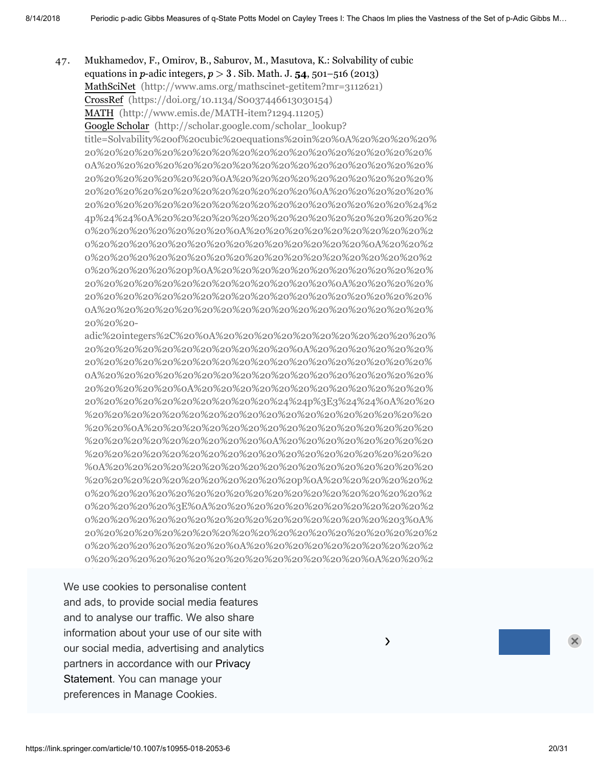47. Mukhamedov, F., Omirov, B., Saburov, M., Masutova, K.: Solvability of cubic equations in  $p$ -adic integers,  $p > 3$ . Sib. Math. J.  $54$ ,  $501 - 516$  (2013) MathSciNet [\(http://www.ams.org/mathscinet-getitem?mr=3112621\)](http://www.ams.org/mathscinet-getitem?mr=3112621) CrossRef [\(https://doi.org/10.1134/S0037446613030154\)](https://doi.org/10.1134/S0037446613030154) MATH [\(http://www.emis.de/MATH-item?1294.11205\)](http://www.emis.de/MATH-item?1294.11205) Google Scholar (http://scholar.google.com/scholar\_lookup? title=Solvability%20of%20cubic%20equations%20in%20%0A%20%20%20%20% 20%20%20%20%20%20%20%20%20%20%20%20%20%20%20%20%20%20% 0A%20%20%20%20%20%20%20%20%20%20%20%20%20%20%20%20%20% 20%20%20%20%20%20%20%0A%20%20%20%20%20%20%20%20%20%20% 20%20%20%20%20%20%20%20%20%20%20%20%0A%20%20%20%20%20% 20%20%20%20%20%20%20%20%20%20%20%20%20%20%20%20%20%24%2 4p%24%24%0A%20%20%20%20%20%20%20%20%20%20%20%20%20%20%2 0%20%20%20%20%20%20%20%0A%20%20%20%20%20%20%20%20%20%2 0%20%20%20%20%20%20%20%20%20%20%20%20%20%20%0A%20%20%2 0%20%20%20%20%20%20%20%20%20%20%20%20%20%20%20%20%20%2 0%20%20%20%20%20p%0A%20%20%20%20%20%20%20%20%20%20%20% 20%20%20%20%20%20%20%20%20%20%20%20%20%0A%20%20%20%20% 20%20%20%20%20%20%20%20%20%20%20%20%20%20%20%20%20%20% 0A%20%20%20%20%20%20%20%20%20%20%20%20%20%20%20%20%20% 20%20%20-

adic%20integers%2C%20%0A%20%20%20%20%20%20%20%20%20%20%20% 20%20%20%20%20%20%20%20%20%20%20%0A%20%20%20%20%20%20% 20%20%20%20%20%20%20%20%20%20%20%20%20%20%20%20%20%20% 0A%20%20%20%20%20%20%20%20%20%20%20%20%20%20%20%20%20% 20%20%20%20%20%0A%20%20%20%20%20%20%20%20%20%20%20%20% 20%20%20%20%20%20%20%20%20%20%24%24p%3E3%24%24%0A%20%20 %20%20%20%20%20%20%20%20%20%20%20%20%20%20%20%20%20%20 %20%20%0A%20%20%20%20%20%20%20%20%20%20%20%20%20%20%20 %20%20%20%20%20%20%20%20%20%0A%20%20%20%20%20%20%20%20 %20%20%20%20%20%20%20%20%20%20%20%20%20%20%20%20%20%20 %0A%20%20%20%20%20%20%20%20%20%20%20%20%20%20%20%20%20 %20%20%20%20%20%20%20%20%20%20%20p%0A%20%20%20%20%20%2 0%20%20%20%20%20%20%20%20%20%20%20%20%20%20%20%20%20%2 0%20%20%20%20%3E%0A%20%20%20%20%20%20%20%20%20%20%20%2 0%20%20%20%20%20%20%20%20%20%20%20%20%20%20%20%203%0A% [20%20%20%20%20%20%20%20%20%20%20%20%20%20%20%20%20%20%2](http://scholar.google.com/scholar_lookup?title=Solvability%20of%20cubic%20equations%20in%20%0A%20%20%20%20%20%20%20%20%20%20%20%20%20%20%20%20%20%20%20%20%20%20%0A%20%20%20%20%20%20%20%20%20%20%20%20%20%20%20%20%20%20%20%20%20%20%20%20%0A%20%20%20%20%20%20%20%20%20%20%20%20%20%20%20%20%20%20%20%20%20%20%0A%20%20%20%20%20%20%20%20%20%20%20%20%20%20%20%20%20%20%20%20%20%20%24%24p%24%24%0A%20%20%20%20%20%20%20%20%20%20%20%20%20%20%20%20%20%20%20%20%20%20%0A%20%20%20%20%20%20%20%20%20%20%20%20%20%20%20%20%20%20%20%20%20%20%20%20%0A%20%20%20%20%20%20%20%20%20%20%20%20%20%20%20%20%20%20%20%20%20%20%20%20%20%20p%0A%20%20%20%20%20%20%20%20%20%20%20%20%20%20%20%20%20%20%20%20%20%20%20%20%0A%20%20%20%20%20%20%20%20%20%20%20%20%20%20%20%20%20%20%20%20%20%20%0A%20%20%20%20%20%20%20%20%20%20%20%20%20%20%20%20%20%20%20%20-adic%20integers%2C%20%0A%20%20%20%20%20%20%20%20%20%20%20%20%20%20%20%20%20%20%20%20%20%20%0A%20%20%20%20%20%20%20%20%20%20%20%20%20%20%20%20%20%20%20%20%20%20%20%20%0A%20%20%20%20%20%20%20%20%20%20%20%20%20%20%20%20%20%20%20%20%20%20%0A%20%20%20%20%20%20%20%20%20%20%20%20%20%20%20%20%20%20%20%20%20%20%24%24p%3E3%24%24%0A%20%20%20%20%20%20%20%20%20%20%20%20%20%20%20%20%20%20%20%20%20%20%0A%20%20%20%20%20%20%20%20%20%20%20%20%20%20%20%20%20%20%20%20%20%20%20%20%0A%20%20%20%20%20%20%20%20%20%20%20%20%20%20%20%20%20%20%20%20%20%20%20%20%20%20%0A%20%20%20%20%20%20%20%20%20%20%20%20%20%20%20%20%20%20%20%20%20%20%20%20%20%20%20%20p%0A%20%20%20%20%20%20%20%20%20%20%20%20%20%20%20%20%20%20%20%20%20%20%20%20%20%20%20%20%3E%0A%20%20%20%20%20%20%20%20%20%20%20%20%20%20%20%20%20%20%20%20%20%20%20%20%20%20%20%203%0A%20%20%20%20%20%20%20%20%20%20%20%20%20%20%20%20%20%20%20%20%20%20%20%20%20%20%0A%20%20%20%20%20%20%20%20%20%20%20%20%20%20%20%20%20%20%20%20%20%20%20%20%0A%20%20%20%20%20%20%20%20%20%20%20%20%20%20%20%20%20%20%20%20%20%20%0A%20%20%20%20%20%20%20%20%20%20%20%20%20%20%20%20%20%20%20%20&author=F.%20Mukhamedov&author=B.%20Omirov&author=M.%20Saburov&author=K.%20Masutova&journal=Sib.%20Math.%20J.&volume=54&pages=501-516&publication_year=2013) 0%20%20%20%20%20%20%20%0A%20%20%20%20%20%20%20%20%20%2 0%20%20%20%20%20%20%20%20%20%20%20%20%20%20%0A%20%20%2

our social media, advertising and analytics **All analytics** We use cookies to personalise content 20%20 20%20 20%20 20%20 20%20 20%20 20%20 20%20 20%20 20%20 20%20 20%20 and ads, to provide social media features and to analyse our traffic. We also share  $\frac{1}{2}$ **133**(1), 55–58 (2013) MathSciNet [\(http://www.ams.org/mathscinet-getitem?mr=2981397\)](http://www.ams.org/mathscinet-getitem?mr=2981397) partners in accordance with our Privacy Statement. You can manage your preferences in Manage Cookies. information about your use of our site with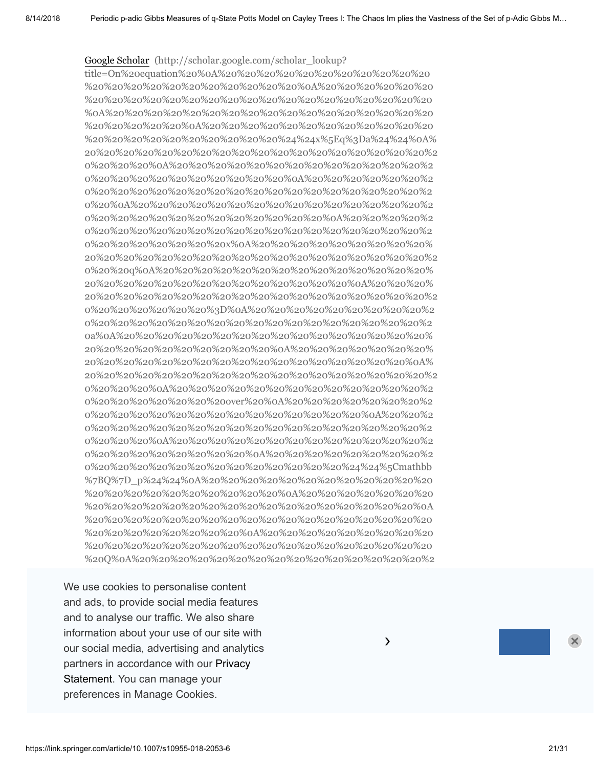Google Scholar (http://scholar.google.com/scholar\_lookup?

title=On%20equation%20%0A%20%20%20%20%20%20%20%20%20%20%20 %20%20%20%20%20%20%20%20%20%20%20%0A%20%20%20%20%20%20 %20%20%20%20%20%20%20%20%20%20%20%20%20%20%20%20%20%20 %0A%20%20%20%20%20%20%20%20%20%20%20%20%20%20%20%20%20 %20%20%20%20%20%0A%20%20%20%20%20%20%20%20%20%20%20%20 %20%20%20%20%20%20%20%20%20%20%24%24x%5Eq%3Da%24%24%0A% 20%20%20%20%20%20%20%20%20%20%20%20%20%20%20%20%20%20%2 0%20%20%20%0A%20%20%20%20%20%20%20%20%20%20%20%20%20%2 0%20%20%20%20%20%20%20%20%20%20%0A%20%20%20%20%20%20%2 0%20%20%20%20%20%20%20%20%20%20%20%20%20%20%20%20%20%2 0%20%0A%20%20%20%20%20%20%20%20%20%20%20%20%20%20%20%2 0%20%20%20%20%20%20%20%20%20%20%20%20%0A%20%20%20%20%2 0%20%20%20%20%20%20%20%20%20%20%20%20%20%20%20%20%20%2 0%20%20%20%20%20%20%20x%0A%20%20%20%20%20%20%20%20%20% 20%20%20%20%20%20%20%20%20%20%20%20%20%20%20%20%20%20%2 0%20%20q%0A%20%20%20%20%20%20%20%20%20%20%20%20%20%20% 20%20%20%20%20%20%20%20%20%20%20%20%20%20%0A%20%20%20% [20%20%20%20%20%20%20%20%20%20%20%20%20%20%20%20%20%20%2](http://scholar.google.com/scholar_lookup?title=On%20equation%20%0A%20%20%20%20%20%20%20%20%20%20%20%20%20%20%20%20%20%20%20%20%20%20%0A%20%20%20%20%20%20%20%20%20%20%20%20%20%20%20%20%20%20%20%20%20%20%20%20%0A%20%20%20%20%20%20%20%20%20%20%20%20%20%20%20%20%20%20%20%20%20%20%0A%20%20%20%20%20%20%20%20%20%20%20%20%20%20%20%20%20%20%20%20%20%20%24%24x%5Eq%3Da%24%24%0A%20%20%20%20%20%20%20%20%20%20%20%20%20%20%20%20%20%20%20%20%20%20%0A%20%20%20%20%20%20%20%20%20%20%20%20%20%20%20%20%20%20%20%20%20%20%20%20%0A%20%20%20%20%20%20%20%20%20%20%20%20%20%20%20%20%20%20%20%20%20%20%20%20%20%20%0A%20%20%20%20%20%20%20%20%20%20%20%20%20%20%20%20%20%20%20%20%20%20%20%20%20%20%20%20%0A%20%20%20%20%20%20%20%20%20%20%20%20%20%20%20%20%20%20%20%20%20%20%20%20%20%20%20%20%20%20x%0A%20%20%20%20%20%20%20%20%20%20%20%20%20%20%20%20%20%20%20%20%20%20%20%20%20%20%20%20%20%20q%0A%20%20%20%20%20%20%20%20%20%20%20%20%20%20%20%20%20%20%20%20%20%20%20%20%20%20%20%20%0A%20%20%20%20%20%20%20%20%20%20%20%20%20%20%20%20%20%20%20%20%20%20%20%20%20%20%20%20%3D%0A%20%20%20%20%20%20%20%20%20%20%20%20%20%20%20%20%20%20%20%20%20%20%20%20%20%20%20%20a%0A%20%20%20%20%20%20%20%20%20%20%20%20%20%20%20%20%20%20%20%20%20%20%20%20%20%20%0A%20%20%20%20%20%20%20%20%20%20%20%20%20%20%20%20%20%20%20%20%20%20%20%20%0A%20%20%20%20%20%20%20%20%20%20%20%20%20%20%20%20%20%20%20%20%20%20%0A%20%20%20%20%20%20%20%20%20%20%20%20%20%20%20%20%20%20%20%20%20over%20%0A%20%20%20%20%20%20%20%20%20%20%20%20%20%20%20%20%20%20%20%20%20%20%0A%20%20%20%20%20%20%20%20%20%20%20%20%20%20%20%20%20%20%20%20%20%20%20%20%0A%20%20%20%20%20%20%20%20%20%20%20%20%20%20%20%20%20%20%20%20%20%20%0A%20%20%20%20%20%20%20%20%20%20%20%20%20%20%20%20%20%20%20%20%20%20%24%24%5Cmathbb%7BQ%7D_p%24%24%0A%20%20%20%20%20%20%20%20%20%20%20%20%20%20%20%20%20%20%20%20%20%20%0A%20%20%20%20%20%20%20%20%20%20%20%20%20%20%20%20%20%20%20%20%20%20%20%20%0A%20%20%20%20%20%20%20%20%20%20%20%20%20%20%20%20%20%20%20%20%20%20%20%20%20%20%0A%20%20%20%20%20%20%20%20%20%20%20%20%20%20%20%20%20%20%20%20%20%20%20%20%20%20%20%20Q%0A%20%20%20%20%20%20%20%20%20%20%20%20%20%20%20%20%20%20%20%20%20%20%20%20%20%20%20%20p%0A%20%20%20%20%20%20%20%20%20%20%20%20%20%20%20%20%20%20%20%20%20%20%20%20%20%20%0A%20%20%20%20%20%20%20%20%20%20%20%20%20%20%20%20%20%20%20%20%20%20%20%20%0A%20%20%20%20%20%20%20%20%20%20%20%20%20%20%20%20%20%20%20%20%20%20%0A%20%20%20%20%20%20%20%20%20%20%20%20%20%20%20%20%20%20%20%20&author=F.%20Mukhamedov&author=M.%20Saburov&journal=J.%20Number%20Theory&volume=133&issue=1&pages=55-58&publication_year=2013) 0%20%20%20%20%20%20%3D%0A%20%20%20%20%20%20%20%20%20%2 0%20%20%20%20%20%20%20%20%20%20%20%20%20%20%20%20%20%2 0a%0A%20%20%20%20%20%20%20%20%20%20%20%20%20%20%20%20% 20%20%20%20%20%20%20%20%20%20%0A%20%20%20%20%20%20%20% 20%20%20%20%20%20%20%20%20%20%20%20%20%20%20%20%20%0A% 20%20%20%20%20%20%20%20%20%20%20%20%20%20%20%20%20%20%2 0%20%20%20%0A%20%20%20%20%20%20%20%20%20%20%20%20%20%2 0%20%20%20%20%20%20%20over%20%0A%20%20%20%20%20%20%20%2 0%20%20%20%20%20%20%20%20%20%20%20%20%20%20%0A%20%20%2 0%20%20%20%20%20%20%20%20%20%20%20%20%20%20%20%20%20%2 0%20%20%20%0A%20%20%20%20%20%20%20%20%20%20%20%20%20%2 0%20%20%20%20%20%20%20%20%0A%20%20%20%20%20%20%20%20%2 0%20%20%20%20%20%20%20%20%20%20%20%20%20%24%24%5Cmathbb %7BQ%7D\_p%24%24%0A%20%20%20%20%20%20%20%20%20%20%20%20 %20%20%20%20%20%20%20%20%20%20%0A%20%20%20%20%20%20%20 %20%20%20%20%20%20%20%20%20%20%20%20%20%20%20%20%20%0A %20%20%20%20%20%20%20%20%20%20%20%20%20%20%20%20%20%20 %20%20%20%20%20%20%20%20%0A%20%20%20%20%20%20%20%20%20 %20%20%20%20%20%20%20%20%20%20%20%20%20%20%20%20%20%20 %20Q%0A%20%20%20%20%20%20%20%20%20%20%20%20%20%20%20%2

Statement. You can manage your We use cookies to personalise content 20%20 20%20 20%20 20%20 20%20 20%20 20%20 20%20 20%20 20%20 20%20 20%20 and ads, to provide social media features and to analyse our traffic. We also share  $\overline{\mathcal{O}}$  analyse can almost the algorithm information about your use of our site with  $\sim$ our social media, advertising and analytics **Election Contract Contract Contract Contract Contract Contract Contra** partners in accordance with our Privacy entirely accordance with our Privacy preferences in Manage Cookies. The comparent control of  $\sim$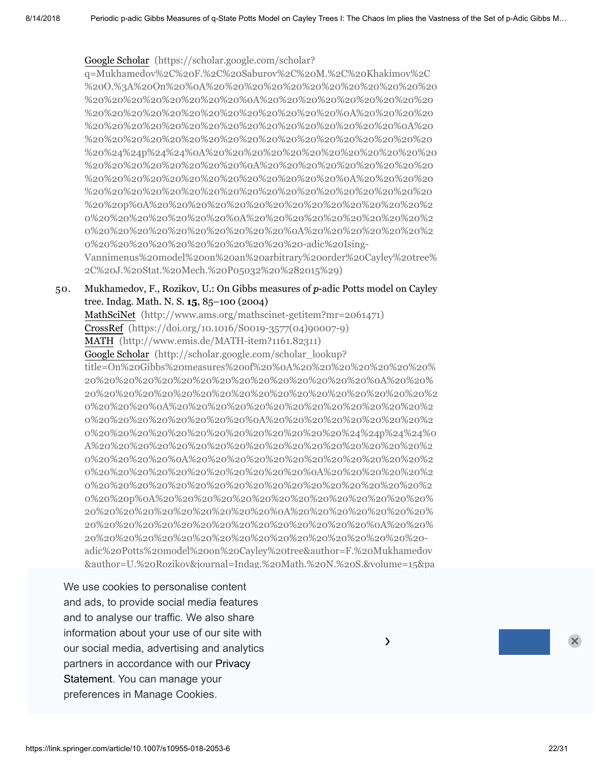### Google Scholar (https://scholar.google.com/scholar?

q=Mukhamedov%2C%20F.%2C%20Saburov%2C%20M.%2C%20Khakimov%2C [%20O.%3A%20On%20%0A%20%20%20%20%20%20%20%20%20%20%20%20](https://scholar.google.com/scholar?q=Mukhamedov%2C%20F.%2C%20Saburov%2C%20M.%2C%20Khakimov%2C%20O.%3A%20On%20%0A%20%20%20%20%20%20%20%20%20%20%20%20%20%20%20%20%20%20%20%20%0A%20%20%20%20%20%20%20%20%20%20%20%20%20%20%20%20%20%20%20%20%20%20%0A%20%20%20%20%20%20%20%20%20%20%20%20%20%20%20%20%20%20%20%20%0A%20%20%20%20%20%20%20%20%20%20%20%20%20%20%20%20%20%20%20%20%24%24p%24%24%0A%20%20%20%20%20%20%20%20%20%20%20%20%20%20%20%20%20%20%20%20%0A%20%20%20%20%20%20%20%20%20%20%20%20%20%20%20%20%20%20%20%20%20%20%0A%20%20%20%20%20%20%20%20%20%20%20%20%20%20%20%20%20%20%20%20%20%20%20%20p%0A%20%20%20%20%20%20%20%20%20%20%20%20%20%20%20%20%20%20%20%20%20%20%0A%20%20%20%20%20%20%20%20%20%20%20%20%20%20%20%20%20%20%20%20%0A%20%20%20%20%20%20%20%20%20%20%20%20%20%20%20%20%20%20-adic%20Ising-Vannimenus%20model%20on%20an%20arbitrary%20order%20Cayley%20tree%2C%20J.%20Stat.%20Mech.%20P05032%20%282015%29) %20%20%20%20%20%20%20%20%0A%20%20%20%20%20%20%20%20%20 %20%20%20%20%20%20%20%20%20%20%20%20%20%0A%20%20%20%20 %20%20%20%20%20%20%20%20%20%20%20%20%20%20%20%20%0A%20 %20%20%20%20%20%20%20%20%20%20%20%20%20%20%20%20%20%20 %20%24%24p%24%24%0A%20%20%20%20%20%20%20%20%20%20%20%20 %20%20%20%20%20%20%20%20%0A%20%20%20%20%20%20%20%20%20 %20%20%20%20%20%20%20%20%20%20%20%20%20%0A%20%20%20%20 %20%20%20%20%20%20%20%20%20%20%20%20%20%20%20%20%20%20 %20%20p%0A%20%20%20%20%20%20%20%20%20%20%20%20%20%20%2 0%20%20%20%20%20%20%20%0A%20%20%20%20%20%20%20%20%20%2 0%20%20%20%20%20%20%20%20%20%20%0A%20%20%20%20%20%20%2 0%20%20%20%20%20%20%20%20%20%20%20-adic%20Ising-Vannimenus%20model%20on%20an%20arbitrary%20order%20Cayley%20tree%

2C%20J.%20Stat.%20Mech.%20P05032%20%282015%29)

#### 50. Mukhamedov, F., Rozikov, U.: On Gibbs measures of  $p$ -adic Potts model on Cayley tree. Indag. Math. N. S. **15**, 85–100 (2004)

MathSciNet [\(http://www.ams.org/mathscinet-getitem?mr=2061471\)](http://www.ams.org/mathscinet-getitem?mr=2061471) CrossRef [\(https://doi.org/10.1016/S0019-3577\(04\)90007-9\)](https://doi.org/10.1016/S0019-3577(04)90007-9) MATH [\(http://www.emis.de/MATH-item?1161.82311\)](http://www.emis.de/MATH-item?1161.82311) Google Scholar (http://scholar.google.com/scholar\_lookup? title=On%20Gibbs%20measures%20of%20%0A%20%20%20%20%20%20%20% 20%20%20%20%20%20%20%20%20%20%20%20%20%20%20%0A%20%20% [20%20%20%20%20%20%20%20%20%20%20%20%20%20%20%20%20%20%2](http://scholar.google.com/scholar_lookup?title=On%20Gibbs%20measures%20of%20%0A%20%20%20%20%20%20%20%20%20%20%20%20%20%20%20%20%20%20%20%20%20%20%0A%20%20%20%20%20%20%20%20%20%20%20%20%20%20%20%20%20%20%20%20%20%20%20%20%0A%20%20%20%20%20%20%20%20%20%20%20%20%20%20%20%20%20%20%20%20%20%20%0A%20%20%20%20%20%20%20%20%20%20%20%20%20%20%20%20%20%20%20%20%20%20%24%24p%24%24%0A%20%20%20%20%20%20%20%20%20%20%20%20%20%20%20%20%20%20%20%20%20%20%0A%20%20%20%20%20%20%20%20%20%20%20%20%20%20%20%20%20%20%20%20%20%20%20%20%0A%20%20%20%20%20%20%20%20%20%20%20%20%20%20%20%20%20%20%20%20%20%20%20%20%20%20p%0A%20%20%20%20%20%20%20%20%20%20%20%20%20%20%20%20%20%20%20%20%20%20%20%20%0A%20%20%20%20%20%20%20%20%20%20%20%20%20%20%20%20%20%20%20%20%20%20%0A%20%20%20%20%20%20%20%20%20%20%20%20%20%20%20%20%20%20%20%20-adic%20Potts%20model%20on%20Cayley%20tree&author=F.%20Mukhamedov&author=U.%20Rozikov&journal=Indag.%20Math.%20N.%20S.&volume=15&pages=85-100&publication_year=2004) 0%20%20%20%0A%20%20%20%20%20%20%20%20%20%20%20%20%20%2 0%20%20%20%20%20%20%20%20%0A%20%20%20%20%20%20%20%20%2 0%20%20%20%20%20%20%20%20%20%20%20%20%20%24%24p%24%24%0 A%20%20%20%20%20%20%20%20%20%20%20%20%20%20%20%20%20%2 0%20%20%20%20%0A%20%20%20%20%20%20%20%20%20%20%20%20%2 0%20%20%20%20%20%20%20%20%20%20%20%0A%20%20%20%20%20%2 0%20%20%20%20%20%20%20%20%20%20%20%20%20%20%20%20%20%2 0%20%20p%0A%20%20%20%20%20%20%20%20%20%20%20%20%20%20% 20%20%20%20%20%20%20%20%20%20%0A%20%20%20%20%20%20%20% 20%20%20%20%20%20%20%20%20%20%20%20%20%20%20%0A%20%20% 20%20%20%20%20%20%20%20%20%20%20%20%20%20%20%20%20%20 adic%20Potts%20model%20on%20Cayley%20tree&author=F.%20Mukhamedov &author=U.%20Rozikov&journal=Indag.%20Math.%20N.%20S.&volume=15&pa

51. Mukhamedov, F., Rozikov, U.: On inhomogeneous -adic Potts model on a Cayley and ads, to provide social media features and to analyse our traffic. We also share information about your use of our site with our social media, advertising and analytics partners in accordance with our Privacy .<br>Statement. You can manage your  $\frac{1}{2}$ preferences in Manage Cookies.  $\overline{a}$ We use cookies to personalise content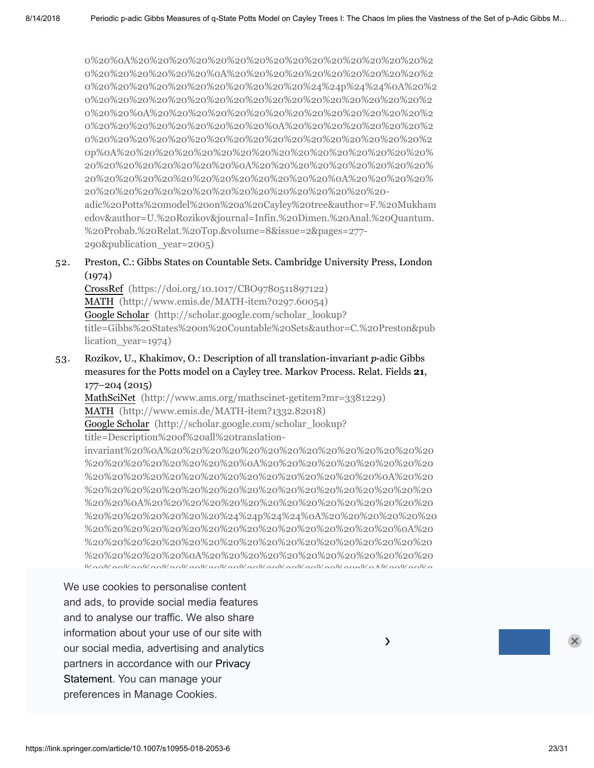0%20%0A%20%20%20%20%20%20%20%20%20%20%20%20%20%20%20%2 0%20%20%20%20%20%20%0A%20%20%20%20%20%20%20%20%20%20%2 [0%20%20%20%20%20%20%20%20%20%20%20%24%24p%24%24%0A%20%2](http://scholar.google.com/scholar_lookup?title=On%20inhomogeneous%20%0A%20%20%20%20%20%20%20%20%20%20%20%20%20%20%20%20%20%20%20%20%20%20%0A%20%20%20%20%20%20%20%20%20%20%20%20%20%20%20%20%20%20%20%20%20%20%20%20%0A%20%20%20%20%20%20%20%20%20%20%20%20%20%20%20%20%20%20%20%20%20%20%0A%20%20%20%20%20%20%20%20%20%20%20%20%20%20%20%20%20%20%20%20%20%20%24%24p%24%24%0A%20%20%20%20%20%20%20%20%20%20%20%20%20%20%20%20%20%20%20%20%20%20%0A%20%20%20%20%20%20%20%20%20%20%20%20%20%20%20%20%20%20%20%20%20%20%20%20%0A%20%20%20%20%20%20%20%20%20%20%20%20%20%20%20%20%20%20%20%20%20%20%20%20%20%20p%0A%20%20%20%20%20%20%20%20%20%20%20%20%20%20%20%20%20%20%20%20%20%20%20%20%0A%20%20%20%20%20%20%20%20%20%20%20%20%20%20%20%20%20%20%20%20%20%20%0A%20%20%20%20%20%20%20%20%20%20%20%20%20%20%20%20%20%20%20%20-adic%20Potts%20model%20on%20a%20Cayley%20tree&author=F.%20Mukhamedov&author=U.%20Rozikov&journal=Infin.%20Dimen.%20Anal.%20Quantum.%20Probab.%20Relat.%20Top.&volume=8&issue=2&pages=277-290&publication_year=2005) 0%20%20%20%20%20%20%20%20%20%20%20%20%20%20%20%20%20%2 0%20%20%0A%20%20%20%20%20%20%20%20%20%20%20%20%20%20%2 0%20%20%20%20%20%20%20%20%20%0A%20%20%20%20%20%20%20%2 0%20%20%20%20%20%20%20%20%20%20%20%20%20%20%20%20%20%2 0p%0A%20%20%20%20%20%20%20%20%20%20%20%20%20%20%20%20% 20%20%20%20%20%20%20%20%0A%20%20%20%20%20%20%20%20%20% 20%20%20%20%20%20%20%20%20%20%20%20%20%0A%20%20%20%20% 20%20%20%20%20%20%20%20%20%20%20%20%20%20%20%20 adic%20Potts%20model%20on%20a%20Cayley%20tree&author=F.%20Mukham edov&author=U.%20Rozikov&journal=Infin.%20Dimen.%20Anal.%20Quantum. %20Probab.%20Relat.%20Top.&volume=8&issue=2&pages=277- 290&publication\_year=2005)

#### 52. Preston, C.: Gibbs States on Countable Sets. Cambridge University Press, London (1974)

CrossRef [\(https://doi.org/10.1017/CBO9780511897122\)](https://doi.org/10.1017/CBO9780511897122) MATH [\(http://www.emis.de/MATH-item?0297.60054\)](http://www.emis.de/MATH-item?0297.60054) Google Scholar (http://scholar.google.com/scholar\_lookup? [title=Gibbs%20States%20on%20Countable%20Sets&author=C.%20Preston&pub](http://scholar.google.com/scholar_lookup?title=Gibbs%20States%20on%20Countable%20Sets&author=C.%20Preston&publication_year=1974) lication year=1974)

53. Rozikov, U., Khakimov, O.: Description of all translation-invariant  $p$ -adic Gibbs measures for the Potts model on a Cayley tree. Markov Process. Relat. Fields **21**, 177–204 (2015)

MathSciNet [\(http://www.ams.org/mathscinet-getitem?mr=3381229\)](http://www.ams.org/mathscinet-getitem?mr=3381229) MATH [\(http://www.emis.de/MATH-item?1332.82018\)](http://www.emis.de/MATH-item?1332.82018) Google Scholar (http://scholar.google.com/scholar\_lookup? title=Description%20of%20all%20translationinvariant%20%0A%20%20%20%20%20%20%20%20%20%20%20%20%20%20 %20%20%20%20%20%20%20%20%0A%20%20%20%20%20%20%20%20%20 %20%20%20%20%20%20%20%20%20%20%20%20%20%20%20%0A%20%20 %20%20%20%20%20%20%20%20%20%20%20%20%20%20%20%20%20%20 %20%20%0A%20%20%20%20%20%20%20%20%20%20%20%20%20%20%20 [%20%20%20%20%20%20%20%24%24p%24%24%0A%20%20%20%20%20%20](http://scholar.google.com/scholar_lookup?title=Description%20of%20all%20translation-invariant%20%0A%20%20%20%20%20%20%20%20%20%20%20%20%20%20%20%20%20%20%20%20%20%20%0A%20%20%20%20%20%20%20%20%20%20%20%20%20%20%20%20%20%20%20%20%20%20%20%20%0A%20%20%20%20%20%20%20%20%20%20%20%20%20%20%20%20%20%20%20%20%20%20%0A%20%20%20%20%20%20%20%20%20%20%20%20%20%20%20%20%20%20%20%20%20%20%24%24p%24%24%0A%20%20%20%20%20%20%20%20%20%20%20%20%20%20%20%20%20%20%20%20%20%20%0A%20%20%20%20%20%20%20%20%20%20%20%20%20%20%20%20%20%20%20%20%20%20%20%20%0A%20%20%20%20%20%20%20%20%20%20%20%20%20%20%20%20%20%20%20%20%20%20%20%20%20%20p%0A%20%20%20%20%20%20%20%20%20%20%20%20%20%20%20%20%20%20%20%20%20%20%20%20%0A%20%20%20%20%20%20%20%20%20%20%20%20%20%20%20%20%20%20%20%20%20%20%0A%20%20%20%20%20%20%20%20%20%20%20%20%20%20%20%20%20%20%20%20-adic%20Gibbs%20measures%20for%20the%20Potts%20model%20on%20a%20Cayley%20tree&author=U.%20Rozikov&author=O.%20Khakimov&journal=Markov%20Process.%20Relat.%20Fields&volume=21&pages=177-204&publication_year=2015) %20%20%20%20%20%20%20%20%20%20%20%20%20%20%20%20%0A%20

%20%20%20%20%20%20%20%20%20%20%20%20%20%20%20%20%20%20 %20%20%20%20%20%0A%20%20%20%20%20%20%20%20%20%20%20%20 %20%20%20%20%20%20%20%20%20%20%20%20%20%20p%0A%20%20%2

preferences in Manage Cookies. The community of the Markov random fields on the material on the control of the We use cookies to personalise content 0%20%20%20%0A%20%20%20%20%20%20%20%20%20%20%20%20%20%2 and ads, to provide social media features and to analyse our traffic. We also share information about your use of our site with  $\sim$ our social media, advertising and analytics **E.A.** All analytics of the Markimov of the Markimov of the Markimov of the Markimov of the Markimov of the Markimov of the Markimov of the Markimov of the Markimov of the Markim partners in accordance with our Privacy .<br>Statement. You can manage your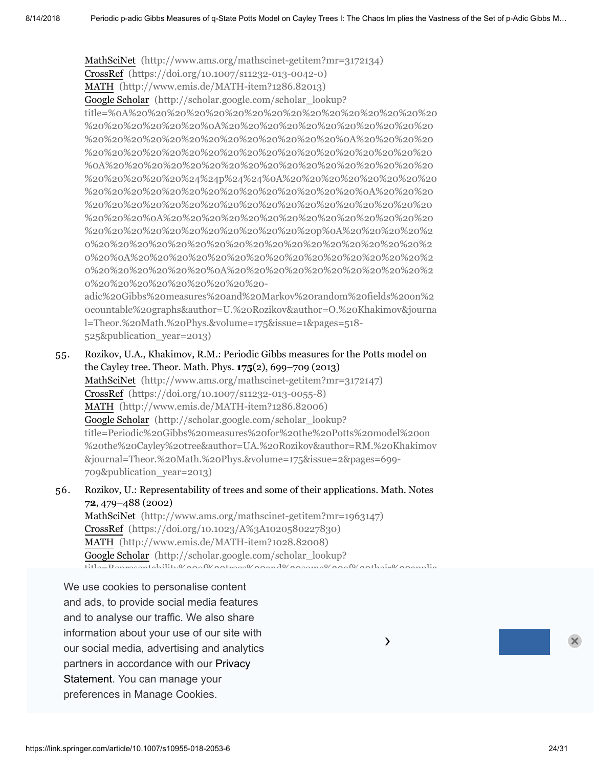MathSciNet [\(http://www.ams.org/mathscinet-getitem?mr=3172134\)](http://www.ams.org/mathscinet-getitem?mr=3172134)

CrossRef [\(https://doi.org/10.1007/s11232-013-0042-0\)](https://doi.org/10.1007/s11232-013-0042-0)

MATH [\(http://www.emis.de/MATH-item?1286.82013\)](http://www.emis.de/MATH-item?1286.82013)

Google Scholar (http://scholar.google.com/scholar\_lookup?

[title=%0A%20%20%20%20%20%20%20%20%20%20%20%20%20%20%20%20](http://scholar.google.com/scholar_lookup?title=%0A%20%20%20%20%20%20%20%20%20%20%20%20%20%20%20%20%20%20%20%20%20%20%0A%20%20%20%20%20%20%20%20%20%20%20%20%20%20%20%20%20%20%20%20%20%20%20%20%0A%20%20%20%20%20%20%20%20%20%20%20%20%20%20%20%20%20%20%20%20%20%20%0A%20%20%20%20%20%20%20%20%20%20%20%20%20%20%20%20%20%20%20%20%20%20%24%24p%24%24%0A%20%20%20%20%20%20%20%20%20%20%20%20%20%20%20%20%20%20%20%20%20%20%0A%20%20%20%20%20%20%20%20%20%20%20%20%20%20%20%20%20%20%20%20%20%20%20%20%0A%20%20%20%20%20%20%20%20%20%20%20%20%20%20%20%20%20%20%20%20%20%20%20%20%20%20p%0A%20%20%20%20%20%20%20%20%20%20%20%20%20%20%20%20%20%20%20%20%20%20%20%20%0A%20%20%20%20%20%20%20%20%20%20%20%20%20%20%20%20%20%20%20%20%20%20%0A%20%20%20%20%20%20%20%20%20%20%20%20%20%20%20%20%20%20%20%20-adic%20Gibbs%20measures%20and%20Markov%20random%20fields%20on%20countable%20graphs&author=U.%20Rozikov&author=O.%20Khakimov&journal=Theor.%20Math.%20Phys.&volume=175&issue=1&pages=518-525&publication_year=2013) %20%20%20%20%20%20%0A%20%20%20%20%20%20%20%20%20%20%20 %20%20%20%20%20%20%20%20%20%20%20%20%20%0A%20%20%20%20 %20%20%20%20%20%20%20%20%20%20%20%20%20%20%20%20%20%20 %0A%20%20%20%20%20%20%20%20%20%20%20%20%20%20%20%20%20 %20%20%20%20%20%24%24p%24%24%0A%20%20%20%20%20%20%20%20 %20%20%20%20%20%20%20%20%20%20%20%20%20%20%0A%20%20%20 %20%20%20%20%20%20%20%20%20%20%20%20%20%20%20%20%20%20 %20%20%20%0A%20%20%20%20%20%20%20%20%20%20%20%20%20%20 %20%20%20%20%20%20%20%20%20%20%20%20p%0A%20%20%20%20%2 0%20%20%20%20%20%20%20%20%20%20%20%20%20%20%20%20%20%2 0%20%0A%20%20%20%20%20%20%20%20%20%20%20%20%20%20%20%2 0%20%20%20%20%20%20%0A%20%20%20%20%20%20%20%20%20%20%2 0%20%20%20%20%20%20%20%20%20-

adic%20Gibbs%20measures%20and%20Markov%20random%20fields%20on%2 0countable%20graphs&author=U.%20Rozikov&author=O.%20Khakimov&journa l=Theor.%20Math.%20Phys.&volume=175&issue=1&pages=518- 525&publication\_year=2013)

- 55. Rozikov, U.A., Khakimov, R.M.: Periodic Gibbs measures for the Potts model on the Cayley tree. Theor. Math. Phys. **175**(2), 699–709 (2013) MathSciNet [\(http://www.ams.org/mathscinet-getitem?mr=3172147\)](http://www.ams.org/mathscinet-getitem?mr=3172147) CrossRef [\(https://doi.org/10.1007/s11232-013-0055-8\)](https://doi.org/10.1007/s11232-013-0055-8) MATH [\(http://www.emis.de/MATH-item?1286.82006\)](http://www.emis.de/MATH-item?1286.82006) Google Scholar (http://scholar.google.com/scholar\_lookup? title=Periodic%20Gibbs%20measures%20for%20the%20Potts%20model%20on [%20the%20Cayley%20tree&author=UA.%20Rozikov&author=RM.%20Khakimov](http://scholar.google.com/scholar_lookup?title=Periodic%20Gibbs%20measures%20for%20the%20Potts%20model%20on%20the%20Cayley%20tree&author=UA.%20Rozikov&author=RM.%20Khakimov&journal=Theor.%20Math.%20Phys.&volume=175&issue=2&pages=699-709&publication_year=2013) &journal=Theor.%20Math.%20Phys.&volume=175&issue=2&pages=699- 709&publication\_year=2013)
- 56. Rozikov, U.: Representability of trees and some of their applications. Math. Notes **72**, 479–488 (2002)

MathSciNet [\(http://www.ams.org/mathscinet-getitem?mr=1963147\)](http://www.ams.org/mathscinet-getitem?mr=1963147) CrossRef [\(https://doi.org/10.1023/A%3A1020580227830\)](https://doi.org/10.1023/A%3A1020580227830) MATH [\(http://www.emis.de/MATH-item?1028.82008\)](http://www.emis.de/MATH-item?1028.82008) Google Scholar (http://scholar.google.com/scholar\_lookup?  $t_{\rm{tilto}}$  Representability%20of%20trees%20and%20some%20of%20their%20applic

 $\lambda$ 

and to analyse our traffic. We also share We use cookies to personalise content and ads, to provide social media features CrossRef [\(https://doi.org/10.1142/8841\)](https://doi.org/10.1142/8841) information about your use of our site with our social media, advertising and analytics partners in accordance with our Privacy Statement. You can manage your preferences in Manage Cookies.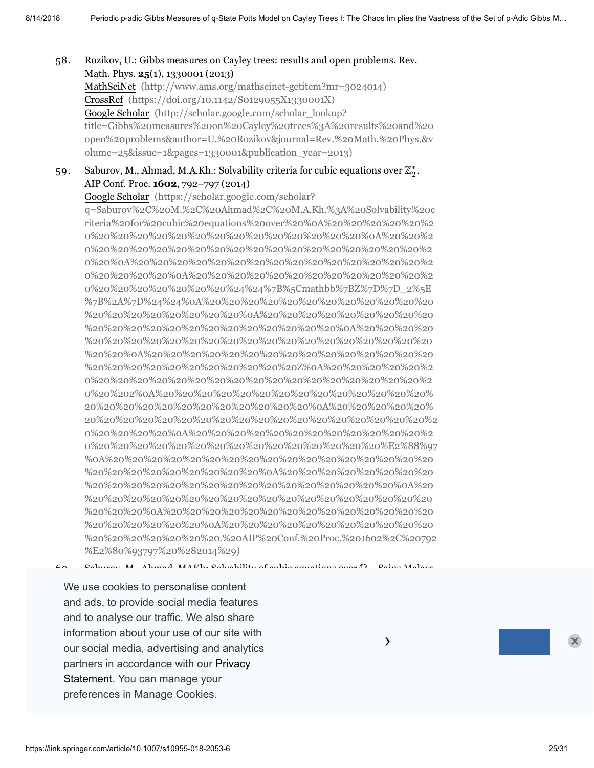58. Rozikov, U.: Gibbs measures on Cayley trees: results and open problems. Rev. Math. Phys. **25**(1), 1330001 (2013) MathSciNet [\(http://www.ams.org/mathscinet-getitem?mr=3024014\)](http://www.ams.org/mathscinet-getitem?mr=3024014) CrossRef [\(https://doi.org/10.1142/S0129055X1330001X\)](https://doi.org/10.1142/S0129055X1330001X) Google Scholar (http://scholar.google.com/scholar\_lookup? [title=Gibbs%20measures%20on%20Cayley%20trees%3A%20results%20and%20](http://scholar.google.com/scholar_lookup?title=Gibbs%20measures%20on%20Cayley%20trees%3A%20results%20and%20open%20problems&author=U.%20Rozikov&journal=Rev.%20Math.%20Phys.&volume=25&issue=1&pages=1330001&publication_year=2013) open%20problems&author=U.%20Rozikov&journal=Rev.%20Math.%20Phys.&v olume=25&issue=1&pages=1330001&publication\_year=2013)

#### 59. Saburov, M., Ahmad, M.A.Kh.: Solvability criteria for cubic equations over  $\mathbb{Z}_2^*.$ AIP Conf. Proc. **1602**, 792–797 (2014)

Google Scholar (https://scholar.google.com/scholar?

q=Saburov%2C%20M.%2C%20Ahmad%2C%20M.A.Kh.%3A%20Solvability%20c riteria%20for%20cubic%20equations%20over%20%0A%20%20%20%20%20%2 0%20%20%20%20%20%20%20%20%20%20%20%20%20%20%0A%20%20%2 0%20%20%20%20%20%20%20%20%20%20%20%20%20%20%20%20%20%2 0%20%0A%20%20%20%20%20%20%20%20%20%20%20%20%20%20%20%2 0%20%20%20%20%0A%20%20%20%20%20%20%20%20%20%20%20%20%2 0%20%20%20%20%20%20%20%24%24%7B%5Cmathbb%7BZ%7D%7D\_2%5E %7B%2A%7D%24%24%0A%20%20%20%20%20%20%20%20%20%20%20%20 %20%20%20%20%20%20%20%20%0A%20%20%20%20%20%20%20%20%20 %20%20%20%20%20%20%20%20%20%20%20%20%20%0A%20%20%20%20 %20%20%20%20%20%20%20%20%20%20%20%20%20%20%20%20%20%20 %20%20%0A%20%20%20%20%20%20%20%20%20%20%20%20%20%20%20 %20%20%20%20%20%20%20%20%20%20%20Z%0A%20%20%20%20%20%2 0%20%20%20%20%20%20%20%20%20%20%20%20%20%20%20%20%20%2 0%20%202%0A%20%20%20%20%20%20%20%20%20%20%20%20%20%20% 20%20%20%20%20%20%20%20%20%20%20%20%0A%20%20%20%20%20% [20%20%20%20%20%20%20%20%20%20%20%20%20%20%20%20%20%20%2](https://scholar.google.com/scholar?q=Saburov%2C%20M.%2C%20Ahmad%2C%20M.A.Kh.%3A%20Solvability%20criteria%20for%20cubic%20equations%20over%20%0A%20%20%20%20%20%20%20%20%20%20%20%20%20%20%20%20%20%20%20%20%0A%20%20%20%20%20%20%20%20%20%20%20%20%20%20%20%20%20%20%20%20%20%20%0A%20%20%20%20%20%20%20%20%20%20%20%20%20%20%20%20%20%20%20%20%0A%20%20%20%20%20%20%20%20%20%20%20%20%20%20%20%20%20%20%20%20%24%24%7B%5Cmathbb%7BZ%7D%7D_2%5E%7B%2A%7D%24%24%0A%20%20%20%20%20%20%20%20%20%20%20%20%20%20%20%20%20%20%20%20%0A%20%20%20%20%20%20%20%20%20%20%20%20%20%20%20%20%20%20%20%20%20%20%0A%20%20%20%20%20%20%20%20%20%20%20%20%20%20%20%20%20%20%20%20%20%20%20%20%0A%20%20%20%20%20%20%20%20%20%20%20%20%20%20%20%20%20%20%20%20%20%20%20%20%20%20Z%0A%20%20%20%20%20%20%20%20%20%20%20%20%20%20%20%20%20%20%20%20%20%20%20%20%20%202%0A%20%20%20%20%20%20%20%20%20%20%20%20%20%20%20%20%20%20%20%20%20%20%20%20%20%20%0A%20%20%20%20%20%20%20%20%20%20%20%20%20%20%20%20%20%20%20%20%20%20%20%20%20%20%20%20%0A%20%20%20%20%20%20%20%20%20%20%20%20%20%20%20%20%20%20%20%20%20%20%20%20%20%20%20%20%E2%88%97%0A%20%20%20%20%20%20%20%20%20%20%20%20%20%20%20%20%20%20%20%20%20%20%20%20%20%20%0A%20%20%20%20%20%20%20%20%20%20%20%20%20%20%20%20%20%20%20%20%20%20%20%20%0A%20%20%20%20%20%20%20%20%20%20%20%20%20%20%20%20%20%20%20%20%20%20%0A%20%20%20%20%20%20%20%20%20%20%20%20%20%20%20%20%20%20%20%20%0A%20%20%20%20%20%20%20%20%20%20%20%20%20%20%20%20%20%20.%20AIP%20Conf.%20Proc.%201602%2C%20792%E2%80%93797%20%282014%29) 0%20%20%20%20%0A%20%20%20%20%20%20%20%20%20%20%20%20%2 0%20%20%20%20%20%20%20%20%20%20%20%20%20%20%20%E2%88%97 %0A%20%20%20%20%20%20%20%20%20%20%20%20%20%20%20%20%20 %20%20%20%20%20%20%20%20%20%0A%20%20%20%20%20%20%20%20 %20%20%20%20%20%20%20%20%20%20%20%20%20%20%20%20%0A%20 %20%20%20%20%20%20%20%20%20%20%20%20%20%20%20%20%20%20 %20%20%20%0A%20%20%20%20%20%20%20%20%20%20%20%20%20%20 %20%20%20%20%20%20%0A%20%20%20%20%20%20%20%20%20%20%20 %20%20%20%20%20%20%20.%20AIP%20Conf.%20Proc.%201602%2C%20792 %E2%80%93797%20%282014%29)

 $6a$  $\mathfrak{C}_\alpha$ hunov, M., Ahmad, MAKh:  $\mathfrak{C}_\alpha$ lvability of cubic equations over  $\mathfrak{D}_\alpha$ .  $\mathfrak{C}_\alpha$ ins Malays.

We use cookies to personalise content CrossRef (https://doi.org/10.17576/jsm-2015-4404-2015-4404-2015-4404-20)<br>10.17576/jsm-2015-4404-2015-4404-2005-4404-2005-4404-2005-4404-2015-4404-2015-4404-2015-4404-2015-4404-2015-4 and ads, to provide social media features and to analyse our traffic. We also share information about your use of our site with  $\sim$ our social media, advertising and analytics **Exercise 20 and 20 analytics** partners in accordance with our Privacy 20%20 20%20 20%20 20%20 20%20 20%20 20%20 .<br>Statement. You can manage your  $\frac{1}{2}$ preferences in Manage Cookies.  $\overline{a}$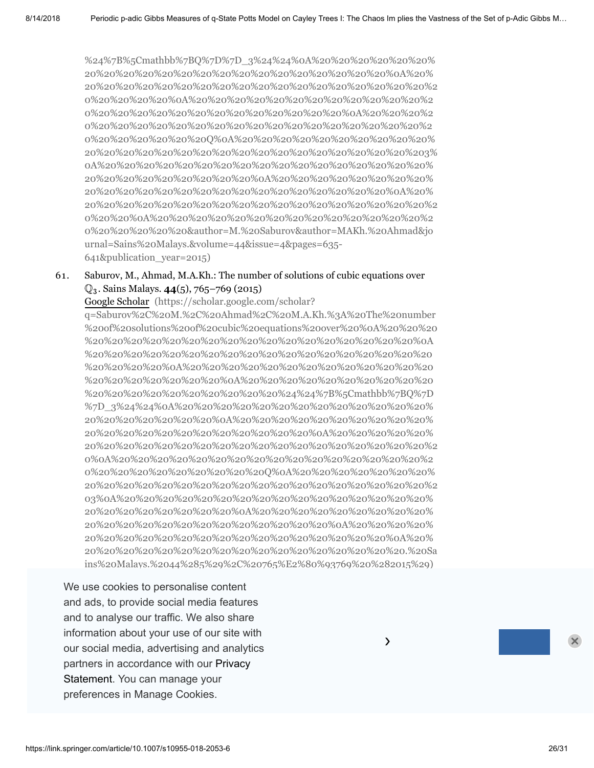%24%7B%5Cmathbb%7BQ%7D%7D\_3%24%24%0A%20%20%20%20%20% 20%20%20%20%20%20%20%20%20%20%20%20%20%20%20%20%0A%20% [20%20%20%20%20%20%20%20%20%20%20%20%20%20%20%20%20%20%2](http://scholar.google.com/scholar_lookup?title=Solvability%20of%20cubic%20equations%20over%20%0A%20%20%20%20%20%20%20%20%20%20%20%20%20%20%20%20%20%20%20%20%20%20%0A%20%20%20%20%20%20%20%20%20%20%20%20%20%20%20%20%20%20%20%20%20%20%20%20%0A%20%20%20%20%20%20%20%20%20%20%20%20%20%20%20%20%20%20%20%20%20%20%0A%20%20%20%20%20%20%20%20%20%20%20%20%20%20%20%20%20%20%20%20%20%20%24%24%7B%5Cmathbb%7BQ%7D%7D_3%24%24%0A%20%20%20%20%20%20%20%20%20%20%20%20%20%20%20%20%20%20%20%20%20%20%0A%20%20%20%20%20%20%20%20%20%20%20%20%20%20%20%20%20%20%20%20%20%20%20%20%0A%20%20%20%20%20%20%20%20%20%20%20%20%20%20%20%20%20%20%20%20%20%20%20%20%20%20%0A%20%20%20%20%20%20%20%20%20%20%20%20%20%20%20%20%20%20%20%20%20%20%20%20%20%20%20%20Q%0A%20%20%20%20%20%20%20%20%20%20%20%20%20%20%20%20%20%20%20%20%20%20%20%20%20%20%20%203%0A%20%20%20%20%20%20%20%20%20%20%20%20%20%20%20%20%20%20%20%20%20%20%20%20%20%20%0A%20%20%20%20%20%20%20%20%20%20%20%20%20%20%20%20%20%20%20%20%20%20%20%20%0A%20%20%20%20%20%20%20%20%20%20%20%20%20%20%20%20%20%20%20%20%20%20%0A%20%20%20%20%20%20%20%20%20%20%20%20%20%20%20%20%20%20%20%20&author=M.%20Saburov&author=MAKh.%20Ahmad&journal=Sains%20Malays.&volume=44&issue=4&pages=635-641&publication_year=2015) 0%20%20%20%20%0A%20%20%20%20%20%20%20%20%20%20%20%20%2 0%20%20%20%20%20%20%20%20%20%20%20%20%20%0A%20%20%20%2 0%20%20%20%20%20%20%20%20%20%20%20%20%20%20%20%20%20%2 0%20%20%20%20%20%20Q%0A%20%20%20%20%20%20%20%20%20%20% 20%20%20%20%20%20%20%20%20%20%20%20%20%20%20%20%20%203% 0A%20%20%20%20%20%20%20%20%20%20%20%20%20%20%20%20%20% 20%20%20%20%20%20%20%20%20%0A%20%20%20%20%20%20%20%20% 20%20%20%20%20%20%20%20%20%20%20%20%20%20%20%20%0A%20% 20%20%20%20%20%20%20%20%20%20%20%20%20%20%20%20%20%20%2 0%20%20%0A%20%20%20%20%20%20%20%20%20%20%20%20%20%20%2 0%20%20%20%20%20&author=M.%20Saburov&author=MAKh.%20Ahmad&jo urnal=Sains%20Malays.&volume=44&issue=4&pages=635- 641&publication\_year=2015)

#### 61. Saburov, M., Ahmad, M.A.Kh.: The number of solutions of cubic equations over . Sains Malays. **44**(5), 765–769 (2015) Q3

Google Scholar (https://scholar.google.com/scholar?

q=Saburov%2C%20M.%2C%20Ahmad%2C%20M.A.Kh.%3A%20The%20number %20of%20solutions%20of%20cubic%20equations%20over%20%0A%20%20%20 %20%20%20%20%20%20%20%20%20%20%20%20%20%20%20%20%20%0A %20%20%20%20%20%20%20%20%20%20%20%20%20%20%20%20%20%20 %20%20%20%20%0A%20%20%20%20%20%20%20%20%20%20%20%20%20 %20%20%20%20%20%20%20%0A%20%20%20%20%20%20%20%20%20%20 %20%20%20%20%20%20%20%20%20%20%24%24%7B%5Cmathbb%7BQ%7D %7D\_3%24%24%0A%20%20%20%20%20%20%20%20%20%20%20%20%20% 20%20%20%20%20%20%20%0A%20%20%20%20%20%20%20%20%20%20% 20%20%20%20%20%20%20%20%20%20%20%20%0A%20%20%20%20%20% [20%20%20%20%20%20%20%20%20%20%20%20%20%20%20%20%20%20%2](https://scholar.google.com/scholar?q=Saburov%2C%20M.%2C%20Ahmad%2C%20M.A.Kh.%3A%20The%20number%20of%20solutions%20of%20cubic%20equations%20over%20%0A%20%20%20%20%20%20%20%20%20%20%20%20%20%20%20%20%20%20%20%20%0A%20%20%20%20%20%20%20%20%20%20%20%20%20%20%20%20%20%20%20%20%20%20%0A%20%20%20%20%20%20%20%20%20%20%20%20%20%20%20%20%20%20%20%20%0A%20%20%20%20%20%20%20%20%20%20%20%20%20%20%20%20%20%20%20%20%24%24%7B%5Cmathbb%7BQ%7D%7D_3%24%24%0A%20%20%20%20%20%20%20%20%20%20%20%20%20%20%20%20%20%20%20%20%0A%20%20%20%20%20%20%20%20%20%20%20%20%20%20%20%20%20%20%20%20%20%20%0A%20%20%20%20%20%20%20%20%20%20%20%20%20%20%20%20%20%20%20%20%20%20%20%20%0A%20%20%20%20%20%20%20%20%20%20%20%20%20%20%20%20%20%20%20%20%20%20%20%20%20%20Q%0A%20%20%20%20%20%20%20%20%20%20%20%20%20%20%20%20%20%20%20%20%20%20%20%20%20%203%0A%20%20%20%20%20%20%20%20%20%20%20%20%20%20%20%20%20%20%20%20%20%20%20%20%0A%20%20%20%20%20%20%20%20%20%20%20%20%20%20%20%20%20%20%20%20%20%20%0A%20%20%20%20%20%20%20%20%20%20%20%20%20%20%20%20%20%20%20%20%0A%20%20%20%20%20%20%20%20%20%20%20%20%20%20%20%20%20%20.%20Sains%20Malays.%2044%285%29%2C%20765%E2%80%93769%20%282015%29) 0%0A%20%20%20%20%20%20%20%20%20%20%20%20%20%20%20%20%2 0%20%20%20%20%20%20%20%20%20Q%0A%20%20%20%20%20%20%20% 20%20%20%20%20%20%20%20%20%20%20%20%20%20%20%20%20%20%2 03%0A%20%20%20%20%20%20%20%20%20%20%20%20%20%20%20%20% 20%20%20%20%20%20%20%20%0A%20%20%20%20%20%20%20%20%20% 20%20%20%20%20%20%20%20%20%20%20%20%20%0A%20%20%20%20% 20%20%20%20%20%20%20%20%20%20%20%20%20%20%20%20%0A%20% 20%20%20%20%20%20%20%20%20%20%20%20%20%20%20%20%20.%20Sa ins%20Malays.%2044%285%29%2C%20765%E2%80%93769%20%282015%29)

We use cookies to personalise content<br>
We use cookies to personalise content application in statistical mechanics. Sci. Asia **41**(3), 209–215 (2015) and ads, to provide social media features and to analyse our traffic. We also share information about your use of our site with  $\sim$ %20%20%20%20%20%20%20%20%0A%20%20%20%20%20%20%20%20%20 our social media, advertising and analytics partners in accordance with our Privacy 20%20 20%20 20%20 20%20 20%20 20%20 20%20 .<br>Statement. You can manage your %20%20%20%20%20%20%20%20%20%20%20%20%20%20%20%20%20%20 preferences in Manage Cookies.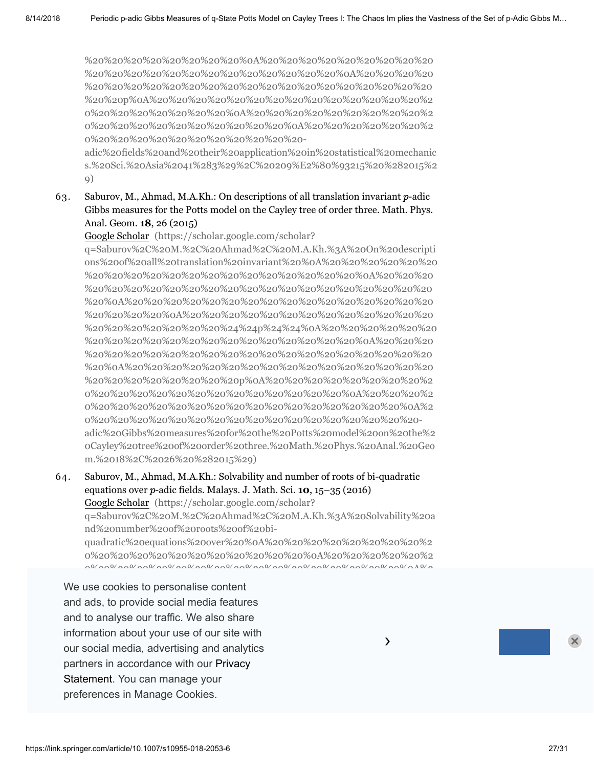%20%20%20%20%20%20%20%20%0A%20%20%20%20%20%20%20%20%20 %20%20%20%20%20%20%20%20%20%20%20%20%20%0A%20%20%20%20 %20%20%20%20%20%20%20%20%20%20%20%20%20%20%20%20%20%20 %20%20p%0A%20%20%20%20%20%20%20%20%20%20%20%20%20%20%2 0%20%20%20%20%20%20%20%0A%20%20%20%20%20%20%20%20%20%2 0%20%20%20%20%20%20%20%20%20%20%0A%20%20%20%20%20%20%2 0%20%20%20%20%20%20%20%20%20%20%20-

adic%20fields%20and%20their%20application%20in%20statistical%20mechanic [s.%20Sci.%20Asia%2041%283%29%2C%20209%E2%80%93215%20%282015%2](https://scholar.google.com/scholar?q=Saburov%2C%20M.%2C%20Ahmad%2C%20M.A.Kh.%3A%20Quadratic%20equations%20over%20%0A%20%20%20%20%20%20%20%20%20%20%20%20%20%20%20%20%20%20%20%20%0A%20%20%20%20%20%20%20%20%20%20%20%20%20%20%20%20%20%20%20%20%20%20%0A%20%20%20%20%20%20%20%20%20%20%20%20%20%20%20%20%20%20%20%20%0A%20%20%20%20%20%20%20%20%20%20%20%20%20%20%20%20%20%20%20%20%24%24p%24%24%0A%20%20%20%20%20%20%20%20%20%20%20%20%20%20%20%20%20%20%20%20%0A%20%20%20%20%20%20%20%20%20%20%20%20%20%20%20%20%20%20%20%20%20%20%0A%20%20%20%20%20%20%20%20%20%20%20%20%20%20%20%20%20%20%20%20%20%20%20%20p%0A%20%20%20%20%20%20%20%20%20%20%20%20%20%20%20%20%20%20%20%20%20%20%0A%20%20%20%20%20%20%20%20%20%20%20%20%20%20%20%20%20%20%20%20%0A%20%20%20%20%20%20%20%20%20%20%20%20%20%20%20%20%20%20-adic%20fields%20and%20their%20application%20in%20statistical%20mechanics.%20Sci.%20Asia%2041%283%29%2C%20209%E2%80%93215%20%282015%29) 9)

#### 63. Saburov, M., Ahmad, M.A.Kh.: On descriptions of all translation invariant  $p\text{-}\mathrm{adic}$ Gibbs measures for the Potts model on the Cayley tree of order three. Math. Phys. Anal. Geom. **18**, 26 (2015)

Google Scholar (https://scholar.google.com/scholar?

q=Saburov%2C%20M.%2C%20Ahmad%2C%20M.A.Kh.%3A%20On%20descripti [ons%20of%20all%20translation%20invariant%20%0A%20%20%20%20%20%20](https://scholar.google.com/scholar?q=Saburov%2C%20M.%2C%20Ahmad%2C%20M.A.Kh.%3A%20On%20descriptions%20of%20all%20translation%20invariant%20%0A%20%20%20%20%20%20%20%20%20%20%20%20%20%20%20%20%20%20%20%20%0A%20%20%20%20%20%20%20%20%20%20%20%20%20%20%20%20%20%20%20%20%20%20%0A%20%20%20%20%20%20%20%20%20%20%20%20%20%20%20%20%20%20%20%20%0A%20%20%20%20%20%20%20%20%20%20%20%20%20%20%20%20%20%20%20%20%24%24p%24%24%0A%20%20%20%20%20%20%20%20%20%20%20%20%20%20%20%20%20%20%20%20%0A%20%20%20%20%20%20%20%20%20%20%20%20%20%20%20%20%20%20%20%20%20%20%0A%20%20%20%20%20%20%20%20%20%20%20%20%20%20%20%20%20%20%20%20%20%20%20%20p%0A%20%20%20%20%20%20%20%20%20%20%20%20%20%20%20%20%20%20%20%20%20%20%0A%20%20%20%20%20%20%20%20%20%20%20%20%20%20%20%20%20%20%20%20%0A%20%20%20%20%20%20%20%20%20%20%20%20%20%20%20%20%20%20-adic%20Gibbs%20measures%20for%20the%20Potts%20model%20on%20the%20Cayley%20tree%20of%20order%20three.%20Math.%20Phys.%20Anal.%20Geom.%2018%2C%2026%20%282015%29) %20%20%20%20%20%20%20%20%20%20%20%20%20%20%0A%20%20%20 %20%20%20%20%20%20%20%20%20%20%20%20%20%20%20%20%20%20 %20%0A%20%20%20%20%20%20%20%20%20%20%20%20%20%20%20%20 %20%20%20%20%0A%20%20%20%20%20%20%20%20%20%20%20%20%20 %20%20%20%20%20%20%20%24%24p%24%24%0A%20%20%20%20%20%20 %20%20%20%20%20%20%20%20%20%20%20%20%20%20%0A%20%20%20 %20%20%20%20%20%20%20%20%20%20%20%20%20%20%20%20%20%20 %20%0A%20%20%20%20%20%20%20%20%20%20%20%20%20%20%20%20 %20%20%20%20%20%20%20%20p%0A%20%20%20%20%20%20%20%20%2 0%20%20%20%20%20%20%20%20%20%20%20%20%20%0A%20%20%20%2 0%20%20%20%20%20%20%20%20%20%20%20%20%20%20%20%20%0A%2 0%20%20%20%20%20%20%20%20%20%20%20%20%20%20%20%20%20 adic%20Gibbs%20measures%20for%20the%20Potts%20model%20on%20the%2 0Cayley%20tree%20of%20order%20three.%20Math.%20Phys.%20Anal.%20Geo m.%2018%2C%2026%20%282015%29)

### 64. Saburov, M., Ahmad, M.A.Kh.: Solvability and number of roots of bi-quadratic equations over p-adic fields. Malays. J. Math. Sci. **10**, 15–35 (2016) Google Scholar (https://scholar.google.com/scholar? q=Saburov%2C%20M.%2C%20Ahmad%2C%20M.A.Kh.%3A%20Solvability%20a nd%20number%20of%20roots%20of%20biquadratic%20equations%20over%20%0A%20%20%20%20%20%20%20%20%2 0%20%20%20%20%20%20%20%20%20%20%20%0A%20%20%20%20%20%2 0%20%20%20%20%20%20%20%20%20%20%20%20%20%20%20%20%0A%2

We use cookies to personalise content 0%20%0A%20%20%20%20%20%20%20%20%20%20%20%20%20%20%20%2 and ads, to provide social media features and to analyse our traffic. We also share information about your use of our site with  $\sim$ our social media, advertising and analytics **Example 20 and 20 and 20 analytics** partners in accordance with our Privacy 20%20 20%20 20%20 20%20 20%20 20%20 20%20 .<br>Statement. You can manage your 20%20%20%20%20%20%20%20%20%20%20%20%20%20%0A%20%20%20% preferences in Manage Cookies.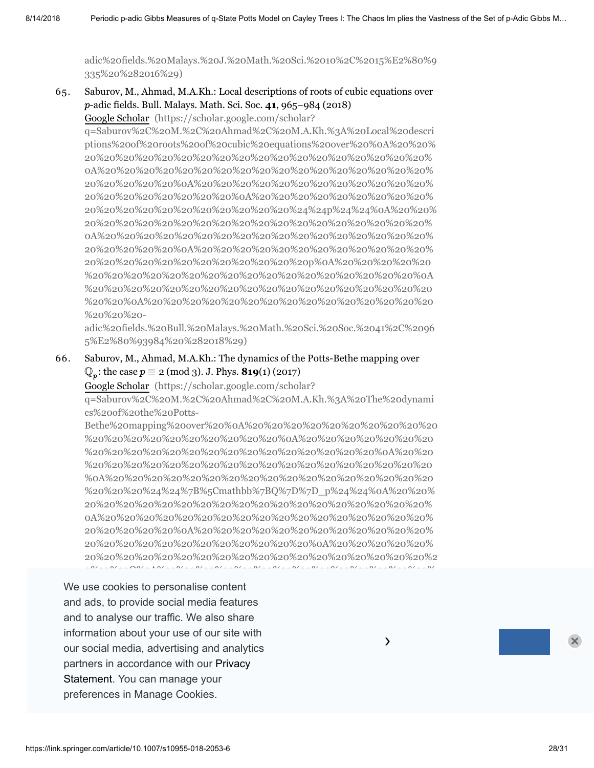[adic%20fields.%20Malays.%20J.%20Math.%20Sci.%2010%2C%2015%E2%80%9](https://scholar.google.com/scholar?q=Saburov%2C%20M.%2C%20Ahmad%2C%20M.A.Kh.%3A%20Solvability%20and%20number%20of%20roots%20of%20bi-quadratic%20equations%20over%20%0A%20%20%20%20%20%20%20%20%20%20%20%20%20%20%20%20%20%20%20%20%0A%20%20%20%20%20%20%20%20%20%20%20%20%20%20%20%20%20%20%20%20%20%20%0A%20%20%20%20%20%20%20%20%20%20%20%20%20%20%20%20%20%20%20%20%0A%20%20%20%20%20%20%20%20%20%20%20%20%20%20%20%20%20%20%20%20%24%24p%24%24%0A%20%20%20%20%20%20%20%20%20%20%20%20%20%20%20%20%20%20%20%20%0A%20%20%20%20%20%20%20%20%20%20%20%20%20%20%20%20%20%20%20%20%20%20%0A%20%20%20%20%20%20%20%20%20%20%20%20%20%20%20%20%20%20%20%20%20%20%20%20p%0A%20%20%20%20%20%20%20%20%20%20%20%20%20%20%20%20%20%20%20%20%20%20%0A%20%20%20%20%20%20%20%20%20%20%20%20%20%20%20%20%20%20%20%20%0A%20%20%20%20%20%20%20%20%20%20%20%20%20%20%20%20%20%20-adic%20fields.%20Malays.%20J.%20Math.%20Sci.%2010%2C%2015%E2%80%9335%20%282016%29) 335%20%282016%29)

65. Saburov, M., Ahmad, M.A.Kh.: Local descriptions of roots of cubic equations over -adic fields. Bull. Malays. Math. Sci. Soc. **41**, 965–984 (2018) p

Google Scholar (https://scholar.google.com/scholar?

q=Saburov%2C%20M.%2C%20Ahmad%2C%20M.A.Kh.%3A%20Local%20descri ptions%20of%20roots%20of%20cubic%20equations%20over%20%0A%20%20% 20%20%20%20%20%20%20%20%20%20%20%20%20%20%20%20%20%20% 0A%20%20%20%20%20%20%20%20%20%20%20%20%20%20%20%20%20% 20%20%20%20%20%0A%20%20%20%20%20%20%20%20%20%20%20%20% 20%20%20%20%20%20%20%20%0A%20%20%20%20%20%20%20%20%20% [20%20%20%20%20%20%20%20%20%20%20%24%24p%24%24%0A%20%20%](https://scholar.google.com/scholar?q=Saburov%2C%20M.%2C%20Ahmad%2C%20M.A.Kh.%3A%20Local%20descriptions%20of%20roots%20of%20cubic%20equations%20over%20%0A%20%20%20%20%20%20%20%20%20%20%20%20%20%20%20%20%20%20%20%20%0A%20%20%20%20%20%20%20%20%20%20%20%20%20%20%20%20%20%20%20%20%20%20%0A%20%20%20%20%20%20%20%20%20%20%20%20%20%20%20%20%20%20%20%20%0A%20%20%20%20%20%20%20%20%20%20%20%20%20%20%20%20%20%20%20%20%24%24p%24%24%0A%20%20%20%20%20%20%20%20%20%20%20%20%20%20%20%20%20%20%20%20%0A%20%20%20%20%20%20%20%20%20%20%20%20%20%20%20%20%20%20%20%20%20%20%0A%20%20%20%20%20%20%20%20%20%20%20%20%20%20%20%20%20%20%20%20%20%20%20%20p%0A%20%20%20%20%20%20%20%20%20%20%20%20%20%20%20%20%20%20%20%20%20%20%0A%20%20%20%20%20%20%20%20%20%20%20%20%20%20%20%20%20%20%20%20%0A%20%20%20%20%20%20%20%20%20%20%20%20%20%20%20%20%20%20-adic%20fields.%20Bull.%20Malays.%20Math.%20Sci.%20Soc.%2041%2C%20965%E2%80%93984%20%282018%29) 20%20%20%20%20%20%20%20%20%20%20%20%20%20%20%20%20%20% 0A%20%20%20%20%20%20%20%20%20%20%20%20%20%20%20%20%20% 20%20%20%20%20%0A%20%20%20%20%20%20%20%20%20%20%20%20% 20%20%20%20%20%20%20%20%20%20%20%20p%0A%20%20%20%20%20 %20%20%20%20%20%20%20%20%20%20%20%20%20%20%20%20%20%0A %20%20%20%20%20%20%20%20%20%20%20%20%20%20%20%20%20%20 %20%20%0A%20%20%20%20%20%20%20%20%20%20%20%20%20%20%20 %20%20%20-

adic%20fields.%20Bull.%20Malays.%20Math.%20Sci.%20Soc.%2041%2C%2096 5%E2%80%93984%20%282018%29)

66. Saburov, M., Ahmad, M.A.Kh.: The dynamics of the Potts-Bethe mapping over  $\mathbb{Q}_p$ : the case  $p \equiv 2 \pmod{3}$ . J. Phys. **819**(1) (2017)

Google Scholar (https://scholar.google.com/scholar?

q=Saburov%2C%20M.%2C%20Ahmad%2C%20M.A.Kh.%3A%20The%20dynami cs%20of%20the%20Potts-

[Bethe%20mapping%20over%20%0A%20%20%20%20%20%20%20%20%20%20](https://scholar.google.com/scholar?q=Saburov%2C%20M.%2C%20Ahmad%2C%20M.A.Kh.%3A%20The%20dynamics%20of%20the%20Potts-Bethe%20mapping%20over%20%0A%20%20%20%20%20%20%20%20%20%20%20%20%20%20%20%20%20%20%20%20%0A%20%20%20%20%20%20%20%20%20%20%20%20%20%20%20%20%20%20%20%20%20%20%0A%20%20%20%20%20%20%20%20%20%20%20%20%20%20%20%20%20%20%20%20%0A%20%20%20%20%20%20%20%20%20%20%20%20%20%20%20%20%20%20%20%20%24%24%7B%5Cmathbb%7BQ%7D%7D_p%24%24%0A%20%20%20%20%20%20%20%20%20%20%20%20%20%20%20%20%20%20%20%20%0A%20%20%20%20%20%20%20%20%20%20%20%20%20%20%20%20%20%20%20%20%20%20%0A%20%20%20%20%20%20%20%20%20%20%20%20%20%20%20%20%20%20%20%20%20%20%20%20%0A%20%20%20%20%20%20%20%20%20%20%20%20%20%20%20%20%20%20%20%20%20%20%20%20%20%20Q%0A%20%20%20%20%20%20%20%20%20%20%20%20%20%20%20%20%20%20%20%20%20%20%20%20%20%20p%0A%20%20%20%20%20%20%20%20%20%20%20%20%20%20%20%20%20%20%20%20%20%20%20%20%0A%20%20%20%20%20%20%20%20%20%20%20%20%20%20%20%20%20%20%20%20%20%20%0A%20%20%20%20%20%20%20%20%20%20%20%20%20%20%20%20%20%20%20%20%0A%20%20%20%20%20%20%20%20%20%20%20%20%20%20%20%20%20%20%3A%20the%20case%20%0A%20%20%20%20%20%20%20%20%20%20%20%20%20%20%20%20%20%20%20%20%0A%20%20%20%20%20%20%20%20%20%20%20%20%20%20%20%20%20%20%20%20%20%20%0A%20%20%20%20%20%20%20%20%20%20%20%20%20%20%20%20%20%20%20%20%0A%20%20%20%20%20%20%20%20%20%20%20%20%20%20%20%20%20%20%20%20%24%24p%5Cequiv%20%24%24%0A%20%20%20%20%20%20%20%20%20%20%20%20%20%20%20%20%20%20%20%20%0A%20%20%20%20%20%20%20%20%20%20%20%20%20%20%20%20%20%20%20%20%20%20%0A%20%20%20%20%20%20%20%20%20%20%20%20%20%20%20%20%20%20%20%20%20%20%20%20%0A%20%20%20%20%20%20%20%20%20%20%20%20%20%20%20%20%20%20%20%20%20%20%20%20%20%20p%0A%20%20%20%20%20%20%20%20%20%20%20%20%20%20%20%20%20%20%20%20%20%20%20%20%20%20%E2%89%A1%0A%20%20%20%20%20%20%20%20%20%20%20%20%20%20%20%20%20%20%20%20%20%20%20%20%0A%20%20%20%20%20%20%20%20%20%20%20%20%20%20%20%20%20%20%20%20%20%20%0A%20%20%20%20%20%20%20%20%20%20%20%20%20%20%20%20%20%20%20%20%0A%20%20%20%20%20%20%20%20%20%20%20%20%20%20%20%20%20%20%202%C2%A0%28mod%203%29.%20J.%20Phys.%20819%281%29%20%282017%29) %20%20%20%20%20%20%20%20%20%20%0A%20%20%20%20%20%20%20 %20%20%20%20%20%20%20%20%20%20%20%20%20%20%20%0A%20%20 %20%20%20%20%20%20%20%20%20%20%20%20%20%20%20%20%20%20 %0A%20%20%20%20%20%20%20%20%20%20%20%20%20%20%20%20%20 %20%20%20%24%24%7B%5Cmathbb%7BQ%7D%7D\_p%24%24%0A%20%20% 20%20%20%20%20%20%20%20%20%20%20%20%20%20%20%20%20%20% 0A%20%20%20%20%20%20%20%20%20%20%20%20%20%20%20%20%20% 20%20%20%20%20%0A%20%20%20%20%20%20%20%20%20%20%20%20% 20%20%20%20%20%20%20%20%20%20%20%20%0A%20%20%20%20%20% 20%20%20%20%20%20%20%20%20%20%20%20%20%20%20%20%20%20%2 0%20%20Q%0A%20%20%20%20%20%20%20%20%20%20%20%20%20%20%

We use cookies to personalise content and ads, to provide social media features %20%0A%20%20%20%20%20%20%20%20%20%20%20%20%20%20%20%20 and to analyse our traffic. We also share  $\mathop{\mathsf{information}}\nolimits$  about your use of our site with  $\mathcal{C}$ %20%20%20%20%20%20%20%20%20%20%3A%20the%20case%20%0A%20% our social media, advertising and analytics partners in accordance with our Privacy 20%20 20%20 20%20 20%20 20%20 20%20 20%20 Statement. You can manage your 20%20 20%20 20%20 20%20 20%20 20%20 preferences in Manage Cookies.  $\overline{\phantom{a}}$ 0%20%20%20%20%20%20%20%20%0A%20%20%20%20%20%20%20%20%2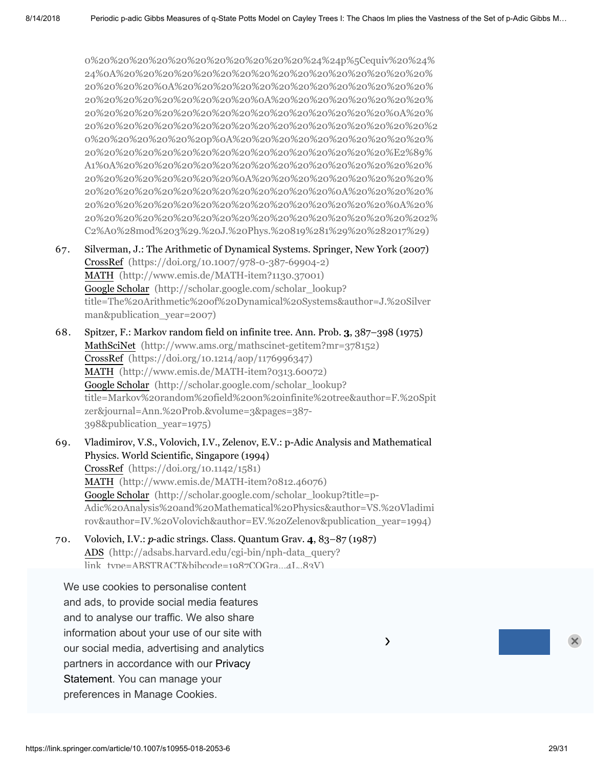0%20%20%20%20%20%20%20%20%20%20%20%24%24p%5Cequiv%20%24% 24%0A%20%20%20%20%20%20%20%20%20%20%20%20%20%20%20%20% 20%20%20%20%0A%20%20%20%20%20%20%20%20%20%20%20%20%20% 20%20%20%20%20%20%20%20%20%0A%20%20%20%20%20%20%20%20% 20%20%20%20%20%20%20%20%20%20%20%20%20%20%20%20%0A%20% [20%20%20%20%20%20%20%20%20%20%20%20%20%20%20%20%20%20%2](https://scholar.google.com/scholar?q=Saburov%2C%20M.%2C%20Ahmad%2C%20M.A.Kh.%3A%20The%20dynamics%20of%20the%20Potts-Bethe%20mapping%20over%20%0A%20%20%20%20%20%20%20%20%20%20%20%20%20%20%20%20%20%20%20%20%0A%20%20%20%20%20%20%20%20%20%20%20%20%20%20%20%20%20%20%20%20%20%20%0A%20%20%20%20%20%20%20%20%20%20%20%20%20%20%20%20%20%20%20%20%0A%20%20%20%20%20%20%20%20%20%20%20%20%20%20%20%20%20%20%20%20%24%24%7B%5Cmathbb%7BQ%7D%7D_p%24%24%0A%20%20%20%20%20%20%20%20%20%20%20%20%20%20%20%20%20%20%20%20%0A%20%20%20%20%20%20%20%20%20%20%20%20%20%20%20%20%20%20%20%20%20%20%0A%20%20%20%20%20%20%20%20%20%20%20%20%20%20%20%20%20%20%20%20%20%20%20%20%0A%20%20%20%20%20%20%20%20%20%20%20%20%20%20%20%20%20%20%20%20%20%20%20%20%20%20Q%0A%20%20%20%20%20%20%20%20%20%20%20%20%20%20%20%20%20%20%20%20%20%20%20%20%20%20p%0A%20%20%20%20%20%20%20%20%20%20%20%20%20%20%20%20%20%20%20%20%20%20%20%20%0A%20%20%20%20%20%20%20%20%20%20%20%20%20%20%20%20%20%20%20%20%20%20%0A%20%20%20%20%20%20%20%20%20%20%20%20%20%20%20%20%20%20%20%20%0A%20%20%20%20%20%20%20%20%20%20%20%20%20%20%20%20%20%20%3A%20the%20case%20%0A%20%20%20%20%20%20%20%20%20%20%20%20%20%20%20%20%20%20%20%20%0A%20%20%20%20%20%20%20%20%20%20%20%20%20%20%20%20%20%20%20%20%20%20%0A%20%20%20%20%20%20%20%20%20%20%20%20%20%20%20%20%20%20%20%20%0A%20%20%20%20%20%20%20%20%20%20%20%20%20%20%20%20%20%20%20%20%24%24p%5Cequiv%20%24%24%0A%20%20%20%20%20%20%20%20%20%20%20%20%20%20%20%20%20%20%20%20%0A%20%20%20%20%20%20%20%20%20%20%20%20%20%20%20%20%20%20%20%20%20%20%0A%20%20%20%20%20%20%20%20%20%20%20%20%20%20%20%20%20%20%20%20%20%20%20%20%0A%20%20%20%20%20%20%20%20%20%20%20%20%20%20%20%20%20%20%20%20%20%20%20%20%20%20p%0A%20%20%20%20%20%20%20%20%20%20%20%20%20%20%20%20%20%20%20%20%20%20%20%20%20%20%E2%89%A1%0A%20%20%20%20%20%20%20%20%20%20%20%20%20%20%20%20%20%20%20%20%20%20%20%20%0A%20%20%20%20%20%20%20%20%20%20%20%20%20%20%20%20%20%20%20%20%20%20%0A%20%20%20%20%20%20%20%20%20%20%20%20%20%20%20%20%20%20%20%20%0A%20%20%20%20%20%20%20%20%20%20%20%20%20%20%20%20%20%20%202%C2%A0%28mod%203%29.%20J.%20Phys.%20819%281%29%20%282017%29) 0%20%20%20%20%20%20p%0A%20%20%20%20%20%20%20%20%20%20% 20%20%20%20%20%20%20%20%20%20%20%20%20%20%20%20%E2%89% A1%0A%20%20%20%20%20%20%20%20%20%20%20%20%20%20%20%20% 20%20%20%20%20%20%20%20%0A%20%20%20%20%20%20%20%20%20% 20%20%20%20%20%20%20%20%20%20%20%20%20%0A%20%20%20%20% 20%20%20%20%20%20%20%20%20%20%20%20%20%20%20%20%0A%20% 20%20%20%20%20%20%20%20%20%20%20%20%20%20%20%20%20%202% C2%A0%28mod%203%29.%20J.%20Phys.%20819%281%29%20%282017%29)

- 67. Silverman, J.: The Arithmetic of Dynamical Systems. Springer, New York (2007) CrossRef [\(https://doi.org/10.1007/978-0-387-69904-2\)](https://doi.org/10.1007/978-0-387-69904-2) MATH [\(http://www.emis.de/MATH-item?1130.37001\)](http://www.emis.de/MATH-item?1130.37001) Google Scholar (http://scholar.google.com/scholar\_lookup? [title=The%20Arithmetic%20of%20Dynamical%20Systems&author=J.%20Silver](http://scholar.google.com/scholar_lookup?title=The%20Arithmetic%20of%20Dynamical%20Systems&author=J.%20Silverman&publication_year=2007) man&publication\_year=2007)
- 68. Spitzer, F.: Markov random field on infinite tree. Ann. Prob. **3**, 387–398 (1975) MathSciNet [\(http://www.ams.org/mathscinet-getitem?mr=378152\)](http://www.ams.org/mathscinet-getitem?mr=378152) CrossRef [\(https://doi.org/10.1214/aop/1176996347\)](https://doi.org/10.1214/aop/1176996347) MATH [\(http://www.emis.de/MATH-item?0313.60072\)](http://www.emis.de/MATH-item?0313.60072) Google Scholar (http://scholar.google.com/scholar\_lookup? [title=Markov%20random%20field%20on%20infinite%20tree&author=F.%20Spit](http://scholar.google.com/scholar_lookup?title=Markov%20random%20field%20on%20infinite%20tree&author=F.%20Spitzer&journal=Ann.%20Prob.&volume=3&pages=387-398&publication_year=1975) zer&journal=Ann.%20Prob.&volume=3&pages=387- 398&publication\_year=1975)
- 69. Vladimirov, V.S., Volovich, I.V., Zelenov, E.V.: p-Adic Analysis and Mathematical Physics. World Scientific, Singapore (1994) CrossRef [\(https://doi.org/10.1142/1581\)](https://doi.org/10.1142/1581) MATH [\(http://www.emis.de/MATH-item?0812.46076\)](http://www.emis.de/MATH-item?0812.46076) Google Scholar (http://scholar.google.com/scholar\_lookup?title=p-[Adic%20Analysis%20and%20Mathematical%20Physics&author=VS.%20Vladimi](http://scholar.google.com/scholar_lookup?title=p-Adic%20Analysis%20and%20Mathematical%20Physics&author=VS.%20Vladimirov&author=IV.%20Volovich&author=EV.%20Zelenov&publication_year=1994) rov&author=IV.%20Volovich&author=EV.%20Zelenov&publication\_year=1994)

 $\lambda$ 

70. Volovich, I.V.: *p*-adic strings. Class. Quantum Grav. **4**, 83–87 (1987) ADS (http://adsabs.harvard.edu/cgi-bin/nph-data\_query?  $\text{link}_{\text{true}-\text{ARSTR}}$ ACT&bibcode=1087COGra...4L..89V)

 $\mathcal{M}$  , and  $\mathcal{M}$  are  $\mathcal{M}$  and  $\mathcal{M}$  and  $\mathcal{M}$  are  $\mathcal{M}$  . The  $\mathcal{M}$  are  $\mathcal{M}$ We use cookies to personalise content and ads, to provide social media features and to analyse our traffic. We also share  $\overline{\phantom{a}}$ information about your use of our site with  $\sim$ our social media, advertising and analytics  $\overline{\phantom{a}}$  $\mathbb{R}^2$  20%20 20%20 20%20 20%20 20%20 20%20 20%20 20%20 20%20 20%20 20%20 20%20 20%20 20%20 20%20 20%20 20%20 20%20 20%20 20%20 20%20 20%20 20%20 20%20 20%20 20%20 20%20 20%20 20%20 20%20 20%20 20%20 20%20 20%20 20%20 partners in accordance with our Privacy<br>executive and 20% Statement. You can manage your 20%20 20%20 20%20 20%20 20%20 20%20 20%20 20%20 20%20 preferences in Manage Cookies.  $\overline{\phantom{a}}$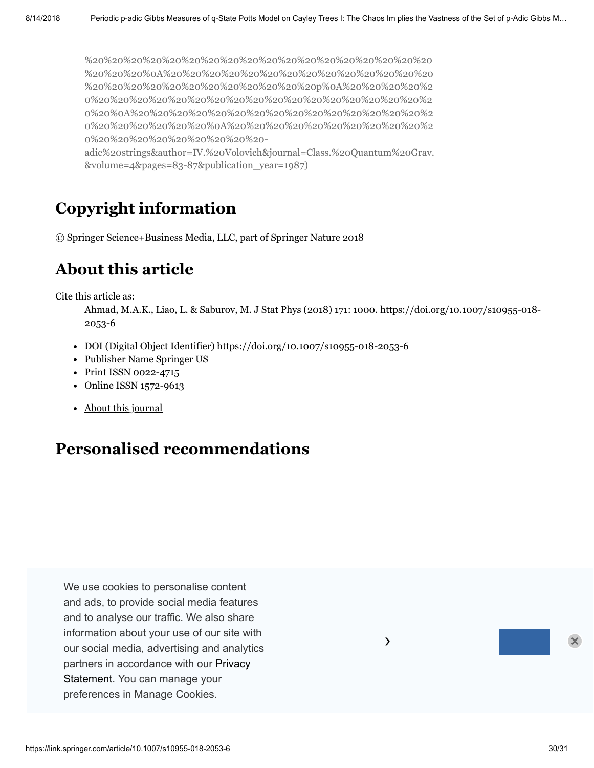%20%20%20%20%20%20%20%20%20%20%20%20%20%20%20%20%20%20 %20%20%20%0A%20%20%20%20%20%20%20%20%20%20%20%20%20%20 %20%20%20%20%20%20%20%20%20%20%20%20p%0A%20%20%20%20%2 0%20%20%20%20%20%20%20%20%20%20%20%20%20%20%20%20%20%2 0%20%0A%20%20%20%20%20%20%20%20%20%20%20%20%20%20%20%2 0%20%20%20%20%20%20%0A%20%20%20%20%20%20%20%20%20%20%2 0%20%20%20%20%20%20%20%20%20 [adic%20strings&author=IV.%20Volovich&journal=Class.%20Quantum%20Grav.](http://scholar.google.com/scholar_lookup?title=%0A%20%20%20%20%20%20%20%20%20%20%20%20%20%20%20%20%20%20%20%20%20%20%0A%20%20%20%20%20%20%20%20%20%20%20%20%20%20%20%20%20%20%20%20%20%20%20%20%0A%20%20%20%20%20%20%20%20%20%20%20%20%20%20%20%20%20%20%20%20%20%20%0A%20%20%20%20%20%20%20%20%20%20%20%20%20%20%20%20%20%20%20%20%20%20%24%24p%24%24%0A%20%20%20%20%20%20%20%20%20%20%20%20%20%20%20%20%20%20%20%20%20%20%0A%20%20%20%20%20%20%20%20%20%20%20%20%20%20%20%20%20%20%20%20%20%20%20%20%0A%20%20%20%20%20%20%20%20%20%20%20%20%20%20%20%20%20%20%20%20%20%20%20%20%20%20p%0A%20%20%20%20%20%20%20%20%20%20%20%20%20%20%20%20%20%20%20%20%20%20%20%20%0A%20%20%20%20%20%20%20%20%20%20%20%20%20%20%20%20%20%20%20%20%20%20%0A%20%20%20%20%20%20%20%20%20%20%20%20%20%20%20%20%20%20%20%20-adic%20strings&author=IV.%20Volovich&journal=Class.%20Quantum%20Grav.&volume=4&pages=83-87&publication_year=1987)

&volume=4&pages=83-87&publication\_year=1987)

# **Copyright information**

© Springer Science+Business Media, LLC, part of Springer Nature 2018

# **About this article**

<span id="page-29-0"></span>Cite this article as:

Ahmad, M.A.K., Liao, L. & Saburov, M. J Stat Phys (2018) 171: 1000. https://doi.org/10.1007/s10955-018- 2053-6

 $\lambda$ 

- DOI (Digital Object Identifier) https://doi.org/10.1007/s10955-018-2053-6
- Publisher Name Springer US
- Print ISSN 0022-4715
- Online ISSN 1572-9613
- About this [journal](https://www.springer.com/journal/10955/about)

# **Personalised recommendations**

We use cookies to personalise content and ads, to provide social media features and to analyse our traffic. We also share information about your use of our site with our social media, advertising and analytics partners in [accordance](https://link.springer.com/privacystatement) with our Privacy Statement. You can manage your preferences in Manage Cookies.

https://link.springer.com/article/10.1007/s10955-018-2053-6 30/31